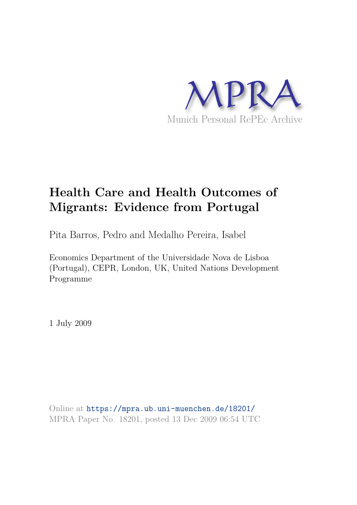

# **Health Care and Health Outcomes of Migrants: Evidence from Portugal**

Pita Barros, Pedro and Medalho Pereira, Isabel

Economics Department of the Universidade Nova de Lisboa (Portugal), CEPR, London, UK, United Nations Development Programme

1 July 2009

Online at https://mpra.ub.uni-muenchen.de/18201/ MPRA Paper No. 18201, posted 13 Dec 2009 06:54 UTC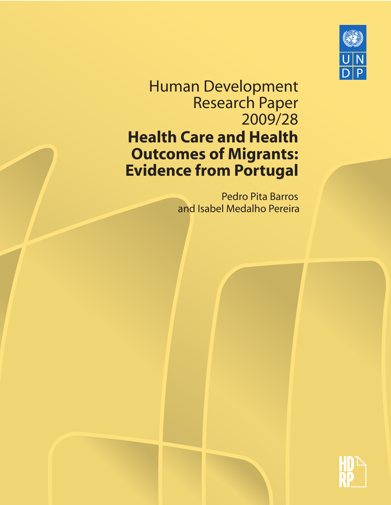

# Human Development Research Paper 2009/28 **Health Care and Health Outcomes of Migrants: Evidence from Portugal**

Pedro Pita Barros and Isabel Medalho Pereira

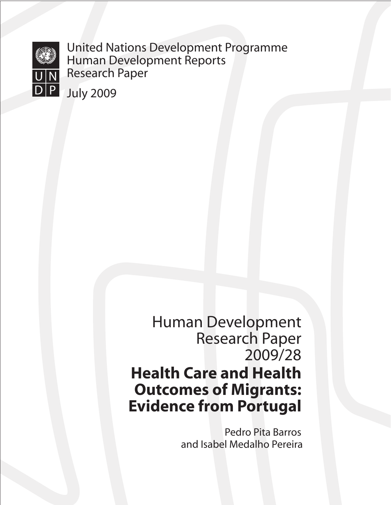

United Nations Development Programme Human Development Reports Research Paper

July 2009

Human Development Research Paper 2009/28 **Health Care and Health Outcomes of Migrants: Evidence from Portugal**

> Pedro Pita Barros and Isabel Medalho Pereira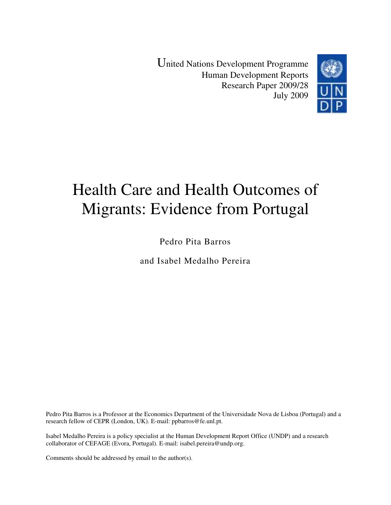United Nations Development Programme Human Development Reports Research Paper 2009/28 July 2009



# Health Care and Health Outcomes of Migrants: Evidence from Portugal

Pedro Pita Barros

and Isabel Medalho Pereira

Pedro Pita Barros is a Professor at the Economics Department of the Universidade Nova de Lisboa (Portugal) and a research fellow of CEPR (London, UK). E-mail: ppbarros@fe.unl.pt.

Isabel Medalho Pereira is a policy specialist at the Human Development Report Office (UNDP) and a research collaborator of CEFAGE (Evora, Portugal). E-mail: isabel.pereira@undp.org.

Comments should be addressed by email to the author(s).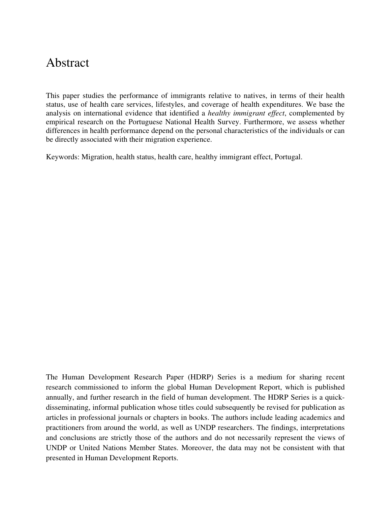# Abstract

This paper studies the performance of immigrants relative to natives, in terms of their health status, use of health care services, lifestyles, and coverage of health expenditures. We base the analysis on international evidence that identified a *healthy immigrant effect*, complemented by empirical research on the Portuguese National Health Survey. Furthermore, we assess whether differences in health performance depend on the personal characteristics of the individuals or can be directly associated with their migration experience.

Keywords: Migration, health status, health care, healthy immigrant effect, Portugal.

The Human Development Research Paper (HDRP) Series is a medium for sharing recent research commissioned to inform the global Human Development Report, which is published annually, and further research in the field of human development. The HDRP Series is a quickdisseminating, informal publication whose titles could subsequently be revised for publication as articles in professional journals or chapters in books. The authors include leading academics and practitioners from around the world, as well as UNDP researchers. The findings, interpretations and conclusions are strictly those of the authors and do not necessarily represent the views of UNDP or United Nations Member States. Moreover, the data may not be consistent with that presented in Human Development Reports.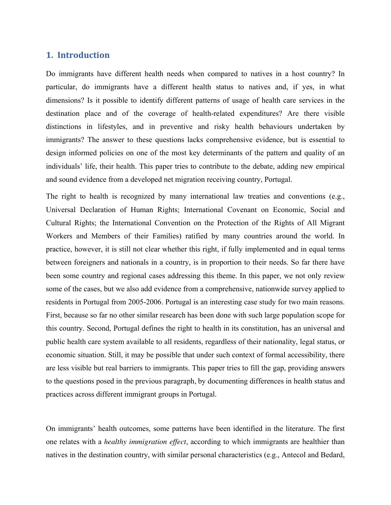## **1. Introduction**

Do immigrants have different health needs when compared to natives in a host country? In particular, do immigrants have a different health status to natives and, if yes, in what dimensions? Is it possible to identify different patterns of usage of health care services in the destination place and of the coverage of health-related expenditures? Are there visible distinctions in lifestyles, and in preventive and risky health behaviours undertaken by immigrants? The answer to these questions lacks comprehensive evidence, but is essential to design informed policies on one of the most key determinants of the pattern and quality of an individuals' life, their health. This paper tries to contribute to the debate, adding new empirical and sound evidence from a developed net migration receiving country, Portugal.

The right to health is recognized by many international law treaties and conventions (e.g., Universal Declaration of Human Rights; International Covenant on Economic, Social and Cultural Rights; the International Convention on the Protection of the Rights of All Migrant Workers and Members of their Families) ratified by many countries around the world. In practice, however, it is still not clear whether this right, if fully implemented and in equal terms between foreigners and nationals in a country, is in proportion to their needs. So far there have been some country and regional cases addressing this theme. In this paper, we not only review some of the cases, but we also add evidence from a comprehensive, nationwide survey applied to residents in Portugal from 2005-2006. Portugal is an interesting case study for two main reasons. First, because so far no other similar research has been done with such large population scope for this country. Second, Portugal defines the right to health in its constitution, has an universal and public health care system available to all residents, regardless of their nationality, legal status, or economic situation. Still, it may be possible that under such context of formal accessibility, there are less visible but real barriers to immigrants. This paper tries to fill the gap, providing answers to the questions posed in the previous paragraph, by documenting differences in health status and practices across different immigrant groups in Portugal.

On immigrants' health outcomes, some patterns have been identified in the literature. The first one relates with a *healthy immigration effect*, according to which immigrants are healthier than natives in the destination country, with similar personal characteristics (e.g., Antecol and Bedard,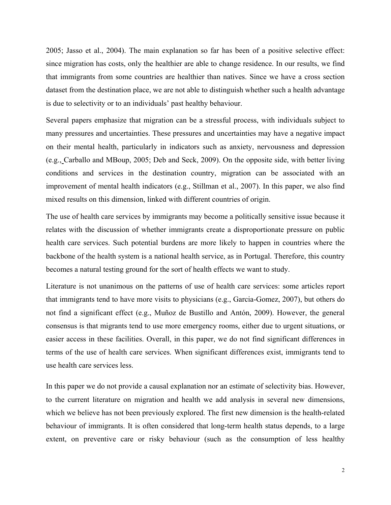2005; Jasso et al., 2004). The main explanation so far has been of a positive selective effect: since migration has costs, only the healthier are able to change residence. In our results, we find that immigrants from some countries are healthier than natives. Since we have a cross section dataset from the destination place, we are not able to distinguish whether such a health advantage is due to selectivity or to an individuals' past healthy behaviour.

Several papers emphasize that migration can be a stressful process, with individuals subject to many pressures and uncertainties. These pressures and uncertainties may have a negative impact on their mental health, particularly in indicators such as anxiety, nervousness and depression (e.g., Carballo and MBoup, 2005; Deb and Seck, 2009). On the opposite side, with better living conditions and services in the destination country, migration can be associated with an improvement of mental health indicators (e.g., Stillman et al., 2007). In this paper, we also find mixed results on this dimension, linked with different countries of origin.

The use of health care services by immigrants may become a politically sensitive issue because it relates with the discussion of whether immigrants create a disproportionate pressure on public health care services. Such potential burdens are more likely to happen in countries where the backbone of the health system is a national health service, as in Portugal. Therefore, this country becomes a natural testing ground for the sort of health effects we want to study.

Literature is not unanimous on the patterns of use of health care services: some articles report that immigrants tend to have more visits to physicians (e.g., Garcia-Gomez, 2007), but others do not find a significant effect (e.g., Muñoz de Bustillo and Antón, 2009). However, the general consensus is that migrants tend to use more emergency rooms, either due to urgent situations, or easier access in these facilities. Overall, in this paper, we do not find significant differences in terms of the use of health care services. When significant differences exist, immigrants tend to use health care services less.

In this paper we do not provide a causal explanation nor an estimate of selectivity bias. However, to the current literature on migration and health we add analysis in several new dimensions, which we believe has not been previously explored. The first new dimension is the health-related behaviour of immigrants. It is often considered that long-term health status depends, to a large extent, on preventive care or risky behaviour (such as the consumption of less healthy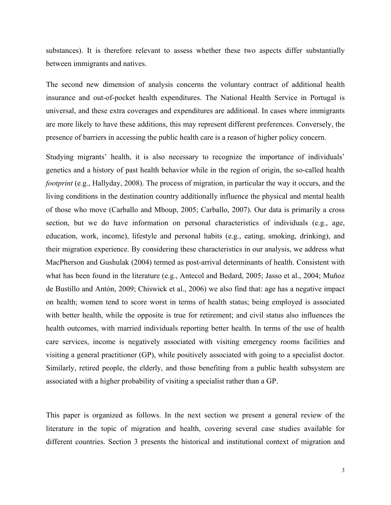substances). It is therefore relevant to assess whether these two aspects differ substantially between immigrants and natives.

The second new dimension of analysis concerns the voluntary contract of additional health insurance and out-of-pocket health expenditures. The National Health Service in Portugal is universal, and these extra coverages and expenditures are additional. In cases where immigrants are more likely to have these additions, this may represent different preferences. Conversely, the presence of barriers in accessing the public health care is a reason of higher policy concern.

Studying migrants' health, it is also necessary to recognize the importance of individuals' genetics and a history of past health behavior while in the region of origin, the so-called health *footprint* (e.g., Hallyday, 2008). The process of migration, in particular the way it occurs, and the living conditions in the destination country additionally influence the physical and mental health of those who move (Carballo and Mboup, 2005; Carballo, 2007). Our data is primarily a cross section, but we do have information on personal characteristics of individuals (e.g., age, education, work, income), lifestyle and personal habits (e.g., eating, smoking, drinking), and their migration experience. By considering these characteristics in our analysis, we address what MacPherson and Gushulak (2004) termed as post-arrival determinants of health. Consistent with what has been found in the literature (e.g., Antecol and Bedard, 2005; Jasso et al., 2004; Muñoz de Bustillo and Antón, 2009; Chiswick et al., 2006) we also find that: age has a negative impact on health; women tend to score worst in terms of health status; being employed is associated with better health, while the opposite is true for retirement; and civil status also influences the health outcomes, with married individuals reporting better health. In terms of the use of health care services, income is negatively associated with visiting emergency rooms facilities and visiting a general practitioner (GP), while positively associated with going to a specialist doctor. Similarly, retired people, the elderly, and those benefiting from a public health subsystem are associated with a higher probability of visiting a specialist rather than a GP.

This paper is organized as follows. In the next section we present a general review of the literature in the topic of migration and health, covering several case studies available for different countries. Section 3 presents the historical and institutional context of migration and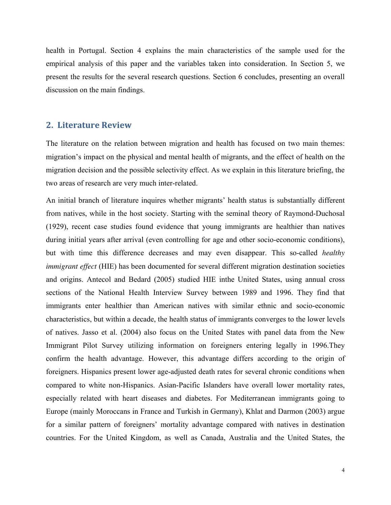health in Portugal. Section 4 explains the main characteristics of the sample used for the empirical analysis of this paper and the variables taken into consideration. In Section 5, we present the results for the several research questions. Section 6 concludes, presenting an overall discussion on the main findings.

#### **2. Literature Review**

The literature on the relation between migration and health has focused on two main themes: migration's impact on the physical and mental health of migrants, and the effect of health on the migration decision and the possible selectivity effect. As we explain in this literature briefing, the two areas of research are very much inter-related.

An initial branch of literature inquires whether migrants' health status is substantially different from natives, while in the host society. Starting with the seminal theory of Raymond-Duchosal (1929), recent case studies found evidence that young immigrants are healthier than natives during initial years after arrival (even controlling for age and other socio-economic conditions), but with time this difference decreases and may even disappear. This so-called *healthy immigrant effect* (HIE) has been documented for several different migration destination societies and origins. Antecol and Bedard (2005) studied HIE inthe United States, using annual cross sections of the National Health Interview Survey between 1989 and 1996. They find that immigrants enter healthier than American natives with similar ethnic and socio-economic characteristics, but within a decade, the health status of immigrants converges to the lower levels of natives. Jasso et al. (2004) also focus on the United States with panel data from the New Immigrant Pilot Survey utilizing information on foreigners entering legally in 1996.They confirm the health advantage. However, this advantage differs according to the origin of foreigners. Hispanics present lower age-adjusted death rates for several chronic conditions when compared to white non-Hispanics. Asian-Pacific Islanders have overall lower mortality rates, especially related with heart diseases and diabetes. For Mediterranean immigrants going to Europe (mainly Moroccans in France and Turkish in Germany), Khlat and Darmon (2003) argue for a similar pattern of foreigners' mortality advantage compared with natives in destination countries. For the United Kingdom, as well as Canada, Australia and the United States, the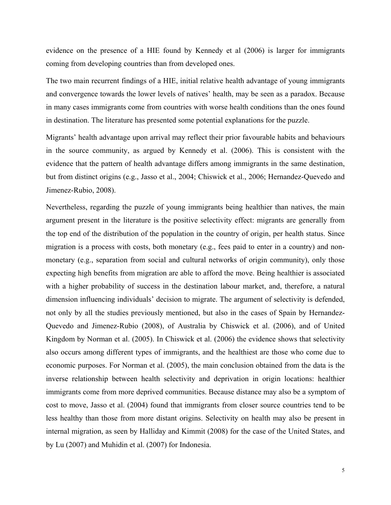evidence on the presence of a HIE found by Kennedy et al (2006) is larger for immigrants coming from developing countries than from developed ones.

The two main recurrent findings of a HIE, initial relative health advantage of young immigrants and convergence towards the lower levels of natives' health, may be seen as a paradox. Because in many cases immigrants come from countries with worse health conditions than the ones found in destination. The literature has presented some potential explanations for the puzzle.

Migrants' health advantage upon arrival may reflect their prior favourable habits and behaviours in the source community, as argued by Kennedy et al. (2006). This is consistent with the evidence that the pattern of health advantage differs among immigrants in the same destination, but from distinct origins (e.g., Jasso et al., 2004; Chiswick et al., 2006; Hernandez-Quevedo and Jimenez-Rubio, 2008).

Nevertheless, regarding the puzzle of young immigrants being healthier than natives, the main argument present in the literature is the positive selectivity effect: migrants are generally from the top end of the distribution of the population in the country of origin, per health status. Since migration is a process with costs, both monetary (e.g., fees paid to enter in a country) and nonmonetary (e.g., separation from social and cultural networks of origin community), only those expecting high benefits from migration are able to afford the move. Being healthier is associated with a higher probability of success in the destination labour market, and, therefore, a natural dimension influencing individuals' decision to migrate. The argument of selectivity is defended, not only by all the studies previously mentioned, but also in the cases of Spain by Hernandez-Quevedo and Jimenez-Rubio (2008), of Australia by Chiswick et al. (2006), and of United Kingdom by Norman et al. (2005). In Chiswick et al. (2006) the evidence shows that selectivity also occurs among different types of immigrants, and the healthiest are those who come due to economic purposes. For Norman et al. (2005), the main conclusion obtained from the data is the inverse relationship between health selectivity and deprivation in origin locations: healthier immigrants come from more deprived communities. Because distance may also be a symptom of cost to move, Jasso et al. (2004) found that immigrants from closer source countries tend to be less healthy than those from more distant origins. Selectivity on health may also be present in internal migration, as seen by Halliday and Kimmit (2008) for the case of the United States, and by Lu (2007) and Muhidin et al. (2007) for Indonesia.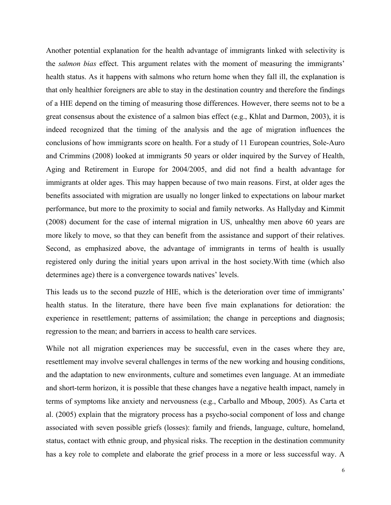Another potential explanation for the health advantage of immigrants linked with selectivity is the *salmon bias* effect. This argument relates with the moment of measuring the immigrants' health status. As it happens with salmons who return home when they fall ill, the explanation is that only healthier foreigners are able to stay in the destination country and therefore the findings of a HIE depend on the timing of measuring those differences. However, there seems not to be a great consensus about the existence of a salmon bias effect (e.g., Khlat and Darmon, 2003), it is indeed recognized that the timing of the analysis and the age of migration influences the conclusions of how immigrants score on health. For a study of 11 European countries, Sole-Auro and Crimmins (2008) looked at immigrants 50 years or older inquired by the Survey of Health, Aging and Retirement in Europe for 2004/2005, and did not find a health advantage for immigrants at older ages. This may happen because of two main reasons. First, at older ages the benefits associated with migration are usually no longer linked to expectations on labour market performance, but more to the proximity to social and family networks. As Hallyday and Kimmit (2008) document for the case of internal migration in US, unhealthy men above 60 years are more likely to move, so that they can benefit from the assistance and support of their relatives. Second, as emphasized above, the advantage of immigrants in terms of health is usually registered only during the initial years upon arrival in the host society.With time (which also determines age) there is a convergence towards natives' levels.

This leads us to the second puzzle of HIE, which is the deterioration over time of immigrants' health status. In the literature, there have been five main explanations for detioration: the experience in resettlement; patterns of assimilation; the change in perceptions and diagnosis; regression to the mean; and barriers in access to health care services.

While not all migration experiences may be successful, even in the cases where they are, resettlement may involve several challenges in terms of the new working and housing conditions, and the adaptation to new environments, culture and sometimes even language. At an immediate and short-term horizon, it is possible that these changes have a negative health impact, namely in terms of symptoms like anxiety and nervousness (e.g., Carballo and Mboup, 2005). As Carta et al. (2005) explain that the migratory process has a psycho-social component of loss and change associated with seven possible griefs (losses): family and friends, language, culture, homeland, status, contact with ethnic group, and physical risks. The reception in the destination community has a key role to complete and elaborate the grief process in a more or less successful way. A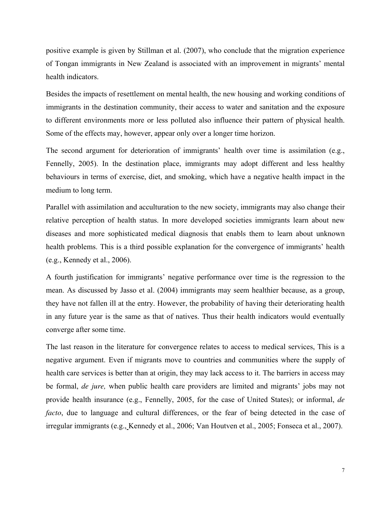positive example is given by Stillman et al. (2007), who conclude that the migration experience of Tongan immigrants in New Zealand is associated with an improvement in migrants' mental health indicators.

Besides the impacts of resettlement on mental health, the new housing and working conditions of immigrants in the destination community, their access to water and sanitation and the exposure to different environments more or less polluted also influence their pattern of physical health. Some of the effects may, however, appear only over a longer time horizon.

The second argument for deterioration of immigrants' health over time is assimilation (e.g., Fennelly, 2005). In the destination place, immigrants may adopt different and less healthy behaviours in terms of exercise, diet, and smoking, which have a negative health impact in the medium to long term.

Parallel with assimilation and acculturation to the new society, immigrants may also change their relative perception of health status. In more developed societies immigrants learn about new diseases and more sophisticated medical diagnosis that enabls them to learn about unknown health problems. This is a third possible explanation for the convergence of immigrants' health (e.g., Kennedy et al., 2006).

A fourth justification for immigrants' negative performance over time is the regression to the mean. As discussed by Jasso et al. (2004) immigrants may seem healthier because, as a group, they have not fallen ill at the entry. However, the probability of having their deteriorating health in any future year is the same as that of natives. Thus their health indicators would eventually converge after some time.

The last reason in the literature for convergence relates to access to medical services, This is a negative argument. Even if migrants move to countries and communities where the supply of health care services is better than at origin, they may lack access to it. The barriers in access may be formal, *de jure,* when public health care providers are limited and migrants' jobs may not provide health insurance (e.g., Fennelly, 2005, for the case of United States); or informal, *de facto*, due to language and cultural differences, or the fear of being detected in the case of irregular immigrants (e.g., Kennedy et al., 2006; Van Houtven et al., 2005; Fonseca et al., 2007).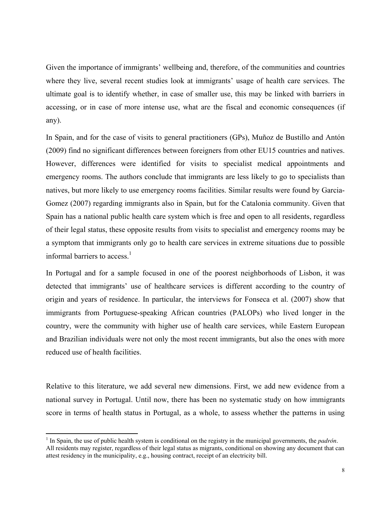Given the importance of immigrants' wellbeing and, therefore, of the communities and countries where they live, several recent studies look at immigrants' usage of health care services. The ultimate goal is to identify whether, in case of smaller use, this may be linked with barriers in accessing, or in case of more intense use, what are the fiscal and economic consequences (if any).

In Spain, and for the case of visits to general practitioners (GPs), Muñoz de Bustillo and Antón (2009) find no significant differences between foreigners from other EU15 countries and natives. However, differences were identified for visits to specialist medical appointments and emergency rooms. The authors conclude that immigrants are less likely to go to specialists than natives, but more likely to use emergency rooms facilities. Similar results were found by Garcia-Gomez (2007) regarding immigrants also in Spain, but for the Catalonia community. Given that Spain has a national public health care system which is free and open to all residents, regardless of their legal status, these opposite results from visits to specialist and emergency rooms may be a symptom that immigrants only go to health care services in extreme situations due to possible informal barriers to access. $<sup>1</sup>$ </sup>

In Portugal and for a sample focused in one of the poorest neighborhoods of Lisbon, it was detected that immigrants' use of healthcare services is different according to the country of origin and years of residence. In particular, the interviews for Fonseca et al. (2007) show that immigrants from Portuguese-speaking African countries (PALOPs) who lived longer in the country, were the community with higher use of health care services, while Eastern European and Brazilian individuals were not only the most recent immigrants, but also the ones with more reduced use of health facilities.

Relative to this literature, we add several new dimensions. First, we add new evidence from a national survey in Portugal. Until now, there has been no systematic study on how immigrants score in terms of health status in Portugal, as a whole, to assess whether the patterns in using

<sup>&</sup>lt;sup>1</sup> In Spain, the use of public health system is conditional on the registry in the municipal governments, the *padrón*. All residents may register, regardless of their legal status as migrants, conditional on showing any document that can attest residency in the municipality, e.g., housing contract, receipt of an electricity bill.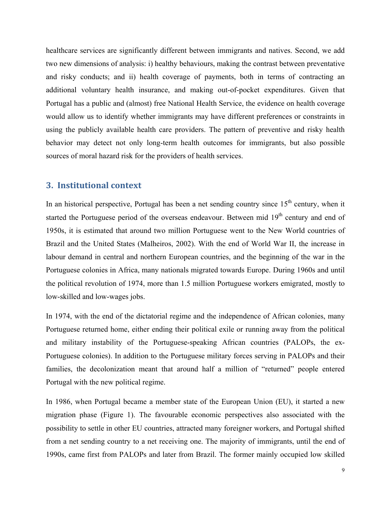healthcare services are significantly different between immigrants and natives. Second, we add two new dimensions of analysis: i) healthy behaviours, making the contrast between preventative and risky conducts; and ii) health coverage of payments, both in terms of contracting an additional voluntary health insurance, and making out-of-pocket expenditures. Given that Portugal has a public and (almost) free National Health Service, the evidence on health coverage would allow us to identify whether immigrants may have different preferences or constraints in using the publicly available health care providers. The pattern of preventive and risky health behavior may detect not only long-term health outcomes for immigrants, but also possible sources of moral hazard risk for the providers of health services.

#### **3. Institutional context**

In an historical perspective, Portugal has been a net sending country since  $15<sup>th</sup>$  century, when it started the Portuguese period of the overseas endeavour. Between mid  $19<sup>th</sup>$  century and end of 1950s, it is estimated that around two million Portuguese went to the New World countries of Brazil and the United States (Malheiros, 2002). With the end of World War II, the increase in labour demand in central and northern European countries, and the beginning of the war in the Portuguese colonies in Africa, many nationals migrated towards Europe. During 1960s and until the political revolution of 1974, more than 1.5 million Portuguese workers emigrated, mostly to low-skilled and low-wages jobs.

In 1974, with the end of the dictatorial regime and the independence of African colonies, many Portuguese returned home, either ending their political exile or running away from the political and military instability of the Portuguese-speaking African countries (PALOPs, the ex-Portuguese colonies). In addition to the Portuguese military forces serving in PALOPs and their families, the decolonization meant that around half a million of "returned" people entered Portugal with the new political regime.

In 1986, when Portugal became a member state of the European Union (EU), it started a new migration phase (Figure 1). The favourable economic perspectives also associated with the possibility to settle in other EU countries, attracted many foreigner workers, and Portugal shifted from a net sending country to a net receiving one. The majority of immigrants, until the end of 1990s, came first from PALOPs and later from Brazil. The former mainly occupied low skilled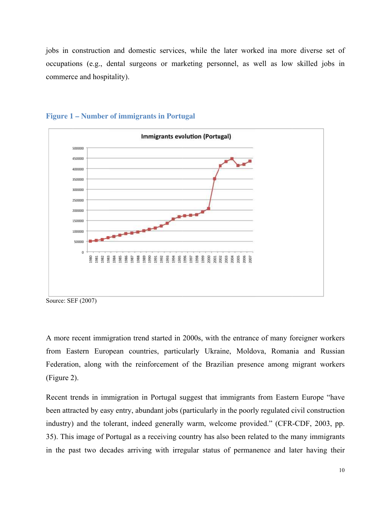jobs in construction and domestic services, while the later worked ina more diverse set of occupations (e.g., dental surgeons or marketing personnel, as well as low skilled jobs in commerce and hospitality).



#### **Figure 1 – Number of immigrants in Portugal**

A more recent immigration trend started in 2000s, with the entrance of many foreigner workers from Eastern European countries, particularly Ukraine, Moldova, Romania and Russian Federation, along with the reinforcement of the Brazilian presence among migrant workers (Figure 2 2).

Recent trends in immigration in Portugal suggest that immigrants from Eastern Europe "have been attracted by easy entry, abundant jobs (particularly in the poorly regulated civil construction industry) and the tolerant, indeed generally warm, welcome provided." (CFR-CDF, 2003, pp. 35). This image of Portugal as a receiving country has also been related to the many immigrants in the past two decades arriving with irregular status of permanence and later having their

Source: SEF (2007)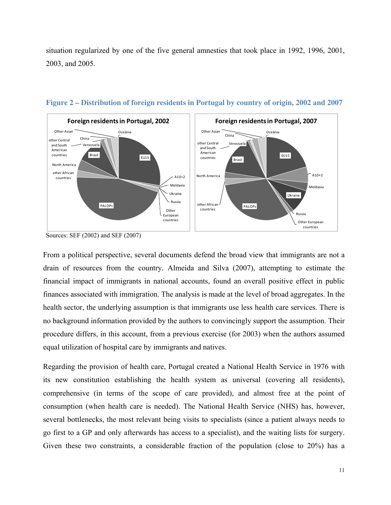situation regularized by one of the five general amnesties that took place in 1992, 1996, 2001, 2003, and 2005.





From a political perspective, several documents defend the broad view that immigrants are not a drain of resources from the country. Almeida and Silva (2007), attempting to estimate the financial impact of immigrants in national accounts, found an overall positive effect in public finances associated with immigration. The analysis is made at the level of broad aggregates. In the health sector, the underlying assumption is that immigrants use less health care services. There is no background information provided by the authors to convincingly support the assumption. Their procedure differs, in this account, from a previous exercise (for 2003) when the authors assumed equal utilization of hospital care by immigrants and natives.

Regarding the provision of health care, Portugal created a National Health Service in 1976 with its new constitution establishing the health system as universal (covering all residents), comprehensive (in terms of the scope of care provided), and almost free at the point of consumption (when health care is needed). The National Health Service (NHS) has, however, several bottlenecks, the most relevant being visits to specialists (since a patient always needs to go first to a GP and only afterwards has access to a specialist), and the waiting lists for surgery. Given these two constraints, a considerable fraction of the population (close to 20%) has a

Sources: SEF (2002) and SEF (2007)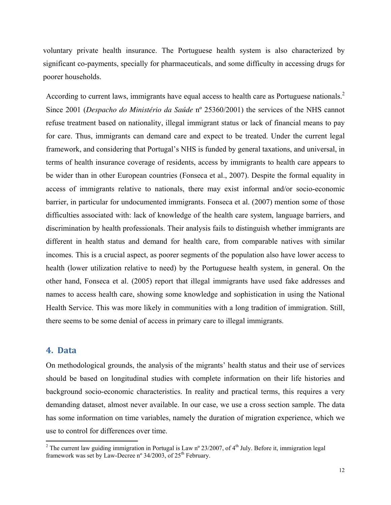voluntary private health insurance. The Portuguese health system is also characterized by significant co-payments, specially for pharmaceuticals, and some difficulty in accessing drugs for poorer households.

According to current laws, immigrants have equal access to health care as Portuguese nationals.<sup>2</sup> Since 2001 (*Despacho do Ministério da Saúde* nº 25360/2001) the services of the NHS cannot refuse treatment based on nationality, illegal immigrant status or lack of financial means to pay for care. Thus, immigrants can demand care and expect to be treated. Under the current legal framework, and considering that Portugal's NHS is funded by general taxations, and universal, in terms of health insurance coverage of residents, access by immigrants to health care appears to be wider than in other European countries (Fonseca et al., 2007). Despite the formal equality in access of immigrants relative to nationals, there may exist informal and/or socio-economic barrier, in particular for undocumented immigrants. Fonseca et al. (2007) mention some of those difficulties associated with: lack of knowledge of the health care system, language barriers, and discrimination by health professionals. Their analysis fails to distinguish whether immigrants are different in health status and demand for health care, from comparable natives with similar incomes. This is a crucial aspect, as poorer segments of the population also have lower access to health (lower utilization relative to need) by the Portuguese health system, in general. On the other hand, Fonseca et al. (2005) report that illegal immigrants have used fake addresses and names to access health care, showing some knowledge and sophistication in using the National Health Service. This was more likely in communities with a long tradition of immigration. Still, there seems to be some denial of access in primary care to illegal immigrants.

### **4. Data**

On methodological grounds, the analysis of the migrants' health status and their use of services should be based on longitudinal studies with complete information on their life histories and background socio-economic characteristics. In reality and practical terms, this requires a very demanding dataset, almost never available. In our case, we use a cross section sample. The data has some information on time variables, namely the duration of migration experience, which we use to control for differences over time.

<sup>&</sup>lt;sup>2</sup> The current law guiding immigration in Portugal is Law n° 23/2007, of  $4<sup>th</sup>$  July. Before it, immigration legal framework was set by Law-Decree n°  $34/2003$ , of  $25<sup>th</sup>$  February.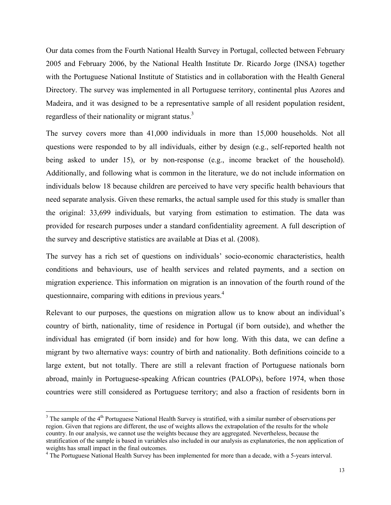Our data comes from the Fourth National Health Survey in Portugal, collected between February 2005 and February 2006, by the National Health Institute Dr. Ricardo Jorge (INSA) together with the Portuguese National Institute of Statistics and in collaboration with the Health General Directory. The survey was implemented in all Portuguese territory, continental plus Azores and Madeira, and it was designed to be a representative sample of all resident population resident, regardless of their nationality or migrant status.<sup>3</sup>

The survey covers more than 41,000 individuals in more than 15,000 households. Not all questions were responded to by all individuals, either by design (e.g., self-reported health not being asked to under 15), or by non-response (e.g., income bracket of the household). Additionally, and following what is common in the literature, we do not include information on individuals below 18 because children are perceived to have very specific health behaviours that need separate analysis. Given these remarks, the actual sample used for this study is smaller than the original: 33,699 individuals, but varying from estimation to estimation. The data was provided for research purposes under a standard confidentiality agreement. A full description of the survey and descriptive statistics are available at Dias et al. (2008).

The survey has a rich set of questions on individuals' socio-economic characteristics, health conditions and behaviours, use of health services and related payments, and a section on migration experience. This information on migration is an innovation of the fourth round of the questionnaire, comparing with editions in previous years.<sup>4</sup>

Relevant to our purposes, the questions on migration allow us to know about an individual's country of birth, nationality, time of residence in Portugal (if born outside), and whether the individual has emigrated (if born inside) and for how long. With this data, we can define a migrant by two alternative ways: country of birth and nationality. Both definitions coincide to a large extent, but not totally. There are still a relevant fraction of Portuguese nationals born abroad, mainly in Portuguese-speaking African countries (PALOPs), before 1974, when those countries were still considered as Portuguese territory; and also a fraction of residents born in

 $3$  The sample of the  $4<sup>th</sup>$  Portuguese National Health Survey is stratified, with a similar number of observations per region. Given that regions are different, the use of weights allows the extrapolation of the results for the whole country. In our analysis, we cannot use the weights because they are aggregated. Nevertheless, because the stratification of the sample is based in variables also included in our analysis as explanatories, the non application of weights has small impact in the final outcomes.

<sup>&</sup>lt;sup>4</sup> The Portuguese National Health Survey has been implemented for more than a decade, with a 5-years interval.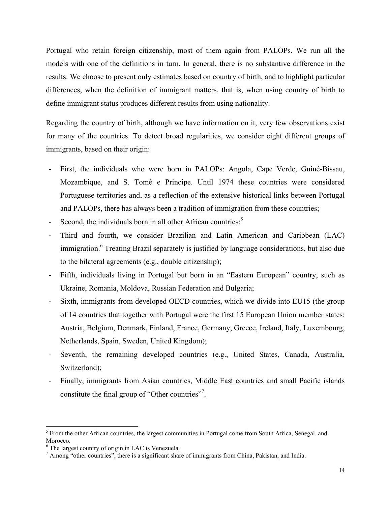Portugal who retain foreign citizenship, most of them again from PALOPs. We run all the models with one of the definitions in turn. In general, there is no substantive difference in the results. We choose to present only estimates based on country of birth, and to highlight particular differences, when the definition of immigrant matters, that is, when using country of birth to define immigrant status produces different results from using nationality.

Regarding the country of birth, although we have information on it, very few observations exist for many of the countries. To detect broad regularities, we consider eight different groups of immigrants, based on their origin:

- ‐ First, the individuals who were born in PALOPs: Angola, Cape Verde, Guiné-Bissau, Mozambique, and S. Tomé e Principe. Until 1974 these countries were considered Portuguese territories and, as a reflection of the extensive historical links between Portugal and PALOPs, there has always been a tradition of immigration from these countries;
- Second, the individuals born in all other African countries; $<sup>5</sup>$ </sup>
- ‐ Third and fourth, we consider Brazilian and Latin American and Caribbean (LAC) immigration.<sup>6</sup> Treating Brazil separately is justified by language considerations, but also due to the bilateral agreements (e.g., double citizenship);
- Fifth, individuals living in Portugal but born in an "Eastern European" country, such as Ukraine, Romania, Moldova, Russian Federation and Bulgaria;
- Sixth, immigrants from developed OECD countries, which we divide into EU15 (the group of 14 countries that together with Portugal were the first 15 European Union member states: Austria, Belgium, Denmark, Finland, France, Germany, Greece, Ireland, Italy, Luxembourg, Netherlands, Spain, Sweden, United Kingdom);
- ‐ Seventh, the remaining developed countries (e.g., United States, Canada, Australia, Switzerland);
- ‐ Finally, immigrants from Asian countries, Middle East countries and small Pacific islands constitute the final group of "Other countries"<sup>7</sup>.

<sup>&</sup>lt;sup>5</sup> From the other African countries, the largest communities in Portugal come from South Africa, Senegal, and Morocco.

<sup>6</sup> The largest country of origin in LAC is Venezuela.

<sup>&</sup>lt;sup>7</sup> Among "other countries", there is a significant share of immigrants from China, Pakistan, and India.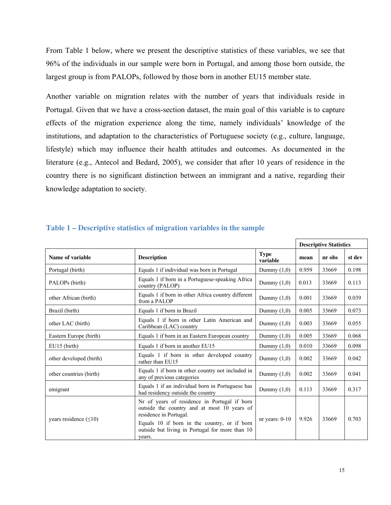From Table 1 below, where we present the descriptive statistics of these variables, we see that 96% of the individuals in our sample were born in Portugal, and among those born outside, the largest group is from PALOPs, followed by those born in another EU15 member state.

Another variable on migration relates with the number of years that individuals reside in Portugal. Given that we have a cross-section dataset, the main goal of this variable is to capture effects of the migration experience along the time, namely individuals' knowledge of the institutions, and adaptation to the characteristics of Portuguese society (e.g., culture, language, lifestyle) which may influence their health attitudes and outcomes. As documented in the literature (e.g., Antecol and Bedard, 2005), we consider that after 10 years of residence in the country there is no significant distinction between an immigrant and a native, regarding their knowledge adaptation to society.

|                             |                                                                                                                                                                                                                                    |                         |       | <b>Descriptive Statistics</b> |        |  |
|-----------------------------|------------------------------------------------------------------------------------------------------------------------------------------------------------------------------------------------------------------------------------|-------------------------|-------|-------------------------------|--------|--|
| Name of variable            | <b>Description</b>                                                                                                                                                                                                                 | <b>Type</b><br>variable | mean  | nr obs                        | st dev |  |
| Portugal (birth)            | Equals 1 if individual was born in Portugal                                                                                                                                                                                        | Dummy $(1,0)$           | 0.959 | 33669                         | 0.198  |  |
| PALOPs (birth)              | Equals 1 if born in a Portuguese-speaking Africa<br>country (PALOP)                                                                                                                                                                | Dummy $(1,0)$           | 0.013 | 33669                         | 0.113  |  |
| other African (birth)       | Equals 1 if born in other Africa country different<br>from a PALOP                                                                                                                                                                 | Dummy $(1,0)$           | 0.001 | 33669                         | 0.039  |  |
| Brazil (birth)              | Equals 1 if born in Brazil                                                                                                                                                                                                         | Dummy $(1,0)$           | 0.005 | 33669                         | 0.073  |  |
| other LAC (birth)           | Equals 1 if born in other Latin American and<br>Caribbean (LAC) country                                                                                                                                                            | Dummy $(1,0)$           | 0.003 | 33669                         | 0.055  |  |
| Eastern Europe (birth)      | Equals 1 if born in an Eastern European country                                                                                                                                                                                    | Dummy $(1,0)$           | 0.005 | 33669                         | 0.068  |  |
| $EU15$ (birth)              | Equals 1 if born in another EU15                                                                                                                                                                                                   | Dummy $(1,0)$           | 0.010 | 33669                         | 0.098  |  |
| other developed (birth)     | Equals 1 if born in other developed country<br>rather than EU15                                                                                                                                                                    | Dummy $(1,0)$           | 0.002 | 33669                         | 0.042  |  |
| other countries (birth)     | Equals 1 if born in other country not included in<br>any of previous categories                                                                                                                                                    | Dummy $(1,0)$           | 0.002 | 33669                         | 0.041  |  |
| emigrant                    | Equals 1 if an individual born in Portuguese has<br>had residency outside the country                                                                                                                                              | Dummy $(1,0)$           | 0.113 | 33669                         | 0.317  |  |
| years residence $(\leq 10)$ | Nr of years of residence in Portugal if born<br>outside the country and at most 10 years of<br>residence in Portugal.<br>Equals 10 if born in the country, or if born<br>outside but living in Portugal for more than 10<br>years. | nr years: $0-10$        | 9.926 | 33669                         | 0.703  |  |

#### **Table 1 – Descriptive statistics of migration variables in the sample**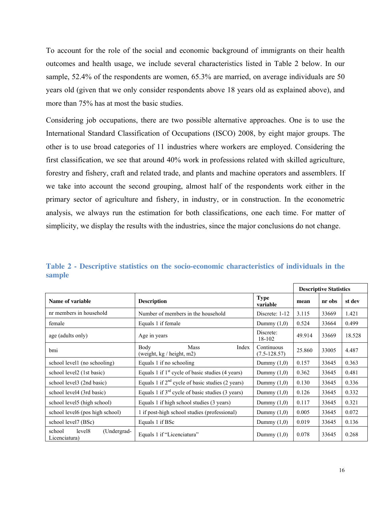To account for the role of the social and economic background of immigrants on their health outcomes and health usage, we include several characteristics listed in Table 2 below. In our sample, 52.4% of the respondents are women, 65.3% are married, on average individuals are 50 years old (given that we only consider respondents above 18 years old as explained above), and more than 75% has at most the basic studies.

Considering job occupations, there are two possible alternative approaches. One is to use the International Standard Classification of Occupations (ISCO) 2008, by eight major groups. The other is to use broad categories of 11 industries where workers are employed. Considering the first classification, we see that around 40% work in professions related with skilled agriculture, forestry and fishery, craft and related trade, and plants and machine operators and assemblers. If we take into account the second grouping, almost half of the respondents work either in the primary sector of agriculture and fishery, in industry, or in construction. In the econometric analysis, we always run the estimation for both classifications, one each time. For matter of simplicity, we display the results with the industries, since the major conclusions do not change.

|                                                              |                                                    |                              |        | <b>Descriptive Statistics</b> |        |  |
|--------------------------------------------------------------|----------------------------------------------------|------------------------------|--------|-------------------------------|--------|--|
| Name of variable<br><b>Description</b>                       |                                                    | <b>Type</b><br>variable      | mean   | nr obs                        | st dev |  |
| nr members in household                                      | Number of members in the household                 | Discrete: 1-12               | 3.115  | 33669                         | 1.421  |  |
| female                                                       | Equals 1 if female                                 | Dummy $(1,0)$                | 0.524  | 33664                         | 0.499  |  |
| age (adults only)                                            | Age in years                                       | Discrete:<br>18-102          | 49.914 | 33669                         | 18.528 |  |
| Mass<br>Body<br>Index<br>bmi<br>(weight, $kg/h$ eight, m2)   |                                                    | Continuous<br>$(7.5-128.57)$ | 25.860 | 33005                         | 4.487  |  |
| school level (no schooling)                                  | Equals 1 if no schooling                           | Dummy $(1,0)$                | 0.157  | 33645                         | 0.363  |  |
| school level2 (1st basic)                                    | Equals 1 if $1st$ cycle of basic studies (4 years) | Dummy $(1,0)$                | 0.362  | 33645                         | 0.481  |  |
| school level3 (2nd basic)                                    | Equals 1 if $2nd$ cycle of basic studies (2 years) | Dummy $(1,0)$                | 0.130  | 33645                         | 0.336  |  |
| school level4 (3rd basic)                                    | Equals 1 if $3rd$ cycle of basic studies (3 years) | Dummy $(1,0)$                | 0.126  | 33645                         | 0.332  |  |
| school level5 (high school)                                  | Equals 1 if high school studies (3 years)          | Dummy $(1,0)$                | 0.117  | 33645                         | 0.321  |  |
| school level6 (pos high school)                              | 1 if post-high school studies (professional)       | Dummy $(1,0)$                | 0.005  | 33645                         | 0.072  |  |
| school level7 (BSc)                                          | Equals 1 if BSc                                    | Dummy $(1,0)$                | 0.019  | 33645                         | 0.136  |  |
| school<br>level <sub>8</sub><br>(Undergrad-<br>Licenciatura) | Equals 1 if "Licenciatura"                         | Dummy $(1,0)$                | 0.078  | 33645                         | 0.268  |  |

**Table 2 - Descriptive statistics on the socio-economic characteristics of individuals in the sample**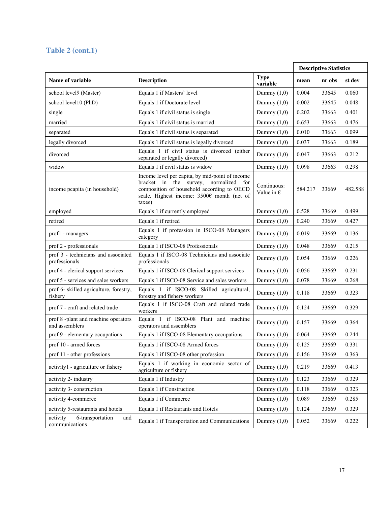# **Table 2 (cont.1)**

|                                                       |                                                                                                                                                                                                                                      | <b>Descriptive Statistics</b> |         |        |         |
|-------------------------------------------------------|--------------------------------------------------------------------------------------------------------------------------------------------------------------------------------------------------------------------------------------|-------------------------------|---------|--------|---------|
| Name of variable                                      | <b>Description</b>                                                                                                                                                                                                                   | <b>Type</b><br>variable       | mean    | nr obs | st dev  |
| school level9 (Master)                                | Equals 1 if Masters' level                                                                                                                                                                                                           | Dummy $(1,0)$                 | 0.004   | 33645  | 0.060   |
| school level10 (PhD)                                  | Equals 1 if Doctorate level                                                                                                                                                                                                          | Dummy $(1,0)$                 | 0.002   | 33645  | 0.048   |
| single                                                | Equals 1 if civil status is single                                                                                                                                                                                                   | Dummy $(1,0)$                 | 0.202   | 33663  | 0.401   |
| married                                               | Equals 1 if civil status is married                                                                                                                                                                                                  | Dummy $(1,0)$                 | 0.653   | 33663  | 0.476   |
| separated                                             | Equals 1 if civil status is separated                                                                                                                                                                                                | Dummy $(1,0)$                 | 0.010   | 33663  | 0.099   |
| legally divorced                                      | Equals 1 if civil status is legally divorced                                                                                                                                                                                         | Dummy $(1,0)$                 | 0.037   | 33663  | 0.189   |
| divorced                                              | Equals 1 if civil status is divorced (either<br>separated or legally divorced)                                                                                                                                                       | Dummy $(1,0)$                 | 0.047   | 33663  | 0.212   |
| widow                                                 | Equals 1 if civil status is widow                                                                                                                                                                                                    | Dummy $(1,0)$                 | 0.098   | 33663  | 0.298   |
| income peapita (in household)                         | Income level per capita, by mid-point of income<br>bracket in the survey, normalized for<br>Continuous:<br>composition of household according to OECD<br>Value in $\epsilon$<br>scale. Highest income: 3500€ month (net of<br>taxes) |                               | 584.217 | 33669  | 482.588 |
| employed                                              | Equals 1 if currently employed                                                                                                                                                                                                       | Dummy $(1,0)$                 | 0.528   | 33669  | 0.499   |
| retired                                               | Equals 1 if retired                                                                                                                                                                                                                  | Dummy $(1,0)$                 | 0.240   | 33669  | 0.427   |
| prof1 - managers                                      | Equals 1 if profession in ISCO-08 Managers<br>category                                                                                                                                                                               | Dummy $(1,0)$                 | 0.019   | 33669  | 0.136   |
| prof 2 - professionals                                | Equals 1 if ISCO-08 Professionals                                                                                                                                                                                                    | Dummy $(1,0)$                 | 0.048   | 33669  | 0.215   |
| prof 3 - technicians and associated<br>professionals  | Equals 1 if ISCO-08 Technicians and associate<br>professionals                                                                                                                                                                       | Dummy $(1,0)$                 | 0.054   | 33669  | 0.226   |
| prof 4 - clerical support services                    | Equals 1 if ISCO-08 Clerical support services                                                                                                                                                                                        | Dummy $(1,0)$                 | 0.056   | 33669  | 0.231   |
| prof 5 - services and sales workers                   | Equals 1 if ISCO-08 Service and sales workers                                                                                                                                                                                        | Dummy $(1,0)$                 | 0.078   | 33669  | 0.268   |
| prof 6- skilled agriculture, forestry,<br>fishery     | Equals 1 if ISCO-08 Skilled agricultural,<br>forestry and fishery workers                                                                                                                                                            | Dummy $(1,0)$                 | 0.118   | 33669  | 0.323   |
| prof 7 - craft and related trade                      | Equals 1 if ISCO-08 Craft and related trade<br>workers                                                                                                                                                                               | Dummy $(1,0)$                 | 0.124   | 33669  | 0.329   |
| prof 8 -plant and machine operators<br>and assemblers | Equals 1 if ISCO-08 Plant and machine<br>operators and assemblers                                                                                                                                                                    | Dummy $(1,0)$                 | 0.157   | 33669  | 0.364   |
| prof 9 - elementary occupations                       | Equals 1 if ISCO-08 Elementary occupations                                                                                                                                                                                           | Dummy $(1,0)$                 | 0.064   | 33669  | 0.244   |
| prof 10 - armed forces                                | Equals 1 if ISCO-08 Armed forces                                                                                                                                                                                                     | Dummy $(1,0)$                 | 0.125   | 33669  | 0.331   |
| prof 11 - other professions                           | Equals 1 if ISCO-08 other profession                                                                                                                                                                                                 | Dummy $(1,0)$                 | 0.156   | 33669  | 0.363   |
| activity1 - agriculture or fishery                    | Equals 1 if working in economic sector of<br>agriculture or fishery                                                                                                                                                                  | Dummy $(1,0)$                 | 0.219   | 33669  | 0.413   |
| activity 2- industry                                  | Equals 1 if Industry                                                                                                                                                                                                                 | Dummy $(1,0)$                 | 0.123   | 33669  | 0.329   |
| activity 3- construction                              | Equals 1 if Construction                                                                                                                                                                                                             | Dummy $(1,0)$                 | 0.118   | 33669  | 0.323   |
| activity 4-commerce                                   | Equals 1 if Commerce                                                                                                                                                                                                                 | Dummy $(1,0)$                 | 0.089   | 33669  | 0.285   |
| activity 5-restaurants and hotels                     | Equals 1 if Restaurants and Hotels                                                                                                                                                                                                   | Dummy $(1,0)$                 | 0.124   | 33669  | 0.329   |
| 6-transportation<br>activity<br>and<br>communications | Equals 1 if Transportation and Communications                                                                                                                                                                                        | Dummy $(1,0)$                 | 0.052   | 33669  | 0.222   |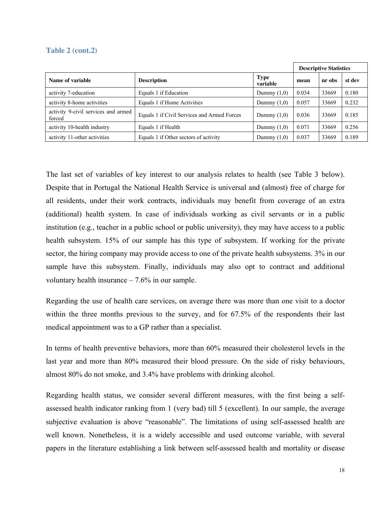#### **Table 2 (cont.2)**

|                                               |                                             |                         | <b>Descriptive Statistics</b> |        |        |
|-----------------------------------------------|---------------------------------------------|-------------------------|-------------------------------|--------|--------|
| Name of variable                              | <b>Description</b>                          | <b>Type</b><br>variable | mean                          | nr obs | st dev |
| activity 7-education                          | Equals 1 if Education                       | Dummy $(1,0)$           | 0.034                         | 33669  | 0.180  |
| activity 8-home activities                    | Equals 1 if Home Activities                 | Dummy $(1,0)$           | 0.057                         | 33669  | 0.232  |
| activity 9-civil services and armed<br>forced | Equals 1 if Civil Services and Armed Forces | Dummy $(1,0)$           | 0.036                         | 33669  | 0.185  |
| activity 10-health industry                   | Equals 1 if Health                          | Dummy $(1,0)$           | 0.071                         | 33669  | 0.256  |
| activity 11-other activities                  | Equals 1 if Other sectors of activity       | Dummy $(1,0)$           | 0.037                         | 33669  | 0.189  |

The last set of variables of key interest to our analysis relates to health (see Table 3 below). Despite that in Portugal the National Health Service is universal and (almost) free of charge for all residents, under their work contracts, individuals may benefit from coverage of an extra (additional) health system. In case of individuals working as civil servants or in a public institution (e.g., teacher in a public school or public university), they may have access to a public health subsystem. 15% of our sample has this type of subsystem. If working for the private sector, the hiring company may provide access to one of the private health subsystems. 3% in our sample have this subsystem. Finally, individuals may also opt to contract and additional voluntary health insurance  $-7.6\%$  in our sample.

Regarding the use of health care services, on average there was more than one visit to a doctor within the three months previous to the survey, and for 67.5% of the respondents their last medical appointment was to a GP rather than a specialist.

In terms of health preventive behaviors, more than 60% measured their cholesterol levels in the last year and more than 80% measured their blood pressure. On the side of risky behaviours, almost 80% do not smoke, and 3.4% have problems with drinking alcohol.

Regarding health status, we consider several different measures, with the first being a selfassessed health indicator ranking from 1 (very bad) till 5 (excellent). In our sample, the average subjective evaluation is above "reasonable". The limitations of using self-assessed health are well known. Nonetheless, it is a widely accessible and used outcome variable, with several papers in the literature establishing a link between self-assessed health and mortality or disease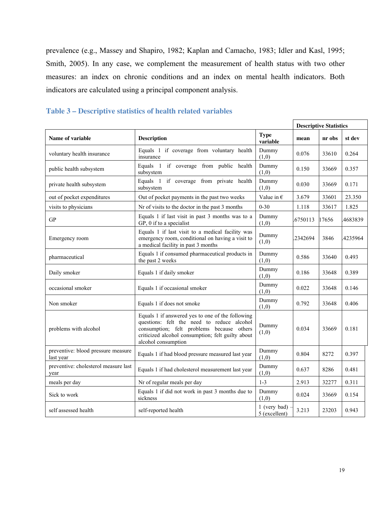prevalence (e.g., Massey and Shapiro, 1982; Kaplan and Camacho, 1983; Idler and Kasl, 1995; Smith, 2005). In any case, we complement the measurement of health status with two other measures: an index on chronic conditions and an index on mental health indicators. Both indicators are calculated using a principal component analysis.

|                                                 |                                                                                                                                                                                                                         |                               | <b>Descriptive Statistics</b> |        |         |
|-------------------------------------------------|-------------------------------------------------------------------------------------------------------------------------------------------------------------------------------------------------------------------------|-------------------------------|-------------------------------|--------|---------|
| Name of variable                                | <b>Description</b>                                                                                                                                                                                                      | <b>Type</b><br>variable       | mean                          | nr obs | st dev  |
| voluntary health insurance                      | Equals 1 if coverage from voluntary health<br>insurance                                                                                                                                                                 | Dummy<br>(1,0)                | 0.076                         | 33610  | 0.264   |
| public health subsystem                         | Equals 1 if coverage from public health<br>subsystem                                                                                                                                                                    | Dummy<br>(1,0)                | 0.150                         | 33669  | 0.357   |
| private health subsystem                        | Equals 1 if coverage from private health<br>subsystem                                                                                                                                                                   | Dummy<br>(1,0)                | 0.030                         | 33669  | 0.171   |
| out of pocket expenditures                      | Out of pocket payments in the past two weeks                                                                                                                                                                            | Value in $\epsilon$           | 3.679                         | 33601  | 23.350  |
| visits to physicians                            | Nr of visits to the doctor in the past 3 months                                                                                                                                                                         | $0 - 30$                      | 1.118                         | 33617  | 1.825   |
| <b>GP</b>                                       | Equals 1 if last visit in past 3 months was to a<br>GP, 0 if to a specialist                                                                                                                                            | Dummy<br>(1,0)                | 6750113                       | 17656  | 4683839 |
| Emergency room                                  | Equals 1 if last visit to a medical facility was<br>emergency room, conditional on having a visit to<br>a medical facility in past 3 months                                                                             | Dummy<br>(1,0)                | .2342694                      | 3846   | 4235964 |
| pharmaceutical                                  | Equals 1 if consumed pharmaceutical products in<br>the past 2 weeks                                                                                                                                                     | Dummy<br>(1,0)                | 0.586                         | 33640  | 0.493   |
| Daily smoker                                    | Equals 1 if daily smoker                                                                                                                                                                                                | Dummy<br>(1,0)                | 0.186                         | 33648  | 0.389   |
| occasional smoker                               | Equals 1 if occasional smoker                                                                                                                                                                                           | Dummy<br>(1,0)                | 0.022                         | 33648  | 0.146   |
| Non smoker                                      | Equals 1 if does not smoke                                                                                                                                                                                              | Dummy<br>(1,0)                | 0.792                         | 33648  | 0.406   |
| problems with alcohol                           | Equals 1 if answered yes to one of the following<br>questions: felt the need to reduce alcohol<br>consumption; felt problems because others<br>criticized alcohol consumption; felt guilty about<br>alcohol consumption | Dummy<br>(1,0)                | 0.034                         | 33669  | 0.181   |
| preventive: blood pressure measure<br>last year | Equals 1 if had blood pressure measured last year                                                                                                                                                                       | Dummy<br>(1,0)                | 0.804                         | 8272   | 0.397   |
| preventive: cholesterol measure last<br>year    | Equals 1 if had cholesterol measurement last year                                                                                                                                                                       | Dummy<br>(1,0)                | 0.637                         | 8286   | 0.481   |
| meals per day                                   | Nr of regular meals per day                                                                                                                                                                                             | $1 - 3$                       | 2.913                         | 32277  | 0.311   |
| Sick to work                                    | Equals 1 if did not work in past 3 months due to<br>sickness                                                                                                                                                            | Dummy<br>(1,0)                | 0.024                         | 33669  | 0.154   |
| self assessed health                            | self-reported health                                                                                                                                                                                                    | 1 (very bad)<br>5 (excellent) | 3.213                         | 23203  | 0.943   |

## **Table 3 – Descriptive statistics of health related variables**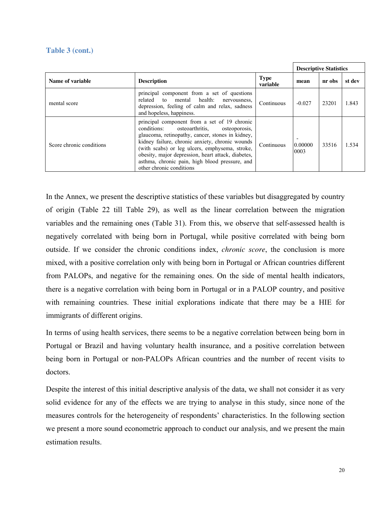#### **Table 3 (cont.)**

|                          |                                                                                                                                                                                                                                                                                                                                                                                              |                         | <b>Descriptive Statistics</b> |        |        |
|--------------------------|----------------------------------------------------------------------------------------------------------------------------------------------------------------------------------------------------------------------------------------------------------------------------------------------------------------------------------------------------------------------------------------------|-------------------------|-------------------------------|--------|--------|
| Name of variable         | <b>Description</b>                                                                                                                                                                                                                                                                                                                                                                           | <b>Type</b><br>variable | mean                          | nr obs | st dev |
| mental score             | principal component from a set of questions<br>mental health:<br>related to<br>nervousness.<br>depression, feeling of calm and relax, sadness<br>and hopeless, happiness.                                                                                                                                                                                                                    | Continuous              | $-0.027$                      | 23201  | 1.843  |
| Score chronic conditions | principal component from a set of 19 chronic<br>conditions:<br>osteoarthritis.<br>osteoporosis.<br>glaucoma, retinopathy, cancer, stones in kidney,<br>kidney failure, chronic anxiety, chronic wounds<br>(with scabs) or leg ulcers, emphysema, stroke,<br>obesity, major depression, heart attack, diabetes,<br>asthma, chronic pain, high blood pressure, and<br>other chronic conditions | Continuous              | 0.00000<br>0003               | 33516  | 1.534  |

In the Annex, we present the descriptive statistics of these variables but disaggregated by country of origin (Table 22 till Table 29), as well as the linear correlation between the migration variables and the remaining ones (Table 31). From this, we observe that self-assessed health is negatively correlated with being born in Portugal, while positive correlated with being born outside. If we consider the chronic conditions index, *chronic score*, the conclusion is more mixed, with a positive correlation only with being born in Portugal or African countries different from PALOPs, and negative for the remaining ones. On the side of mental health indicators, there is a negative correlation with being born in Portugal or in a PALOP country, and positive with remaining countries. These initial explorations indicate that there may be a HIE for immigrants of different origins.

In terms of using health services, there seems to be a negative correlation between being born in Portugal or Brazil and having voluntary health insurance, and a positive correlation between being born in Portugal or non-PALOPs African countries and the number of recent visits to doctors.

Despite the interest of this initial descriptive analysis of the data, we shall not consider it as very solid evidence for any of the effects we are trying to analyse in this study, since none of the measures controls for the heterogeneity of respondents' characteristics. In the following section we present a more sound econometric approach to conduct our analysis, and we present the main estimation results.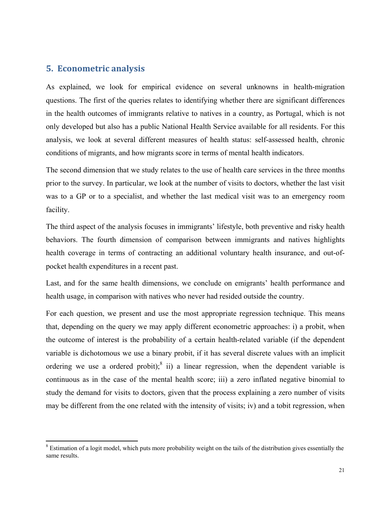#### **5. Econometric analysis**

As explained, we look for empirical evidence on several unknowns in health-migration questions. The first of the queries relates to identifying whether there are significant differences in the health outcomes of immigrants relative to natives in a country, as Portugal, which is not only developed but also has a public National Health Service available for all residents. For this analysis, we look at several different measures of health status: self-assessed health, chronic conditions of migrants, and how migrants score in terms of mental health indicators.

The second dimension that we study relates to the use of health care services in the three months prior to the survey. In particular, we look at the number of visits to doctors, whether the last visit was to a GP or to a specialist, and whether the last medical visit was to an emergency room facility.

The third aspect of the analysis focuses in immigrants' lifestyle, both preventive and risky health behaviors. The fourth dimension of comparison between immigrants and natives highlights health coverage in terms of contracting an additional voluntary health insurance, and out-ofpocket health expenditures in a recent past.

Last, and for the same health dimensions, we conclude on emigrants' health performance and health usage, in comparison with natives who never had resided outside the country.

For each question, we present and use the most appropriate regression technique. This means that, depending on the query we may apply different econometric approaches: i) a probit, when the outcome of interest is the probability of a certain health-related variable (if the dependent variable is dichotomous we use a binary probit, if it has several discrete values with an implicit ordering we use a ordered probit);<sup>8</sup> ii) a linear regression, when the dependent variable is continuous as in the case of the mental health score; iii) a zero inflated negative binomial to study the demand for visits to doctors, given that the process explaining a zero number of visits may be different from the one related with the intensity of visits; iv) and a tobit regression, when

 $8$  Estimation of a logit model, which puts more probability weight on the tails of the distribution gives essentially the same results.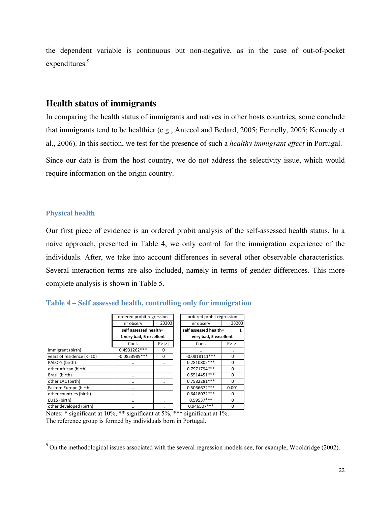the dependent variable is continuous but non-negative, as in the case of out-of-pocket expenditures.<sup>9</sup>

## **Health status of immigrants**

In comparing the health status of immigrants and natives in other hosts countries, some conclude that immigrants tend to be healthier (e.g., Antecol and Bedard, 2005; Fennelly, 2005; Kennedy et al., 2006). In this section, we test for the presence of such a *healthy immigrant effect* in Portugal.

Since our data is from the host country, we do not address the selectivity issue, which would require information on the origin country.

#### **Physical health**

Our first piece of evidence is an ordered probit analysis of the self-assessed health status. In a naive approach, presented in Table 4, we only control for the immigration experience of the individuals. After, we take into account differences in several other observable characteristics. Several interaction terms are also included, namely in terms of gender differences. This more complete analysis is shown in Table 5.

|                           | ordered probit regression |          | ordered probit regression |          |
|---------------------------|---------------------------|----------|---------------------------|----------|
|                           | nr observ                 | 23203    | nr observ                 | 23203    |
|                           | self assessed health=     |          | self assessed health=     |          |
|                           | 1 very bad, 5 excellent   |          | very bad, 5 excellent     |          |
|                           | Coef.                     | P >  z   | Coef.                     | P >  z   |
| immigrant (birth)         | 0.4931262***              | 0        |                           |          |
| years of residence (<=10) | $-0.0853989***$           | $\Omega$ | $-0.0818111***$           | $\Omega$ |
| PALOPs (birth)            |                           |          | 0.2810802 ***             | $\Omega$ |
| other African (birth)     |                           |          | 0.7971794***              | $\Omega$ |
| Brazil (birth)            |                           |          | $0.5514451***$            | $\Omega$ |
| other LAC (birth)         |                           |          | $0.7582281***$            | $\Omega$ |
| Eastern Europe (birth)    |                           |          | 0.5066672***              | 0.001    |
| other countries (birth)   |                           |          | 0.6418072 ***             | $\Omega$ |
| EU15 (birth)              |                           |          | $0.59537***$              | $\Omega$ |
| other developed (birth)   |                           |          | 0.946507***               | 0        |

#### **Table 4 – Self assessed health, controlling only for immigration**

Notes: \* significant at 10%, \*\* significant at 5%, \*\*\* significant at 1%. The reference group is formed by individuals born in Portugal.

<sup>&</sup>lt;sup>9</sup> On the methodological issues associated with the several regression models see, for example, Wooldridge (2002).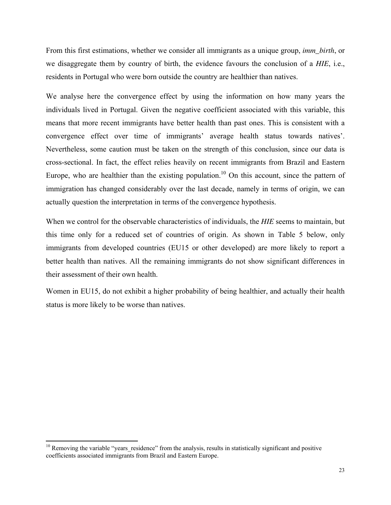From this first estimations, whether we consider all immigrants as a unique group, *imm\_birth*, or we disaggregate them by country of birth, the evidence favours the conclusion of a *HIE*, i.e., residents in Portugal who were born outside the country are healthier than natives.

We analyse here the convergence effect by using the information on how many years the individuals lived in Portugal. Given the negative coefficient associated with this variable, this means that more recent immigrants have better health than past ones. This is consistent with a convergence effect over time of immigrants' average health status towards natives'. Nevertheless, some caution must be taken on the strength of this conclusion, since our data is cross-sectional. In fact, the effect relies heavily on recent immigrants from Brazil and Eastern Europe, who are healthier than the existing population.<sup>10</sup> On this account, since the pattern of immigration has changed considerably over the last decade, namely in terms of origin, we can actually question the interpretation in terms of the convergence hypothesis.

When we control for the observable characteristics of individuals, the *HIE* seems to maintain, but this time only for a reduced set of countries of origin. As shown in Table 5 below, only immigrants from developed countries (EU15 or other developed) are more likely to report a better health than natives. All the remaining immigrants do not show significant differences in their assessment of their own health.

Women in EU15, do not exhibit a higher probability of being healthier, and actually their health status is more likely to be worse than natives.

<sup>&</sup>lt;sup>10</sup> Removing the variable "years\_residence" from the analysis, results in statistically significant and positive coefficients associated immigrants from Brazil and Eastern Europe.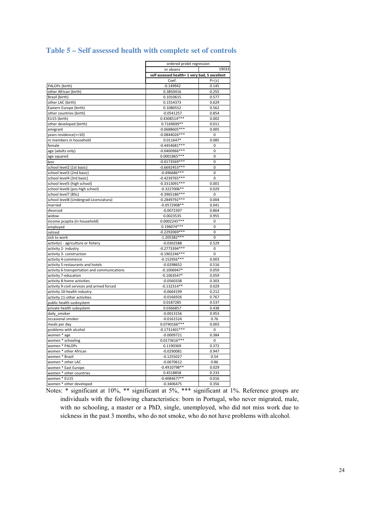## **Table 5 – Self assessed health with complete set of controls**

|                                              | ordered probit regression                     |        |
|----------------------------------------------|-----------------------------------------------|--------|
|                                              | nr observ                                     | 19033  |
|                                              | self assessed health= 1 very bad, 5 excellent |        |
|                                              | Coef.                                         | P >  z |
| PALOPs (birth)                               | $-0.149942$                                   | 0.145  |
| other African (birth)                        | 0.3850416                                     | 0.255  |
| Brazil (birth)                               | 0.1010615                                     | 0.577  |
| other LAC (birth)                            | 0.1554373                                     | 0.629  |
| Eastern Europe (birth)                       | 0.1080552                                     | 0.562  |
| other countries (birth)                      | $-0.0541257$                                  | 0.854  |
| EU15 (birth)                                 | 0.4308514***                                  | 0.002  |
| other developed (birth)                      | 0.7169699**                                   | 0.011  |
| emigrant                                     | $-0.0688605***$                               | 0.005  |
| years residence(<=10)                        | $-0.0844026***$                               | 0      |
| nr members in household                      | $0.011647*$                                   | 0.085  |
| female                                       | $-0.4454681***$                               | 0      |
| age (adults only)                            | $-0.0400966$ ***                              | 0      |
| age squared                                  | 0.0001865 ***                                 | 0      |
| bmi                                          | $-0.0173569***$                               | 0      |
| school level2 (1st basic)                    | $-0.6692453***$                               | 0      |
| school level3 (2nd basic)                    | $-0.496686***$                                | 0      |
| school level4 (3rd basic)                    | $-0.4239765***$                               | 0      |
| school level5 (high school)                  | $-0.3313091***$                               | 0.001  |
| school level6 (pos high school)              | $-0.3227006**$                                | 0.029  |
| school level7 (BSc)                          | $-0.3965186***$                               | 0      |
| school level8 (Undergrad-Licenciatura)       | $-0.2849792***$                               | 0.004  |
| married                                      | $-0.0572908**$                                | 0.041  |
| divorced                                     | $-0.0072397$                                  | 0.864  |
| widow                                        | 0.0023535                                     | 0.955  |
| income pcapita (in household)                | $0.0002245***$                                | 0      |
| employed                                     | 0.194074 ***                                  | 0      |
| retired                                      | $-0.2292069***$                               | 0      |
| sick to work                                 | $-1.205382***$                                | 0      |
| activity1 - agriculture or fishery           | $-0.0302588$                                  | 0.529  |
| activity 2- industry                         | $-0.2773394***$                               | 0      |
| activity 3- construction                     | $-0.1902246***$                               | 0      |
| activity 4-commerce                          | $-0.152956***$                                | 0.003  |
| activity 5-restaurants and hotels            | $-0.0298652$                                  | 0.516  |
| activity 6-transportation and communications | $-0.1006947*$                                 | 0.059  |
| activity 7-education                         | $-0.1063547*$                                 | 0.059  |
| activity 8-home activities                   | $-0.0560338$                                  | 0.303  |
| activity 9-civil services and armed forced   | $-0.132314**$                                 | 0.029  |
| activity 10-health industry                  | $-0.0664199$                                  | 0.212  |
| activity 11-other activities                 | $-0.0166926$                                  | 0.767  |
| public health susbsystem                     | 0.0187285                                     | 0.537  |
| private health subsystem                     | 0.0366857                                     | 0.438  |
| daily smoker                                 | $-0.0013156$                                  | 0.953  |
| occasional smoker                            | $-0.0161524$                                  | 0.76   |
| meals per day                                | 0.0740166***                                  | 0.003  |
| problems with alcohol                        | $-0.1731401***$                               | 0      |
| women * age                                  | $-0.0009721$                                  | 0.384  |
| women * schooling                            | 0.0173616 ***                                 | 0      |
| women * PALOPs                               | 0.1190369                                     | 0.372  |
| women * other African                        | $-0.0290081$                                  | 0.947  |
| women * Brazil                               | $-0.1255027$                                  | 0.54   |
| women * other LAC                            | $-0.0670612$                                  | 0.86   |
| women * East Europe                          | $-0.4910798**$                                | 0.029  |
| women * other countries                      | 0.4518858                                     | 0.233  |
| women * EU15                                 | $-0.4084677**$                                | 0.016  |
| women * other developed                      | $-0.3406475$                                  | 0.356  |

Notes: \* significant at 10%, \*\* significant at 5%, \*\*\* significant at 1%. Reference groups are individuals with the following characteristics: born in Portugal, who never migrated, male, with no schooling, a master or a PhD, single, unemployed, who did not miss work due to sickness in the past 3 months, who do not smoke, who do not have problems with alcohol.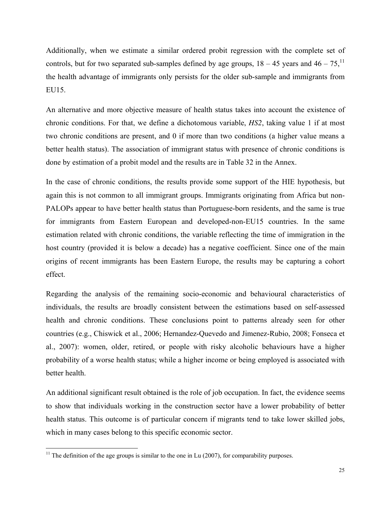Additionally, when we estimate a similar ordered probit regression with the complete set of controls, but for two separated sub-samples defined by age groups,  $18 - 45$  years and  $46 - 75$ ,<sup>11</sup> the health advantage of immigrants only persists for the older sub-sample and immigrants from EU15.

An alternative and more objective measure of health status takes into account the existence of chronic conditions. For that, we define a dichotomous variable, *HS2*, taking value 1 if at most two chronic conditions are present, and 0 if more than two conditions (a higher value means a better health status). The association of immigrant status with presence of chronic conditions is done by estimation of a probit model and the results are in Table 32 in the Annex.

In the case of chronic conditions, the results provide some support of the HIE hypothesis, but again this is not common to all immigrant groups. Immigrants originating from Africa but non-PALOPs appear to have better health status than Portuguese-born residents, and the same is true for immigrants from Eastern European and developed-non-EU15 countries. In the same estimation related with chronic conditions, the variable reflecting the time of immigration in the host country (provided it is below a decade) has a negative coefficient. Since one of the main origins of recent immigrants has been Eastern Europe, the results may be capturing a cohort effect.

Regarding the analysis of the remaining socio-economic and behavioural characteristics of individuals, the results are broadly consistent between the estimations based on self-assessed health and chronic conditions. These conclusions point to patterns already seen for other countries (e.g., Chiswick et al., 2006; Hernandez-Quevedo and Jimenez-Rubio, 2008; Fonseca et al., 2007): women, older, retired, or people with risky alcoholic behaviours have a higher probability of a worse health status; while a higher income or being employed is associated with better health.

An additional significant result obtained is the role of job occupation. In fact, the evidence seems to show that individuals working in the construction sector have a lower probability of better health status. This outcome is of particular concern if migrants tend to take lower skilled jobs, which in many cases belong to this specific economic sector.

<sup>&</sup>lt;sup>11</sup> The definition of the age groups is similar to the one in Lu  $(2007)$ , for comparability purposes.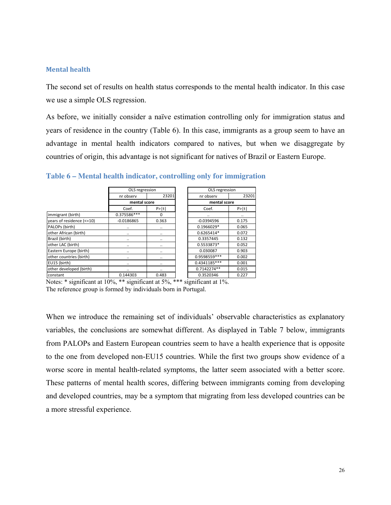#### **Mental health**

The second set of results on health status corresponds to the mental health indicator. In this case we use a simple OLS regression.

As before, we initially consider a naïve estimation controlling only for immigration status and years of residence in the country (Table 6). In this case, immigrants as a group seem to have an advantage in mental health indicators compared to natives, but when we disaggregate by countries of origin, this advantage is not significant for natives of Brazil or Eastern Europe.

|                           | OLS regression |        | OLS regression          |  |
|---------------------------|----------------|--------|-------------------------|--|
|                           | nr observ      | 23201  | 23201<br>nr observ      |  |
|                           | mental score   |        | mental score            |  |
|                           | Coef.          | P >  t | P> t <br>Coef.          |  |
| immigrant (birth)         | 0.375586***    | 0      | <br>                    |  |
| years of residence (<=10) | $-0.0186865$   | 0.363  | $-0.0394596$<br>0.175   |  |
| PALOPs (birth)            |                |        | 0.1966029*<br>0.065     |  |
| other African (birth)     |                |        | 0.6265414*<br>0.072     |  |
| Brazil (birth)            |                |        | 0.3357445<br>0.132      |  |
| other LAC (birth)         |                |        | 0.5533873*<br>0.052     |  |
| Eastern Europe (birth)    |                |        | 0.030087<br>0.903       |  |
| other countries (birth)   |                |        | 0.9598559 ***<br>0.002  |  |
| EU15 (birth)              |                |        | $0.4341185***$<br>0.001 |  |
| other developed (birth)   |                |        | $0.7142274**$<br>0.015  |  |
| constant                  | 0.144303       | 0.483  | 0.3520346<br>0.227      |  |

**Table 6 – Mental health indicator, controlling only for immigration** 

Notes: \* significant at 10%, \*\* significant at 5%, \*\*\* significant at 1%. The reference group is formed by individuals born in Portugal.

When we introduce the remaining set of individuals' observable characteristics as explanatory variables, the conclusions are somewhat different. As displayed in Table 7 below, immigrants from PALOPs and Eastern European countries seem to have a health experience that is opposite to the one from developed non-EU15 countries. While the first two groups show evidence of a worse score in mental health-related symptoms, the latter seem associated with a better score. These patterns of mental health scores, differing between immigrants coming from developing and developed countries, may be a symptom that migrating from less developed countries can be a more stressful experience.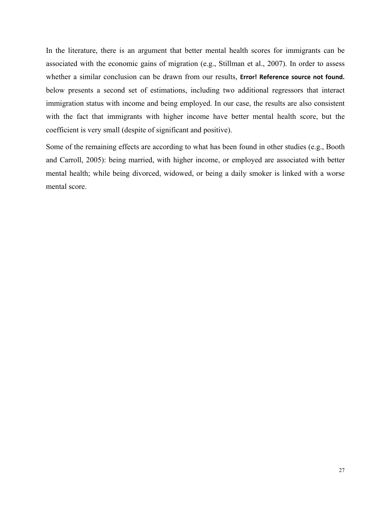In the literature, there is an argument that better mental health scores for immigrants can be associated with the economic gains of migration (e.g., Stillman et al., 2007). In order to assess whether a similar conclusion can be drawn from our results, **Error! Reference source not found.** below presents a second set of estimations, including two additional regressors that interact immigration status with income and being employed. In our case, the results are also consistent with the fact that immigrants with higher income have better mental health score, but the coefficient is very small (despite of significant and positive).

Some of the remaining effects are according to what has been found in other studies (e.g., Booth and Carroll, 2005): being married, with higher income, or employed are associated with better mental health; while being divorced, widowed, or being a daily smoker is linked with a worse mental score.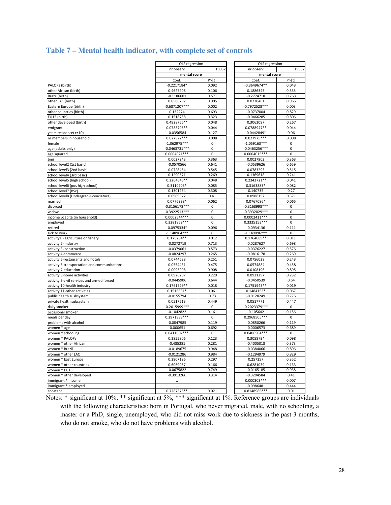## **Table 7 – Mental health indicator, with complete set of controls**

|                                              | OLS regression       |                                      | OLS regression  |             |
|----------------------------------------------|----------------------|--------------------------------------|-----------------|-------------|
|                                              | nr observ            | 19032                                | nr observ       | 19032       |
|                                              | mental score         |                                      | mental score    |             |
|                                              | Coef.                | P> t                                 | Coef.           | P> t        |
| PALOPs (birth)                               | $-0.2217184*$        | 0.092                                | $-0.3649674**$  | 0.043       |
| other African (birth)                        | 0.4627908            | 0.106                                | 0.1886345       | 0.535       |
| Brazil (birth)                               | $-0.1186601$         | 0.571                                | $-0.2774718$    | 0.268       |
| other LAC (birth)                            | 0.0586797            | 0.905                                | 0.0220461       | 0.966       |
| Eastern Europe (birth)                       | $-0.6871207***$      | 0.002                                | $-0.7972528***$ | 0.003       |
| other countries (birth)                      | 0.132274             | 0.693                                | $-0.0737004$    | 0.829       |
| EU15 (birth)                                 | 0.1518758            | 0.323                                | $-0.0466285$    | 0.806       |
| other developed (birth)                      | 0.4828756**          | 0.048                                | 0.3063097       | 0.267       |
| emigrant                                     | 0.0788705**          | 0.044                                | 0.0788947**     | 0.044       |
| years residence(<=10)                        | $-0.0356584$         | 0.127                                | $-0.0442849*$   | 0.06        |
| nr members in household                      | 0.027972 ***         | 0.008                                | 0.027975 ***    | 0.008       |
| female                                       | $-1.062975***$       | 0                                    | $-1.059163***$  | 0           |
| age (adults only)                            | $-0.0463731***$      | 0                                    | $-0.0463256***$ | 0           |
| age squared                                  | $0.0004021***$       | 0                                    | 0.0004015 ***   | 0           |
| bmi                                          | 0.0027943            | 0.363                                | 0.0027902       | 0.363       |
| school level2 (1st basic)                    | $-0.0570566$         | 0.641                                | $-0.0539626$    | 0.659       |
| school level3 (2nd basic)                    | 0.0728464            | 0.545                                | 0.0783293       | 0.515       |
| school level4 (3rd basic)                    | 0.1290671            | 0.269                                | 0.1369618       | 0.241       |
| school level5 (high school)                  | 0.2264546**          | 0.048                                | 0.2343721**     | 0.041       |
| school level6 (pos high school)              | 0.3110703*           | 0.085                                | 0.3163883*      | 0.082       |
| school level7 (BSc)                          | 0.1301254            | 0.308                                | 0.140735        | 0.27        |
| school level8 (Undergrad-Licenciatura)       | 0.0909322            | 0.41                                 | 0.0988152       | 0.371       |
| married                                      | 0.0776938*           | 0.062                                | 0.0767086*      | 0.065       |
| divorced                                     | $-0.3156178***$      | 0                                    | $-0.3168998***$ | $\mathbf 0$ |
| widow                                        | $-0.3922513***$      | 0                                    | $-0.3932029***$ | $\pmb{0}$   |
| income pcapita (in household)                | 0.0002544 ***        | 0                                    | 0.0002411 ***   | $\mathbf 0$ |
| employed                                     | 0.3281859 ***        | 0                                    | 0.3335153 ***   | 0           |
| retired                                      | $-0.0975334*$        | 0.096                                | $-0.0934136$    | 0.111       |
| sick to work                                 | $-1.148964***$       | 0                                    | $-1.149096***$  | 0           |
| activity1 - agriculture or fishery           | $0.175284**$         | 0.012                                | 0.1764089**     | 0.011       |
| activity 2- industry                         | $-0.0272719$         | 0.713                                | $-0.0287627$    | 0.698       |
| activity 3- construction                     | $-0.0379061$         | 0.573                                | $-0.0376227$    | 0.576       |
| activity 4-commerce                          | $-0.0824297$         | 0.265                                | $-0.0816178$    | 0.269       |
| activity 5-restaurants and hotels            | 0.0744638            | 0.251                                | 0.0756028       | 0.243       |
| activity 6-transportation and communications | 0.0554431            | 0.475                                | 0.0574884       | 0.458       |
| activity 7-education                         | 0.0095008            | 0.908                                | 0.0108196       | 0.895       |
| activity 8-home activities                   | 0.0926207            | 0.229                                | 0.0921297       | 0.232       |
| activity 9-civil services and armed forced   | $-0.0445906$         | 0.644                                | $-0.0450539$    | 0.64        |
| activity 10-health industry                  | 0.1761529 **         | 0.018                                | 0.1751943**     | 0.019       |
| activity 11-other activities                 | 0.1516531*           | 0.061                                | 0.1484153*      | 0.067       |
| public health susbsystem                     | $-0.0155794$         | 0.73                                 | $-0.0128249$    | 0.776       |
| private health subsystem                     | 0.0517513            | 0.449                                | 0.0517771       | 0.447       |
| daily smoker                                 | $-0.2015999***$      | 0                                    | $-0.2023379***$ | 0           |
| occasional smoker                            | $-0.1042822$         | 0.161                                | $-0.105642$     | 0.156       |
| meals per day                                | 0.2971833 ***        | 0                                    | 0.2968505 ***   | 0           |
| problems with alcohol                        | $-0.0847985$         | 0.119                                | $-0.0850266$    | 0.119       |
| women * age                                  | $-0.000651$          | 0.692                                | $-0.0006573$    | 0.689       |
| women * schooling                            | 0.0411007 ***        | 0                                    | 0.0406504 ***   | 0           |
| women * PALOPs                               | 0.2855806            | 0.123                                | 0.305879*       | 0.098       |
| women * other African                        | $-0.485281$          | 0.281                                | $-0.4005018$    | 0.373       |
| women * Brazil                               | $-0.0189675$         | 0.948                                | $-0.0384066$    | 0.896       |
| women * other LAC                            | $-0.0121286$         | 0.984                                | $-0.1294979$    | 0.829       |
| women * East Europe                          | 0.2907196            | 0.297                                | 0.257257        | 0.352       |
| women * other countries                      | 0.6069057            | 0.166                                | 0.6281039       | 0.133       |
| women * EU15                                 | $-0.0675822$         | 0.749                                | $-0.0165185$    | 0.938       |
| women * other developed                      | $-0.3913266$         | 0.314                                | $-0.3204584$    | 0.41        |
| immigrant * income                           |                      |                                      | $0.000303***$   | 0.007       |
| immigrant * employed                         | $\ddot{\phantom{0}}$ | $\cdot\cdot$<br>$\ddot{\phantom{1}}$ | $-0.0986481$    | 0.444       |
| constant                                     | 0.7287875**          | 0.021                                | 0.8148986 ***   | 0.01        |
|                                              |                      |                                      |                 |             |

Notes: \* significant at 10%, \*\* significant at 5%, \*\*\* significant at 1%. Reference groups are individuals with the following characteristics: born in Portugal, who never migrated, male, with no schooling, a master or a PhD, single, unemployed, who did not miss work due to sickness in the past 3 months, who do not smoke, who do not have problems with alcohol.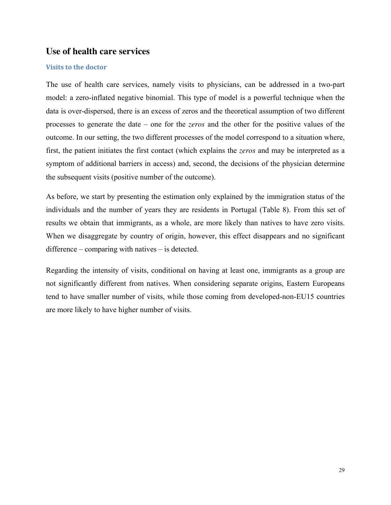# **Use of health care services**

#### **Visits to the doctor**

The use of health care services, namely visits to physicians, can be addressed in a two-part model: a zero-inflated negative binomial. This type of model is a powerful technique when the data is over-dispersed, there is an excess of zeros and the theoretical assumption of two different processes to generate the date – one for the *zeros* and the other for the positive values of the outcome. In our setting, the two different processes of the model correspond to a situation where, first, the patient initiates the first contact (which explains the *zeros* and may be interpreted as a symptom of additional barriers in access) and, second, the decisions of the physician determine the subsequent visits (positive number of the outcome).

As before, we start by presenting the estimation only explained by the immigration status of the individuals and the number of years they are residents in Portugal (Table 8). From this set of results we obtain that immigrants, as a whole, are more likely than natives to have zero visits. When we disaggregate by country of origin, however, this effect disappears and no significant difference – comparing with natives – is detected.

Regarding the intensity of visits, conditional on having at least one, immigrants as a group are not significantly different from natives. When considering separate origins, Eastern Europeans tend to have smaller number of visits, while those coming from developed-non-EU15 countries are more likely to have higher number of visits.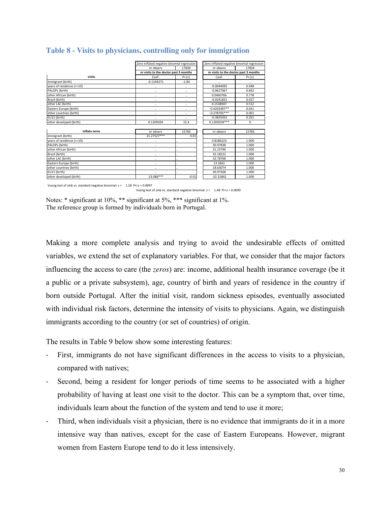|                           | Zero-inflated negative binomial regression |                      | Zero-inflated negative binomial regression |                      |  |
|---------------------------|--------------------------------------------|----------------------|--------------------------------------------|----------------------|--|
|                           | nr observ                                  | 17834                | nr observ                                  | 17834                |  |
|                           | nr visits to the doctor past 3 months      |                      | nr visits to the doctor past 3 months      |                      |  |
| visits                    | Coef.                                      | P >  z               | Coef.                                      | P >  z               |  |
| immigrant (birth)         | $-0.1104271$                               | $-1.84$              |                                            |                      |  |
| years of residence (<=10) | $\ddot{\phantom{0}}$                       |                      | $-0.0044095$                               | 0.948                |  |
| PALOPs (birth)            | $\ddot{\phantom{0}}$                       | $\mathbf{a}$         | $-0.0627067$                               | 0.842                |  |
| other African (birth)     | $\ddot{\phantom{0}}$                       |                      | 0.0460766                                  | 0.778                |  |
| Brazil (birth)            | $\ddot{\phantom{a}}$                       | $\ddot{\phantom{a}}$ | $-0.0241831$                               | 0.927                |  |
| other LAC (birth)         | $\ddot{\phantom{0}}$                       |                      | 0.1538947                                  | 0.512                |  |
| Eastern Europe (birth)    | $\ddot{\phantom{0}}$                       |                      | $-0.4202497**$                             | 0.041                |  |
| other countries (birth)   | $\ddotsc$                                  | $\ddot{\phantom{a}}$ | $-0.278705***$                             | 0.001                |  |
| EU15 (birth)              | $\ddot{\phantom{a}}$                       | ٠.                   | $-0.3835455$                               | 0.261                |  |
| other developed (birth)   | 0.1209204                                  | 15.4                 | 0.1209204 ***                              | $\Omega$             |  |
|                           |                                            |                      |                                            |                      |  |
| inflate zeros             | nr observ                                  | 15783                | nr observ                                  | 15783                |  |
| immigrant (birth)         | 21.27527***                                | 0.01                 | $\ddot{\phantom{a}}$                       | $\ddot{\phantom{a}}$ |  |
| years of residence (<=10) | $\ddot{\phantom{0}}$                       |                      | 0.8186223                                  | 1.000                |  |
| PALOPs (birth)            | $\ddot{\phantom{a}}$                       |                      | 30.97838                                   | 1.000                |  |
| other African (birth)     | $\ddot{\phantom{0}}$                       |                      | 31.25796                                   | 1.000                |  |
| Brazil (birth)            |                                            |                      | 32.18222                                   | 1.000                |  |
| other LAC (birth)         | $\ddotsc$                                  |                      | 32.78768                                   | 1.000                |  |
| Eastern Europe (birth)    | $\ddot{\phantom{0}}$                       | .,                   | 13.3661                                    | 1.000                |  |
| other countries (birth)   | $\ddot{\phantom{a}}$                       |                      | 18.63074                                   | 1.000                |  |
| EU15 (birth)              | $\ddot{\phantom{0}}$                       |                      | 30.97268                                   | 1.000                |  |
| other developed (birth)   | $-23.086***$                               | $-0.01$              | $-32.31842$                                | 1.000                |  |

#### **Table 8 - Visits to physicians, controlling only for immigration**

Vuong test of zinb vs. standard negative binomial:  $z = 1.28$  Pr>z = 0.0997

Vuong test of zinb vs. standard negative binomial: z = 1.48 Pr>z = 0.0699

Notes: \* significant at 10%, \*\* significant at 5%, \*\*\* significant at 1%. The reference group is formed by individuals born in Portugal.

Making a more complete analysis and trying to avoid the undesirable effects of omitted variables, we extend the set of explanatory variables. For that, we consider that the major factors influencing the access to care (the *zeros*) are: income, additional health insurance coverage (be it a public or a private subsystem), age, country of birth and years of residence in the country if born outside Portugal. After the initial visit, random sickness episodes, eventually associated with individual risk factors, determine the intensity of visits to physicians. Again, we distinguish immigrants according to the country (or set of countries) of origin.

The results in Table 9 below show some interesting features:

- First, immigrants do not have significant differences in the access to visits to a physician, compared with natives;
- Second, being a resident for longer periods of time seems to be associated with a higher probability of having at least one visit to the doctor. This can be a symptom that, over time, individuals learn about the function of the system and tend to use it more;
- Third, when individuals visit a physician, there is no evidence that immigrants do it in a more intensive way than natives, except for the case of Eastern Europeans. However, migrant women from Eastern Europe tend to do it less intensively.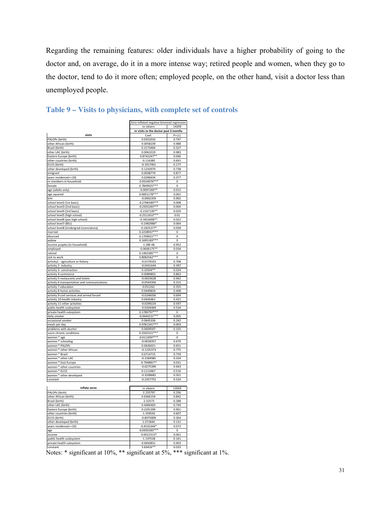Regarding the remaining features: older individuals have a higher probability of going to the doctor and, on average, do it in a more intense way; retired people and women, when they go to the doctor, tend to do it more often; employed people, on the other hand, visit a doctor less than unemployed people.

|                                                   | Zero-inflated negative binomial regression |                |
|---------------------------------------------------|--------------------------------------------|----------------|
|                                                   | nr observ                                  | 14209          |
|                                                   | nr visits to the doctor past 3 months      |                |
| visits                                            | Coef.                                      | P >  z         |
| PALOPs (birth)                                    | 0.0352016                                  | 0.747          |
| other African (birth)                             | 0.0058239                                  | 0.988          |
| Brazil (birth)                                    | 0.2173404                                  | 0.327          |
| other LAC (birth)                                 | 0.0061019                                  | 0.983          |
| Eastern Europe (birth)                            | 0.8742247**                                | 0.046          |
| other countries (birth)                           | $-0.116385$                                | 0.691          |
| EU15 (birth)                                      | $-0.1917401$                               | 0.177          |
| other developed (birth)                           | 0.1243979                                  | 0.738          |
| emigrant                                          | 0.0038774                                  | 0.877          |
| years residence(<=10)                             | 0.0296634                                  | 0.377          |
| nr members in household                           | $-0.0524076***$                            | 0              |
| female                                            | 0.7849925 ***                              | $\mathbf 0$    |
| age (adults only)                                 | $-0.0097269**$                             | 0.012          |
| age squared                                       | $0.0001178***$                             | 0.001          |
|                                                   |                                            | 0.902          |
| bmi<br>school level2 (1st basic)                  | $-0.0002359$                               | 0.008          |
|                                                   | $-0.2706589***$                            |                |
| school level3 (2nd basic)                         | $-0.2933283***$                            | 0.004          |
| school level4 (3rd basic)                         | $-0.2167139**$                             | 0.029          |
| school level5 (high school)                       | $-0.2511653***$                            | 0.01           |
| school level6 (pos high school)                   | $-0.3453008**$                             | 0.022          |
| school level7 (BSc)                               | $-0.1982986*$                              | 0.064          |
| school level8 (Undergrad-Licenciatura)            | $-0.1825377*$                              | 0.058          |
| married                                           | 0.2238937***                               | 0              |
| divorced                                          | $0.1709921***$                             | 0              |
| widow                                             | $0.1695183***$                             | $\Omega$       |
| income pcapita (in household)                     | $-1.28E-06$                                | 0.952          |
| employed                                          | $-0.0606175**$                             | 0.034          |
| retired                                           | 0.1492385 ***                              | $\Omega$       |
| sick to work                                      | 0.8082562 ***                              | $\overline{0}$ |
| activity1 - agriculture or fishery                | $-0.0179333$                               | 0.708          |
| activity 2- industry                              | $-0.0431644$                               | 0.397          |
| activity 3- construction                          | $0.10504**$                                | 0.024          |
| activity 4-commerce                               | 0.0089803                                  | 0.863          |
| activity 5-restaurants and hotels                 | $-0.0033628$                               | 0.942          |
| activity 6-transportation and communications      | $-0.0543356$                               | 0.315          |
| activity 7-education                              | 0.051262                                   | 0.355          |
| activity 8-home activities                        | 0.0449834                                  | 0.408          |
| activity 9-civil services and armed forced        | $-0.0246056$                               | 0.694          |
| activity 10-health industry                       | 0.0426461                                  | 0.421          |
| activity 11-other activities                      | $-0.0299224$                               | 0.597          |
| public health susbsystem                          | $-0.0204469$                               | 0.534          |
| private health subsystem                          | $0.1780797***$                             | 0              |
| daily smoker                                      | $-0.0644231***$                            | 0.005          |
| occasional smoker                                 | 0.0645336                                  | 0.242          |
| meals per day                                     | $0.0781341***$                             | 0.003          |
|                                                   | 0.0609597                                  | 0.155          |
| problems with alcohol<br>score chronic conditions | 0.2592321 ***                              | 0              |
|                                                   | $-0.0113097***$                            | $\Omega$       |
| women * age                                       |                                            | 0.679          |
| women * schooling                                 | $-0.0018357$                               |                |
| women * PALOPs                                    | 0.0626021                                  | 0.651          |
| women * other African                             | $-0.1235373$                               | 0.775          |
| women * Brazil                                    | 0.0714715                                  | 0.759          |
| women * other LAC                                 | $-0.3184985$                               | 0.334          |
| women * East Europe                               | $-0.794881**$                              | 0.031          |
| women * other countries                           | $-0.0275399$                               | 0.943          |
| women * EU15                                      | 0.1113467                                  | 0.516          |
| women * other developed                           | $-0.3208682$                               | 0.501          |
| constant                                          | $-0.2357752$                               | 0.524          |
|                                                   |                                            |                |
| inflate zeros                                     | nr observ                                  | 13569          |
| PALOPs (birth)                                    | $-2.235797$                                | 0.256          |
| other African (birth)                             | 0.6366154                                  | 0.842          |
| <b>Brazil (birth)</b>                             | $-2.32573$                                 | 0.288          |

#### **Table 9 – Visits to physicians, with complete set of controls**

| inflate zeros            | nr observ       | 13569    |
|--------------------------|-----------------|----------|
| PALOPs (birth)           | $-2.235797$     | 0.256    |
| other African (birth)    | 0.6366154       | 0.842    |
| Brazil (birth)           | $-2.32573$      | 0.288    |
| other LAC (birth)        | 0.4466403       | 0.744    |
| Eastern Europe (birth)   | 0.2291399       | 0.901    |
| other countries (birth)  | $-1.359542$     | 0.607    |
| EU15 (birth)             | $-0.8075809$    | 0.364    |
| other developed (birth)  | 1.371844        | 0.131    |
| years residence(<=10)    | $-0.4535344*$   | 0.073    |
| age                      | $-0.0935583***$ | $\Omega$ |
| income                   | $-0.0012313*$   | 0.061    |
| public health susbsystem | $-1.197528$     | 0.161    |
| private health subsystem | 0.0650831       | 0.903    |
| constant                 | 5.69416**       | 0.033    |

konstant<br>Notes: \* significant at 10%, \*\* significant at 5%, \*\*\* significant at 1%.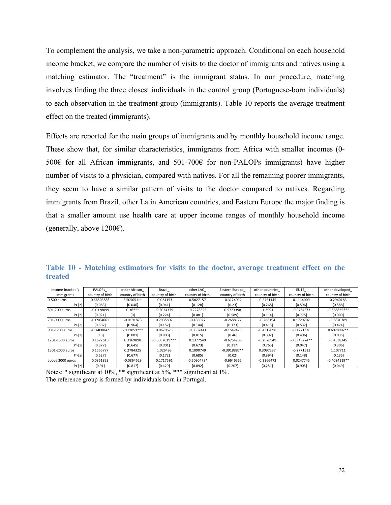To complement the analysis, we take a non-parametric approach. Conditional on each household income bracket, we compare the number of visits to the doctor of immigrants and natives using a matching estimator. The "treatment" is the immigrant status. In our procedure, matching involves finding the three closest individuals in the control group (Portuguese-born individuals) to each observation in the treatment group (immigrants). Table 10 reports the average treatment effect on the treated (immigrants).

Effects are reported for the main groups of immigrants and by monthly household income range. These show that, for similar characteristics, immigrants from Africa with smaller incomes (0- 500€ for all African immigrants, and 501-700€ for non-PALOPs immigrants) have higher number of visits to a physician, compared with natives. For all the remaining poorer immigrants, they seem to have a similar pattern of visits to the doctor compared to natives. Regarding immigrants from Brazil, other Latin American countries, and Eastern Europe the major finding is that a smaller amount use health care at upper income ranges of monthly household income (generally, above 1200€).

**Table 10 - Matching estimators for visits to the doctor, average treatment effect on the treated** 

| income bracket \ | PALOPS           | other African    | Brazil           | other LAC        | Eastern Europe   | other countries  | EU15             | other developed  |
|------------------|------------------|------------------|------------------|------------------|------------------|------------------|------------------|------------------|
| immigrants       | country of birth | country of birth | country of birth | country of birth | country of birth | country of birth | country of birth | country of birth |
| 0-500 euros      | 0.6850388*       | 2.505051**       | $-0.024153$      | 0.5827157        | $-0.3124092$     | $-0.2751145$     | 0.1114009        | 0.2940183        |
| P >  z           | [0.083]          | [0.046]          | [0.941]          | [0.128]          | [0.23]           | [0.268]          | $[0.596]$        | [0.588]          |
| 501-700 euros    | $-0.0328099$     | $0.36***$        | $-0.2034379$     | $-0.2278525$     | 0.5723398        | $-1.3991$        | $-0.0734573$     | $-0.658825***$   |
| P >  z           | [0.921]          | [0]              | [0.224]          | [0.481]          | [0.589]          | [0.114]          | [0.775]          | [0.009]          |
| 701-900 euros    | $-0.0964661$     | $-0.0191873$     | 0.7935807        | $-0.486027$      | $-0.2688127$     | $-0.288194$      | 0.1729207        | $-0.6870789$     |
| P >  z           | [0.582]          | [0.964]          | [0.152]          | [0.144]          | [0.173]          | [0.415]          | [0.532]          | [0.474]          |
| 901-1200 euros   | $-0.1408042$     | 2.121851***      | 0.0679673        | $-0.0582441$     | $-0.1542473$     | $-0.4312098$     | $-0.1271336$     | 0.6928002**      |
| P >  z           | [0.5]            | [0.001]          | [0.803]          | [0.815]          | [0.46]           | $[0.392]$        | $[0.496]$        | [0.035]          |
| 1201-1500 euros  | 0.1672618        | 0.3169898        | $-0.8087019***$  | 0.1377549        | $-0.6754208$     | $-0.2670949$     | $-0.3943274**$   | $-0.4538245$     |
| P >  z           | [0.377]          | [0.645]          | [0.001]          | [0.673]          | [0.217]          | [0.765]          | [0.047]          | [0.306]          |
| 1501-2000 euros  | 0.1555777        | 0.2784325        | 1.026495         | 0.1090749        | $-0.3918887**$   | 0.3097237        | $-0.2771513$     | 1.107711         |
| P >  z           | [0.527]          | $[0.677]$        | [0.172]          | $[0.685]$        | [0.02]           | [0.394]          | [0.148]          | [0.135]          |
| above 2000 euros | 0.0351823        | $-0.0864523$     | 0.1717591        | $-0.5090478*$    | $-0.6646562$     | $-0.3366472$     | 0.0247745        | $-0.4084119**$   |
| P >  z           | [0.91]           | [0.817]          | [0.429]          | [0.092]          | [0.207]          | [0.251]          | [0.905]          | [0.049]          |

Notes: \* significant at 10%, \*\* significant at 5%, \*\*\* significant at 1%. The reference group is formed by individuals born in Portugal.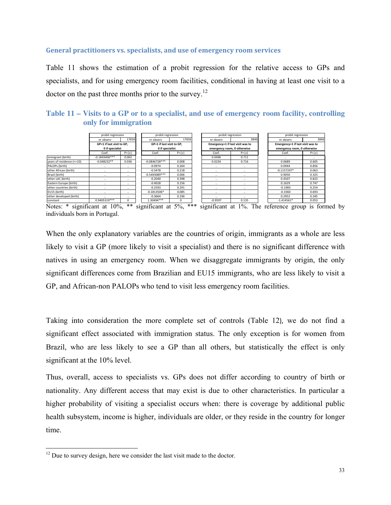#### **General practitioners vs. specialists, and use of emergency room services**

Table 11 shows the estimation of a probit regression for the relative access to GPs and specialists, and for using emergency room facilities, conditional in having at least one visit to a doctor on the past three months prior to the survey.<sup>12</sup>

**Table 11 – Visits to a GP or to a specialist, and use of emergency room facility, controlling only for immigration** 

|                           | probit regression         |                      | probit regression         |                 |  |           | probit regression                | probit regression                |                             |                             |  |
|---------------------------|---------------------------|----------------------|---------------------------|-----------------|--|-----------|----------------------------------|----------------------------------|-----------------------------|-----------------------------|--|
|                           | nr observ                 | 17656                | nr observ                 | 17656           |  | nr observ | 3846                             | nr observ                        | 3846                        |                             |  |
|                           | GP=1 if last visit to GP. |                      | GP=1 if last visit to GP. |                 |  |           | Emergency=1 if last visit was to | Emergency=1 if last visit was to |                             |                             |  |
|                           | 0 if specialist           |                      |                           | 0 if specialist |  |           |                                  |                                  | emergency room, 0 otherwise | emergency room, 0 otherwise |  |
|                           | Coef.                     | P >  z               | Coef.                     | P >  z          |  | Coef.     | P >  z                           | Coef.                            | P >  z                      |                             |  |
| immigrant (birth)         | $-0.1843406***$           | 0.002                |                           | $\cdots$        |  | 0.0496    | 0.711                            | $\cdots$                         | $\cdots$                    |                             |  |
| years of residence (<=10) | $-0.048232**$             | 0.036                | $-0.0846728***$           | 0.008           |  | 0.0234    | 0.716                            | 0.0689                           | 0.605                       |                             |  |
| PALOPs (birth)            | $\cdots$                  | $\cdots$             | $-0.0974$                 | 0.264           |  | $\cdots$  | $\cdots$                         | 0.0944                           | 0.856                       |                             |  |
| other African (birth)     | $\ddot{\phantom{0}}$      | $\ddot{\phantom{0}}$ | $-0.3478$                 | 0.218           |  | $\cdots$  | $\cdots$                         | $-0.1157247*$                    | 0.063                       |                             |  |
| Brazil (birth)            | $\cdots$                  | $\ddot{\phantom{0}}$ | $-0.5493089***$           | 0.006           |  | $\cdots$  | $\cdots$                         | 0.9050                           | 0.325                       |                             |  |
| other LAC (birth)         | $\cdots$                  | $\ddot{\phantom{0}}$ | $-0.2040$                 | 0.398           |  | $\cdots$  | $\cdots$                         | 0.4507                           | 0.823                       |                             |  |
| Eastern Europe (birth)    | $\cdots$                  | $\cdots$             | $-0.4028$                 | 0.156           |  | $\cdots$  | $\cdots$                         | 0.1629                           | 0.747                       |                             |  |
| other countries (birth)   | $\ddot{\phantom{0}}$      | $\cdots$             | $-0.2593$                 | 0.291           |  | $\cdots$  | $\cdots$                         | $-0.1983$                        | 0.254                       |                             |  |
| EU15 (birth)              | $\cdots$                  | $\cdots$             | $-0.1813506*$             | 0.085           |  | $\cdots$  | $\cdots$                         | $-0.3360$                        | 0.693                       |                             |  |
| other developed (birth)   | $\cdots$                  | $\ddot{\phantom{0}}$ | $-0.3664$                 | 0.196           |  |           | $\cdots$                         | 0.2952                           | 0.345                       |                             |  |
| constant                  | 0.9405319 ***             | $\Omega$             | 1.30494***                | 0               |  | $-0.9597$ | 0.135                            | $-1.414561*$                     | 0.053                       |                             |  |

Notes: \* significant at 10%, \*\* significant at 5%, \*\*\* significant at 1%. The reference group is formed by individuals born in Portugal.

When the only explanatory variables are the countries of origin, immigrants as a whole are less likely to visit a GP (more likely to visit a specialist) and there is no significant difference with natives in using an emergency room. When we disaggregate immigrants by origin, the only significant differences come from Brazilian and EU15 immigrants, who are less likely to visit a GP, and African-non PALOPs who tend to visit less emergency room facilities.

Taking into consideration the more complete set of controls (Table 12), we do not find a significant effect associated with immigration status. The only exception is for women from Brazil, who are less likely to see a GP than all others, but statistically the effect is only significant at the 10% level.

Thus, overall, access to specialists vs. GPs does not differ according to country of birth or nationality. Any different access that may exist is due to other characteristics. In particular a higher probability of visiting a specialist occurs when: there is coverage by additional public health subsystem, income is higher, individuals are older, or they reside in the country for longer time.

 $12$  Due to survey design, here we consider the last visit made to the doctor.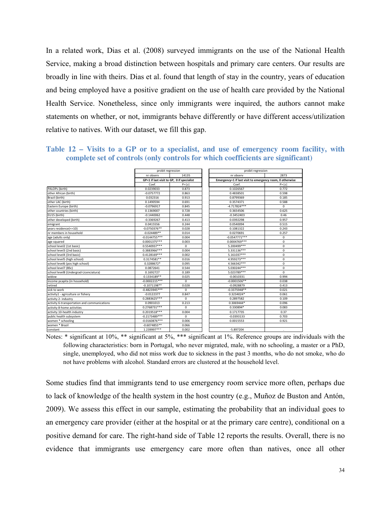In a related work, Dias et al. (2008) surveyed immigrants on the use of the National Health Service, making a broad distinction between hospitals and primary care centers. Our results are broadly in line with theirs. Dias et al. found that length of stay in the country, years of education and being employed have a positive gradient on the use of health care provided by the National Health Service. Nonetheless, since only immigrants were inquired, the authors cannot make statements on whether, or not, immigrants behave differently or have different access/utilization relative to natives. With our dataset, we fill this gap.

**Table 12 – Visits to a GP or to a specialist, and use of emergency room facility, with complete set of controls (only controls for which coefficients are significant)** 

| probit regression<br>probit regression<br>14135<br>2873<br>nr observ<br>nr observ<br>GP=1 if last visit to GP, 0 if specialist<br>Emergency=1 if last visit to emergency room, 0 otherwise<br>Coef.<br>Coef.<br>P >  z <br>P >  z <br>0.0239033<br>0.1026567<br>0.873<br>0.772<br>$-0.0757772$<br>0.863<br>0.4838501<br>0.598<br>other African (birth)<br>Brazil (birth)<br>0.032316<br>0.913<br>0.8799369<br>0.185<br>0.3574371<br>0.588<br>other LAC (birth)<br>0.1490594<br>0.691<br>$-4.717824***$<br>Eastern Europe (birth)<br>$-0.0796917$<br>0.845<br>$\Omega$<br>0.1369007<br>0.728<br>0.625<br>other countries (birth)<br>0.3654506<br>$-0.3452403$<br>EU15 (birth)<br>$-0.1440062$<br>0.448<br>0.46<br>other developed (birth)<br>0.0392298<br>$-0.3369267$<br>0.413<br>0.957<br>0.0415556<br>0.244<br>0.0540094<br>0.515<br>emigrant<br>$-0.0750376**$<br>0.028<br>0.1081322<br>0.243<br>years residence(<=10)<br>$-0.024489**$<br>0.014<br>0.0270691<br>nr members in household<br>0.257<br>$-0.0144755***$<br>$-0.0547771***$<br>0.004<br>$\mathbf 0$<br>age (adults only)<br>0.0001375***<br>$0.0004769***$<br>0.003<br>$\mathbf 0$<br>age squared<br>0.5540937***<br>5.200499***<br>$\mathbf 0$<br>school level2 (1st basic)<br>$\Omega$<br>0.3883966***<br>0.004<br>5.331136***<br>$\mathbf 0$<br>school level3 (2nd basic)<br>0.4128169***<br>5.161037***<br>school level4 (3rd basic)<br>0.002<br>$\mathbf 0$<br>0.3174581**<br>4.959273***<br>$\mathbf 0$<br>school level5 (high school)<br>0.016<br>4.566342***<br>0.3288672*<br>0.095<br>$\Omega$<br>school level6 (pos high school)<br>5.030244***<br>school level7 (BSc)<br>0.0872641<br>0.544<br>$\mathbf 0$<br>5.023789***<br>$\Omega$<br>school level8 (Undergrad-Licenciatura)<br>0.1692727<br>0.189<br>$0.1334189**$<br>0.025<br>$-0.0010331$<br>0.994<br>widow<br>$-0.0002215***$<br>$-0.0001506**$<br>income pcapita (in household)<br>$\Omega$<br>0.038<br>$-0.1071198**$<br>0.028<br>$-0.0928879$<br>0.413<br>retired<br>$-0.4823945***$<br>$-0.3375948**$<br>sick to work<br>$\Omega$<br>0.021<br>0.847<br>activity1 - agriculture or fishery<br>$-0.0122377$<br>0.3234024*<br>0.061<br>0.2883625***<br>0.2897582<br>0.109<br>$\Omega$<br>activity 2- industry<br>0.0901013<br>0.213<br>0.3069444*<br>activity 6-transportation and communications<br>0.096<br>0.2768731***<br>0<br>0.330894*<br>0.083<br>activity 8-home activities<br>0.2019518***<br>0.004<br>0.1717735<br>0.37<br>activity 10-health industry<br>$-0.2173489***$<br>0<br>$-0.0393133$<br>0.703<br>public health subsystem<br>$-0.0160876***$<br>0.006<br>0.0015553<br>0.921<br>women * schooling<br>$-0.6074855**$<br>women * Brazil<br>0.066<br>1.239997***<br>0.002<br>$-5.897204$<br>constant |                |  |  |
|-------------------------------------------------------------------------------------------------------------------------------------------------------------------------------------------------------------------------------------------------------------------------------------------------------------------------------------------------------------------------------------------------------------------------------------------------------------------------------------------------------------------------------------------------------------------------------------------------------------------------------------------------------------------------------------------------------------------------------------------------------------------------------------------------------------------------------------------------------------------------------------------------------------------------------------------------------------------------------------------------------------------------------------------------------------------------------------------------------------------------------------------------------------------------------------------------------------------------------------------------------------------------------------------------------------------------------------------------------------------------------------------------------------------------------------------------------------------------------------------------------------------------------------------------------------------------------------------------------------------------------------------------------------------------------------------------------------------------------------------------------------------------------------------------------------------------------------------------------------------------------------------------------------------------------------------------------------------------------------------------------------------------------------------------------------------------------------------------------------------------------------------------------------------------------------------------------------------------------------------------------------------------------------------------------------------------------------------------------------------------------------------------------------------------------------------------------------------------------------------------------------------------------------------------------------------------------------------------------------------------------------------------------------------------------------------------------------------------------------------------------|----------------|--|--|
|                                                                                                                                                                                                                                                                                                                                                                                                                                                                                                                                                                                                                                                                                                                                                                                                                                                                                                                                                                                                                                                                                                                                                                                                                                                                                                                                                                                                                                                                                                                                                                                                                                                                                                                                                                                                                                                                                                                                                                                                                                                                                                                                                                                                                                                                                                                                                                                                                                                                                                                                                                                                                                                                                                                                                       |                |  |  |
|                                                                                                                                                                                                                                                                                                                                                                                                                                                                                                                                                                                                                                                                                                                                                                                                                                                                                                                                                                                                                                                                                                                                                                                                                                                                                                                                                                                                                                                                                                                                                                                                                                                                                                                                                                                                                                                                                                                                                                                                                                                                                                                                                                                                                                                                                                                                                                                                                                                                                                                                                                                                                                                                                                                                                       |                |  |  |
|                                                                                                                                                                                                                                                                                                                                                                                                                                                                                                                                                                                                                                                                                                                                                                                                                                                                                                                                                                                                                                                                                                                                                                                                                                                                                                                                                                                                                                                                                                                                                                                                                                                                                                                                                                                                                                                                                                                                                                                                                                                                                                                                                                                                                                                                                                                                                                                                                                                                                                                                                                                                                                                                                                                                                       |                |  |  |
|                                                                                                                                                                                                                                                                                                                                                                                                                                                                                                                                                                                                                                                                                                                                                                                                                                                                                                                                                                                                                                                                                                                                                                                                                                                                                                                                                                                                                                                                                                                                                                                                                                                                                                                                                                                                                                                                                                                                                                                                                                                                                                                                                                                                                                                                                                                                                                                                                                                                                                                                                                                                                                                                                                                                                       |                |  |  |
|                                                                                                                                                                                                                                                                                                                                                                                                                                                                                                                                                                                                                                                                                                                                                                                                                                                                                                                                                                                                                                                                                                                                                                                                                                                                                                                                                                                                                                                                                                                                                                                                                                                                                                                                                                                                                                                                                                                                                                                                                                                                                                                                                                                                                                                                                                                                                                                                                                                                                                                                                                                                                                                                                                                                                       | PALOPs (birth) |  |  |
|                                                                                                                                                                                                                                                                                                                                                                                                                                                                                                                                                                                                                                                                                                                                                                                                                                                                                                                                                                                                                                                                                                                                                                                                                                                                                                                                                                                                                                                                                                                                                                                                                                                                                                                                                                                                                                                                                                                                                                                                                                                                                                                                                                                                                                                                                                                                                                                                                                                                                                                                                                                                                                                                                                                                                       |                |  |  |
|                                                                                                                                                                                                                                                                                                                                                                                                                                                                                                                                                                                                                                                                                                                                                                                                                                                                                                                                                                                                                                                                                                                                                                                                                                                                                                                                                                                                                                                                                                                                                                                                                                                                                                                                                                                                                                                                                                                                                                                                                                                                                                                                                                                                                                                                                                                                                                                                                                                                                                                                                                                                                                                                                                                                                       |                |  |  |
|                                                                                                                                                                                                                                                                                                                                                                                                                                                                                                                                                                                                                                                                                                                                                                                                                                                                                                                                                                                                                                                                                                                                                                                                                                                                                                                                                                                                                                                                                                                                                                                                                                                                                                                                                                                                                                                                                                                                                                                                                                                                                                                                                                                                                                                                                                                                                                                                                                                                                                                                                                                                                                                                                                                                                       |                |  |  |
|                                                                                                                                                                                                                                                                                                                                                                                                                                                                                                                                                                                                                                                                                                                                                                                                                                                                                                                                                                                                                                                                                                                                                                                                                                                                                                                                                                                                                                                                                                                                                                                                                                                                                                                                                                                                                                                                                                                                                                                                                                                                                                                                                                                                                                                                                                                                                                                                                                                                                                                                                                                                                                                                                                                                                       |                |  |  |
|                                                                                                                                                                                                                                                                                                                                                                                                                                                                                                                                                                                                                                                                                                                                                                                                                                                                                                                                                                                                                                                                                                                                                                                                                                                                                                                                                                                                                                                                                                                                                                                                                                                                                                                                                                                                                                                                                                                                                                                                                                                                                                                                                                                                                                                                                                                                                                                                                                                                                                                                                                                                                                                                                                                                                       |                |  |  |
|                                                                                                                                                                                                                                                                                                                                                                                                                                                                                                                                                                                                                                                                                                                                                                                                                                                                                                                                                                                                                                                                                                                                                                                                                                                                                                                                                                                                                                                                                                                                                                                                                                                                                                                                                                                                                                                                                                                                                                                                                                                                                                                                                                                                                                                                                                                                                                                                                                                                                                                                                                                                                                                                                                                                                       |                |  |  |
|                                                                                                                                                                                                                                                                                                                                                                                                                                                                                                                                                                                                                                                                                                                                                                                                                                                                                                                                                                                                                                                                                                                                                                                                                                                                                                                                                                                                                                                                                                                                                                                                                                                                                                                                                                                                                                                                                                                                                                                                                                                                                                                                                                                                                                                                                                                                                                                                                                                                                                                                                                                                                                                                                                                                                       |                |  |  |
|                                                                                                                                                                                                                                                                                                                                                                                                                                                                                                                                                                                                                                                                                                                                                                                                                                                                                                                                                                                                                                                                                                                                                                                                                                                                                                                                                                                                                                                                                                                                                                                                                                                                                                                                                                                                                                                                                                                                                                                                                                                                                                                                                                                                                                                                                                                                                                                                                                                                                                                                                                                                                                                                                                                                                       |                |  |  |
|                                                                                                                                                                                                                                                                                                                                                                                                                                                                                                                                                                                                                                                                                                                                                                                                                                                                                                                                                                                                                                                                                                                                                                                                                                                                                                                                                                                                                                                                                                                                                                                                                                                                                                                                                                                                                                                                                                                                                                                                                                                                                                                                                                                                                                                                                                                                                                                                                                                                                                                                                                                                                                                                                                                                                       |                |  |  |
|                                                                                                                                                                                                                                                                                                                                                                                                                                                                                                                                                                                                                                                                                                                                                                                                                                                                                                                                                                                                                                                                                                                                                                                                                                                                                                                                                                                                                                                                                                                                                                                                                                                                                                                                                                                                                                                                                                                                                                                                                                                                                                                                                                                                                                                                                                                                                                                                                                                                                                                                                                                                                                                                                                                                                       |                |  |  |
|                                                                                                                                                                                                                                                                                                                                                                                                                                                                                                                                                                                                                                                                                                                                                                                                                                                                                                                                                                                                                                                                                                                                                                                                                                                                                                                                                                                                                                                                                                                                                                                                                                                                                                                                                                                                                                                                                                                                                                                                                                                                                                                                                                                                                                                                                                                                                                                                                                                                                                                                                                                                                                                                                                                                                       |                |  |  |
|                                                                                                                                                                                                                                                                                                                                                                                                                                                                                                                                                                                                                                                                                                                                                                                                                                                                                                                                                                                                                                                                                                                                                                                                                                                                                                                                                                                                                                                                                                                                                                                                                                                                                                                                                                                                                                                                                                                                                                                                                                                                                                                                                                                                                                                                                                                                                                                                                                                                                                                                                                                                                                                                                                                                                       |                |  |  |
|                                                                                                                                                                                                                                                                                                                                                                                                                                                                                                                                                                                                                                                                                                                                                                                                                                                                                                                                                                                                                                                                                                                                                                                                                                                                                                                                                                                                                                                                                                                                                                                                                                                                                                                                                                                                                                                                                                                                                                                                                                                                                                                                                                                                                                                                                                                                                                                                                                                                                                                                                                                                                                                                                                                                                       |                |  |  |
|                                                                                                                                                                                                                                                                                                                                                                                                                                                                                                                                                                                                                                                                                                                                                                                                                                                                                                                                                                                                                                                                                                                                                                                                                                                                                                                                                                                                                                                                                                                                                                                                                                                                                                                                                                                                                                                                                                                                                                                                                                                                                                                                                                                                                                                                                                                                                                                                                                                                                                                                                                                                                                                                                                                                                       |                |  |  |
|                                                                                                                                                                                                                                                                                                                                                                                                                                                                                                                                                                                                                                                                                                                                                                                                                                                                                                                                                                                                                                                                                                                                                                                                                                                                                                                                                                                                                                                                                                                                                                                                                                                                                                                                                                                                                                                                                                                                                                                                                                                                                                                                                                                                                                                                                                                                                                                                                                                                                                                                                                                                                                                                                                                                                       |                |  |  |
|                                                                                                                                                                                                                                                                                                                                                                                                                                                                                                                                                                                                                                                                                                                                                                                                                                                                                                                                                                                                                                                                                                                                                                                                                                                                                                                                                                                                                                                                                                                                                                                                                                                                                                                                                                                                                                                                                                                                                                                                                                                                                                                                                                                                                                                                                                                                                                                                                                                                                                                                                                                                                                                                                                                                                       |                |  |  |
|                                                                                                                                                                                                                                                                                                                                                                                                                                                                                                                                                                                                                                                                                                                                                                                                                                                                                                                                                                                                                                                                                                                                                                                                                                                                                                                                                                                                                                                                                                                                                                                                                                                                                                                                                                                                                                                                                                                                                                                                                                                                                                                                                                                                                                                                                                                                                                                                                                                                                                                                                                                                                                                                                                                                                       |                |  |  |
|                                                                                                                                                                                                                                                                                                                                                                                                                                                                                                                                                                                                                                                                                                                                                                                                                                                                                                                                                                                                                                                                                                                                                                                                                                                                                                                                                                                                                                                                                                                                                                                                                                                                                                                                                                                                                                                                                                                                                                                                                                                                                                                                                                                                                                                                                                                                                                                                                                                                                                                                                                                                                                                                                                                                                       |                |  |  |
|                                                                                                                                                                                                                                                                                                                                                                                                                                                                                                                                                                                                                                                                                                                                                                                                                                                                                                                                                                                                                                                                                                                                                                                                                                                                                                                                                                                                                                                                                                                                                                                                                                                                                                                                                                                                                                                                                                                                                                                                                                                                                                                                                                                                                                                                                                                                                                                                                                                                                                                                                                                                                                                                                                                                                       |                |  |  |
|                                                                                                                                                                                                                                                                                                                                                                                                                                                                                                                                                                                                                                                                                                                                                                                                                                                                                                                                                                                                                                                                                                                                                                                                                                                                                                                                                                                                                                                                                                                                                                                                                                                                                                                                                                                                                                                                                                                                                                                                                                                                                                                                                                                                                                                                                                                                                                                                                                                                                                                                                                                                                                                                                                                                                       |                |  |  |
|                                                                                                                                                                                                                                                                                                                                                                                                                                                                                                                                                                                                                                                                                                                                                                                                                                                                                                                                                                                                                                                                                                                                                                                                                                                                                                                                                                                                                                                                                                                                                                                                                                                                                                                                                                                                                                                                                                                                                                                                                                                                                                                                                                                                                                                                                                                                                                                                                                                                                                                                                                                                                                                                                                                                                       |                |  |  |
|                                                                                                                                                                                                                                                                                                                                                                                                                                                                                                                                                                                                                                                                                                                                                                                                                                                                                                                                                                                                                                                                                                                                                                                                                                                                                                                                                                                                                                                                                                                                                                                                                                                                                                                                                                                                                                                                                                                                                                                                                                                                                                                                                                                                                                                                                                                                                                                                                                                                                                                                                                                                                                                                                                                                                       |                |  |  |
|                                                                                                                                                                                                                                                                                                                                                                                                                                                                                                                                                                                                                                                                                                                                                                                                                                                                                                                                                                                                                                                                                                                                                                                                                                                                                                                                                                                                                                                                                                                                                                                                                                                                                                                                                                                                                                                                                                                                                                                                                                                                                                                                                                                                                                                                                                                                                                                                                                                                                                                                                                                                                                                                                                                                                       |                |  |  |
|                                                                                                                                                                                                                                                                                                                                                                                                                                                                                                                                                                                                                                                                                                                                                                                                                                                                                                                                                                                                                                                                                                                                                                                                                                                                                                                                                                                                                                                                                                                                                                                                                                                                                                                                                                                                                                                                                                                                                                                                                                                                                                                                                                                                                                                                                                                                                                                                                                                                                                                                                                                                                                                                                                                                                       |                |  |  |
|                                                                                                                                                                                                                                                                                                                                                                                                                                                                                                                                                                                                                                                                                                                                                                                                                                                                                                                                                                                                                                                                                                                                                                                                                                                                                                                                                                                                                                                                                                                                                                                                                                                                                                                                                                                                                                                                                                                                                                                                                                                                                                                                                                                                                                                                                                                                                                                                                                                                                                                                                                                                                                                                                                                                                       |                |  |  |
|                                                                                                                                                                                                                                                                                                                                                                                                                                                                                                                                                                                                                                                                                                                                                                                                                                                                                                                                                                                                                                                                                                                                                                                                                                                                                                                                                                                                                                                                                                                                                                                                                                                                                                                                                                                                                                                                                                                                                                                                                                                                                                                                                                                                                                                                                                                                                                                                                                                                                                                                                                                                                                                                                                                                                       |                |  |  |
|                                                                                                                                                                                                                                                                                                                                                                                                                                                                                                                                                                                                                                                                                                                                                                                                                                                                                                                                                                                                                                                                                                                                                                                                                                                                                                                                                                                                                                                                                                                                                                                                                                                                                                                                                                                                                                                                                                                                                                                                                                                                                                                                                                                                                                                                                                                                                                                                                                                                                                                                                                                                                                                                                                                                                       |                |  |  |
|                                                                                                                                                                                                                                                                                                                                                                                                                                                                                                                                                                                                                                                                                                                                                                                                                                                                                                                                                                                                                                                                                                                                                                                                                                                                                                                                                                                                                                                                                                                                                                                                                                                                                                                                                                                                                                                                                                                                                                                                                                                                                                                                                                                                                                                                                                                                                                                                                                                                                                                                                                                                                                                                                                                                                       |                |  |  |
|                                                                                                                                                                                                                                                                                                                                                                                                                                                                                                                                                                                                                                                                                                                                                                                                                                                                                                                                                                                                                                                                                                                                                                                                                                                                                                                                                                                                                                                                                                                                                                                                                                                                                                                                                                                                                                                                                                                                                                                                                                                                                                                                                                                                                                                                                                                                                                                                                                                                                                                                                                                                                                                                                                                                                       |                |  |  |
|                                                                                                                                                                                                                                                                                                                                                                                                                                                                                                                                                                                                                                                                                                                                                                                                                                                                                                                                                                                                                                                                                                                                                                                                                                                                                                                                                                                                                                                                                                                                                                                                                                                                                                                                                                                                                                                                                                                                                                                                                                                                                                                                                                                                                                                                                                                                                                                                                                                                                                                                                                                                                                                                                                                                                       |                |  |  |
|                                                                                                                                                                                                                                                                                                                                                                                                                                                                                                                                                                                                                                                                                                                                                                                                                                                                                                                                                                                                                                                                                                                                                                                                                                                                                                                                                                                                                                                                                                                                                                                                                                                                                                                                                                                                                                                                                                                                                                                                                                                                                                                                                                                                                                                                                                                                                                                                                                                                                                                                                                                                                                                                                                                                                       |                |  |  |
|                                                                                                                                                                                                                                                                                                                                                                                                                                                                                                                                                                                                                                                                                                                                                                                                                                                                                                                                                                                                                                                                                                                                                                                                                                                                                                                                                                                                                                                                                                                                                                                                                                                                                                                                                                                                                                                                                                                                                                                                                                                                                                                                                                                                                                                                                                                                                                                                                                                                                                                                                                                                                                                                                                                                                       |                |  |  |

Notes: \* significant at 10%, \*\* significant at 5%, \*\*\* significant at 1%. Reference groups are individuals with the following characteristics: born in Portugal, who never migrated, male, with no schooling, a master or a PhD, single, unemployed, who did not miss work due to sickness in the past 3 months, who do not smoke, who do not have problems with alcohol. Standard errors are clustered at the household level.

Some studies find that immigrants tend to use emergency room service more often, perhaps due to lack of knowledge of the health system in the host country (e.g., Muñoz de Buston and Antón, 2009). We assess this effect in our sample, estimating the probability that an individual goes to an emergency care provider (either at the hospital or at the primary care centre), conditional on a positive demand for care. The right-hand side of Table 12 reports the results. Overall, there is no evidence that immigrants use emergency care more often than natives, once all other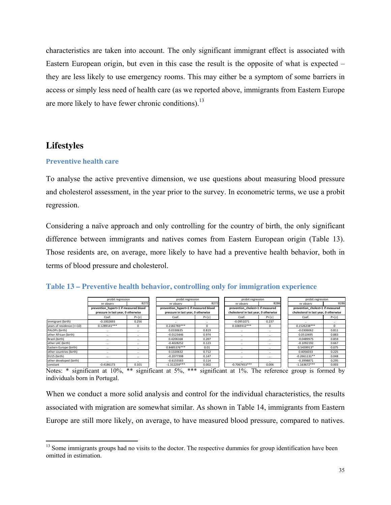characteristics are taken into account. The only significant immigrant effect is associated with Eastern European origin, but even in this case the result is the opposite of what is expected – they are less likely to use emergency rooms. This may either be a symptom of some barriers in access or simply less need of health care (as we reported above, immigrants from Eastern Europe are more likely to have fewer chronic conditions). $^{13}$ 

## **Lifestyles**

#### **Preventive health care**

To analyse the active preventive dimension, we use questions about measuring blood pressure and cholesterol assessment, in the year prior to the survey. In econometric terms, we use a probit regression.

Considering a naïve approach and only controlling for the country of birth, the only significant difference between immigrants and natives comes from Eastern European origin (Table 13). Those residents are, on average, more likely to have had a preventive health behavior, both in terms of blood pressure and cholesterol.

#### **Table 13 – Preventive health behavior, controlling only for immigration experience**

|                           | probit regression                     |                      | probit regression                     |                      | probit regression                     |          | probit regression                     |          |
|---------------------------|---------------------------------------|----------------------|---------------------------------------|----------------------|---------------------------------------|----------|---------------------------------------|----------|
|                           | nr observ                             | 8272                 | nr observ                             | 8272                 | nr observ                             | 8286     | nr observ                             | 8286     |
|                           | prevention hypert=1 if measured blood |                      | prevention hypert=1 if measured blood |                      | prevention cholest=1 if measured      |          | prevention cholest=1 if measured      |          |
|                           | pressure in last year, 0 otherwise    |                      | pressure in last year, 0 otherwise    |                      | cholesterol in last year, 0 otherwise |          | cholesterol in last year, 0 otherwise |          |
|                           | Coef.                                 | P >  z               | Coef.                                 | P >  z               | Coef.                                 | P >  z   | Coef.                                 | P >  z   |
| immigrant (birth)         | $-0.1002693$                          | 0.256                |                                       | $\ddot{\phantom{0}}$ | $-0.0951071$                          | 0.237    |                                       |          |
| years of residence (<=10) | $0.1289141***$                        | 0                    | 0.2182783***                          | $\Omega$             | 0.1069312 ***                         | $\Omega$ | 0.1526238***                          | $\Omega$ |
| PALOPs (birth)            | $\ddot{\phantom{0}}$                  |                      | 0.0330635                             | 0.819                |                                       | $\cdots$ | $-0.0306062$                          | 0.811    |
| other African (birth)     |                                       | $\cdots$             | $-0.0123446$                          | 0.974                |                                       |          | 0.0510495                             | 0.883    |
| Brazil (birth)            |                                       | $\cdots$             | 0.4206168                             | 0.207                |                                       | $\cdots$ | $-0.0489975$                          | 0.859    |
| other LAC (birth)         |                                       | $\cdots$             | $-0.4028252$                          | 0.123                |                                       |          | $-0.1092192$                          | 0.667    |
| Eastern Europe (birth)    |                                       | $\ddot{\phantom{0}}$ | 0.8485376***                          | 0.01                 |                                       | $\cdots$ | 0.5459913*                            | 0.075    |
| other countries (birth)   | $\cdots$                              | $\cdots$             | 0.1320632                             | 0.712                | $\cdots$                              |          | 0.4056033                             | 0.225    |
| EU15 (birth)              |                                       | $\cdots$             | $-0.2077398$                          | 0.147                |                                       | $\cdots$ | $-0.2661131**$                        | 0.048    |
| other developed (birth)   | $\ddot{\phantom{a}}$                  | $\cdots$             | $-0.6155583$                          | 0.114                | $\ddot{\phantom{a}}$                  | $\cdots$ | $-0.3998871$                          | 0.295    |
| constant                  | $-0.1186173$                          | 0.101                | $-1.212250***$                        | 0.002                | $-0.7067452***$                       | 0.006    | $-1.163672$ ***                       | n uus    |

 $\frac{1}{\text{Constant}} \quad 1 - \frac{0.4186173}{0.003} \quad 1 - \frac{0.101}{1.312259***} \quad 1 - \frac{0.002}{1.312259***} \quad 1 - \frac{0.002}{1.3067453***} \quad 1 - \frac{0.006}{1.163672***} \quad 1 - \frac{0.003}{1.163672***} \quad 1 - \frac{0.003}{1.163672***} \quad 1 - \frac{0.003}{1.163672***} \quad 1 - \frac{0.003}{1.1$ individuals born in Portugal.

When we conduct a more solid analysis and control for the individual characteristics, the results associated with migration are somewhat similar. As shown in Table 14, immigrants from Eastern Europe are still more likely, on average, to have measured blood pressure, compared to natives.

<sup>&</sup>lt;sup>13</sup> Some immigrants groups had no visits to the doctor. The respective dummies for group identification have been omitted in estimation.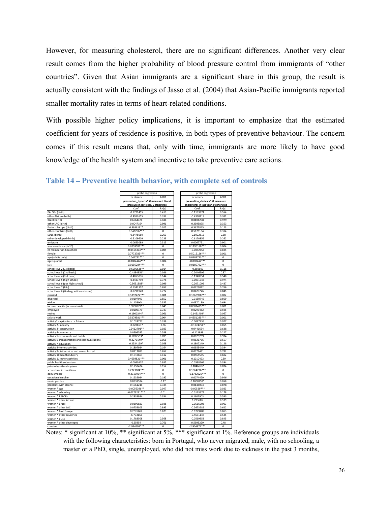However, for measuring cholesterol, there are no significant differences. Another very clear result comes from the higher probability of blood pressure control from immigrants of "other countries". Given that Asian immigrants are a significant share in this group, the result is actually consistent with the findings of Jasso et al. (2004) that Asian-Pacific immigrants reported smaller mortality rates in terms of heart-related conditions.

With possible higher policy implications, it is important to emphasize that the estimated coefficient for years of residence is positive, in both types of preventive behaviour. The concern comes if this result means that, only with time, immigrants are more likely to have good knowledge of the health system and incentive to take preventive care actions.

|                                              | probit regression                     |             | probit regression                     |             |
|----------------------------------------------|---------------------------------------|-------------|---------------------------------------|-------------|
|                                              | nr observ                             | 6787        | nr observ                             | 6802        |
|                                              | prevention_hypert=1 if measured blood |             | prevention_cholest=1 if measured      |             |
|                                              | pressure in last year, 0 otherwise    |             | cholesterol in last year, 0 otherwise |             |
|                                              | Coef.                                 | P >  z      | Coef.                                 | P >  z      |
| PALOPs (birth)                               | $-0.1721455$                          | 0.419       | $-0.1193374$                          | 0.554       |
| other African (birth)                        | $-0.4912655$                          | 0.332       | $-0.4360119$                          | 0.381       |
| Brazil (birth)                               | 0.6064471                             | 0.186       | 0.0104298                             | 0.979       |
| other LAC (birth)                            | 0.0047164                             | 0.991       | 0.3995875                             | 0.353       |
| Eastern Europe (birth)                       | $0.893619**$                          | 0.025       | 0.5672815                             | 0.123       |
| other countries (birth)                      | $6.343256***$                         | 0           | 0.5678184                             | 0.314       |
| EU15 (birth)                                 | $-0.2478669$                          | 0.263       | $-0.1902812$                          | 0.38        |
| other developed (birth)                      | $-0.6109609$                          | 0.233       | $-0.6170856$                          | 0.262       |
| emigrant                                     | $-0.0653089$                          | 0.315       | 0.0067751                             | 0.901       |
| years residence(<=10)                        | $0.2059586***$                        | 0           | $0.1196188***$                        | 0.004       |
| nr members in household                      | $-0.0414373***$                       | 0.005       | $-0.0052358$                          | 0.695       |
| female                                       | $0.7772785***$                        | 0           | 0.5015126 ***                         | 0.001       |
| age (adults only)                            | $0.041742***$                         | $\mathbf 0$ | 0.0404713***                          | 0           |
| age squared                                  | $-0.0002424***$                       | 0.004       | $-0.000247***$                        | $\mathbf 0$ |
| bmi                                          | 0.0195284***                          | 0           | 0.0180792 ***                         | 0           |
| school level2 (1st basic)                    | $-0.6995635**$                        | 0.014       | $-0.359699$                           | 0.118       |
| school level3 (2nd basic)                    | $-0.4834951*$                         | 0.086       | $-0.2046596$                          | 0.37        |
| school level4 (3rd basic)                    | $-0.4053036$                          | 0.144       | $-0.1348851$                          | 0.548       |
| school level5 (high school)                  | $-0.2423799$                          | 0.378       | $-0.0071548$                          | 0.974       |
| school level6 (pos high school)              | $-0.5651388*$                         | 0.099       | $-0.2071092$                          | 0.487       |
| school level7 (BSc)                          | $-0.1342107$                          | 0.657       | 0.0723022                             | 0.766       |
| school level8 (Undergrad-Licenciatura)       | $-0.0791928$                          | 0.772       | 0.0429726                             | 0.845       |
| married                                      | $0.1897422***$                        | 0.001       | 0.1668998***                          | 0.002       |
| divorced                                     | 0.0197043                             | 0.852       | $-0.0150745$                          | 0.869       |
| widow                                        | 0.1158004                             | 0.355       | 0.0370139                             | 0.694       |
| income pcapita (in household)                | $0.0000979**$                         | 0.045       | $0.0001439***$                        | 0.001       |
| employed                                     | 0.0209179                             | 0.737       | 0.0293482                             | 0.595       |
| retired                                      | 0.1900244*                            | 0.061       | 0.1451403                             | 0.067       |
| sick to work                                 | $0.5279581***$                        | 0.004       | 0.4551295***                          | 0.001       |
| activity1 - agriculture or fishery           | 0.1024727                             | 0.338       | $-0.0087936$                          | 0.927       |
| activity 2- industry                         | $-0.0206537$                          | 0.86        | $-0.1974754$                          | 0.055       |
| activity 3- construction                     | $0.2412701**$                         | 0.023       | 0.0441654                             | 0.638       |
| activity 4-commerce                          | 0.0596535                             | 0.588       | $-0.121899$                           | 0.227       |
| activity 5-restaurants and hotels            | 0.1697563*                            | 0.095       | 0.0029269                             | 0.974       |
| activity 6-transportation and communications | 0.2270149*                            | 0.056       | 0.0621756                             | 0.557       |
| activity 7-education                         | 0.2534169*                            | 0.058       | 0.1807249                             | 0.128       |
| activity 8-home activities                   | 0.1807934                             | 0.164       | 0.0953449                             | 0.394       |
| activity 9-civil services and armed forced   | 0.0717883                             | 0.657       | 0.0378431                             | 0.782       |
| activity 10-health industry                  | 0.1010653                             | 0.412       | 0.0568535                             | 0.602       |
| activity 11-other activities                 | $0.4659821***$                        | 0.001       | 0.1010493                             | 0.39        |
| public health subsystem                      | $-0.0060107$                          | 0.935       | $-0.0538664$                          | 0.394       |
| private health subsystem                     | 0.1759424                             | 0.152       | 0.1846676*                            | 0.074       |
| score chronic conditions                     | $0.2723604***$                        | 0           | $0.1864226***$                        | $\bf{0}$    |
| daily smoker                                 | $-0.2319964***$                       | $\mathbf 0$ | $-0.1782026$ ***                      | $\mathbf 0$ |
| occasional smoker                            | 0.1635034                             | 0.192       | 0.0074429                             | 0.946       |
| meals per day                                | 0.0833534                             | 0.17        | 0.1008358*                            | 0.058       |
| problems with alcohol                        | 0.1061211                             | 0.334       | 0.0146093                             | 0.878       |
| women * age                                  | $-0.0056396**$                        | 0.047       | $-0.005297**$                         | 0.023       |
| women * schooling                            | $-0.0279231***$                       | 0.01        | $-0.0123574$                          | 0.178       |
| women * PALOPs                               | 0.2833984                             | 0.354       | 0.1602903                             | 0.553       |
| women * other African                        |                                       |             | 1.293685                              | 0.109       |
| women * Brazil                               | 0.0396823                             | 0.938       | $-0.0566008$                          | 0.903       |
| women * other LAC                            | 0.0755803                             | 0.895       | $-0.2673282$                          | 0.622       |
| women * East Europe                          | 0.2026862                             | 0.673       | $-0.0779788$                          | 0.863       |
| women * other countries                      | $-6.793163$                           |             | $-0.4631147$                          | 0.525       |
| women * EU15                                 | 0.1788508                             | 0.568       | $-0.0569953$                          | 0.845       |
| women * other developed                      | 0.25954                               | 0.761       | 0.5993229                             | 0.48        |
| constant                                     | $-2.994698***$                        | $\mathbf 0$ | $-2.904874***$                        | $\mathbf 0$ |

#### **Table 14 – Preventive health behavior, with complete set of controls**

Notes: \* significant at 10%, \*\* significant at 5%, \*\*\* significant at 1%. Reference groups are individuals with the following characteristics: born in Portugal, who never migrated, male, with no schooling, a master or a PhD, single, unemployed, who did not miss work due to sickness in the past 3 months,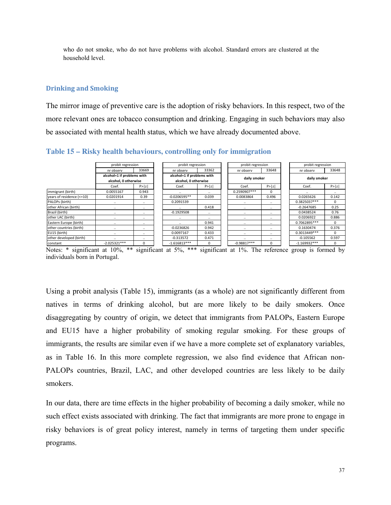who do not smoke, who do not have problems with alcohol. Standard errors are clustered at the household level.

#### **Drinking and Smoking**

The mirror image of preventive care is the adoption of risky behaviors. In this respect, two of the more relevant ones are tobacco consumption and drinking. Engaging in such behaviors may also be associated with mental health status, which we have already documented above.

|                           | probit regression                                  |           |                                                    | probit regression |                      | probit regression | probit regression |           |
|---------------------------|----------------------------------------------------|-----------|----------------------------------------------------|-------------------|----------------------|-------------------|-------------------|-----------|
|                           | nr observ                                          | 33669     | nr observ                                          | 33362             | nr observ            | 33648             | nr observ         | 33648     |
|                           | alcohol=1 if problems with<br>alcohol. 0 otherwise |           | alcohol=1 if problems with<br>alcohol. 0 otherwise |                   | daily smoker         |                   | daily smoker      |           |
|                           | Coef.                                              | P >  z    | Coef.                                              | P >  z            | Coef.                | P >  z            | Coef.             | P >  z    |
| immigrant (birth)         | 0.0055167                                          | 0.943     | $\ddot{\phantom{a}}$                               | $\cdots$          | 0.2590907***         | $\Omega$          | $\cdots$          | $\ddotsc$ |
| years of residence (<=10) | 0.0201914                                          | 0.39      | $-0.0206595**$                                     | 0.039             | 0.0083864            | 0.496             | 0.0265626         | 0.142     |
| PALOPs (birth)            | $\cdot$                                            | $\ddotsc$ | 0.2091539                                          |                   | $\cdot$              | $\ddotsc$         | 0.3825037***      | 0         |
| other African (birth)     |                                                    | $\ddotsc$ | $\ddotsc$                                          | 0.418             | $\ddot{\phantom{0}}$ | $\ddotsc$         | $-0.2647685$      | 0.25      |
| Brazil (birth)            | $\ldots$                                           | $\cdots$  | $-0.1929508$                                       | $\ddotsc$         | $\ddot{\phantom{0}}$ | $\ddotsc$         | 0.0438524         | 0.76      |
| other LAC (birth)         |                                                    | $\cdots$  | $\ddotsc$                                          |                   | $\ddot{\phantom{0}}$ | $\ddotsc$         | 0.0206922         | 0.886     |
| Eastern Europe (birth)    | $\ddotsc$                                          | $\ddotsc$ | $\ddotsc$                                          | 0.941             | $\ddotsc$            | $\ddotsc$         | 0.7062895 ***     | $\Omega$  |
| other countries (birth)   | $\cdots$                                           | $\ddotsc$ | $-0.0236826$                                       | 0.942             | $\ddot{\phantom{0}}$ | $\ddotsc$         | 0.1630474         | 0.376     |
| EU15 (birth)              | $\cdots$                                           | $\cdots$  | 0.0097167                                          | 0.433             | $\ddot{\phantom{0}}$ | $\ddotsc$         | 0.3013449 ***     | $\Omega$  |
| other developed (birth)   | $\cdots$                                           | .         | $-0.313572$                                        | 0.471             | $\cdot$ .            | $\ddotsc$         | $-0.105562$       | 0.597     |
| constant                  | $-2.025321***$                                     | 0         | $-1.616813***$                                     | $\Omega$          | $-0.98817***$        | $\Omega$          | $-1.169932***$    | 0         |

**Table 15 – Risky health behaviours, controlling only for immigration** 

Using a probit analysis (Table 15), immigrants (as a whole) are not significantly different from natives in terms of drinking alcohol, but are more likely to be daily smokers. Once disaggregating by country of origin, we detect that immigrants from PALOPs, Eastern Europe and EU15 have a higher probability of smoking regular smoking. For these groups of immigrants, the results are similar even if we have a more complete set of explanatory variables, as in Table 16. In this more complete regression, we also find evidence that African non-PALOPs countries, Brazil, LAC, and other developed countries are less likely to be daily smokers.

In our data, there are time effects in the higher probability of becoming a daily smoker, while no such effect exists associated with drinking. The fact that immigrants are more prone to engage in risky behaviors is of great policy interest, namely in terms of targeting them under specific programs.

Notes: \* significant at 10%, \*\* significant at 5%, \*\*\* significant at 1%. The reference group is formed by individuals born in Portugal.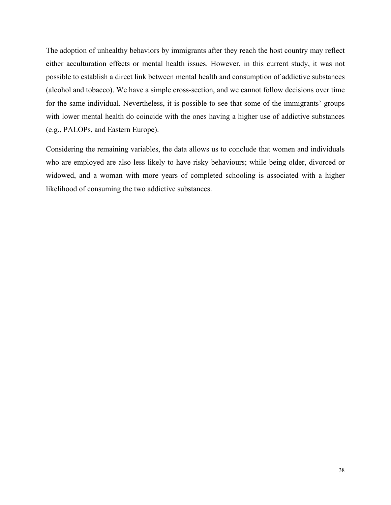The adoption of unhealthy behaviors by immigrants after they reach the host country may reflect either acculturation effects or mental health issues. However, in this current study, it was not possible to establish a direct link between mental health and consumption of addictive substances (alcohol and tobacco). We have a simple cross-section, and we cannot follow decisions over time for the same individual. Nevertheless, it is possible to see that some of the immigrants' groups with lower mental health do coincide with the ones having a higher use of addictive substances (e.g., PALOPs, and Eastern Europe).

Considering the remaining variables, the data allows us to conclude that women and individuals who are employed are also less likely to have risky behaviours; while being older, divorced or widowed, and a woman with more years of completed schooling is associated with a higher likelihood of consuming the two addictive substances.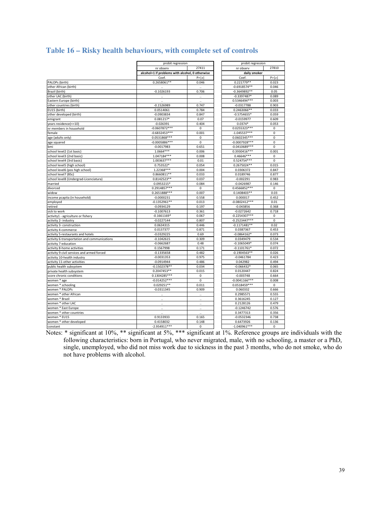|                                              | probit regression                               |                      | probit regression |             |
|----------------------------------------------|-------------------------------------------------|----------------------|-------------------|-------------|
|                                              | nr observ                                       | 27411                | nr observ         | 27810       |
|                                              | alcohol=1 if problems with alcohol, 0 otherwise |                      | daily smoker      |             |
|                                              | Coef.                                           | P >  z               | Coef.             | P >  z      |
| PALOPs (birth)                               | 0.2658061**                                     | 0.046                | $0.221779**$      | 0.023       |
| other African (birth)                        | $\ddot{\phantom{a}}$                            | $\sim$               | $-0.6918574**$    | 0.046       |
| Brazil (birth)                               | $-0.1026193$                                    | 0.706                | $-0.3649892**$    | 0.05        |
| other LAC (birth)                            | $\ddot{\phantom{a}}$                            | $\ddotsc$            | $-0.3397487*$     | 0.089       |
| Eastern Europe (birth)                       |                                                 | $\ddot{\phantom{a}}$ | 0.5346494 ***     | 0.003       |
| other countries (birth)                      | $-0.1526989$                                    | 0.747                | $-0.0317788$      | 0.903       |
| EU15 (birth)                                 | 0.0514061                                       | 0.784                | 0.2463066**       | 0.033       |
| other developed (birth)                      | $-0.0903834$                                    | 0.847                | $-0.5754655*$     | 0.059       |
|                                              |                                                 |                      |                   |             |
| emigrant                                     | 0.081217*                                       | 0.07                 | $-0.0159977$      | 0.609       |
| years residence(<=10)                        | $-0.026391$                                     | 0.404                | $0.0374*$         | 0.053       |
| nr members in household                      | $-0.0607872***$                                 | $\mathbf 0$          | 0.0255323 ***     | $\mathbf 0$ |
| female                                       | $-0.6832453***$                                 | 0.001                | $-1.045537***$    | $\mathbf 0$ |
| age (adults only)                            | 0.0531868 ***                                   | $\mathbf 0$          | 0.0602345***      | $\mathbf 0$ |
| age squared                                  | $-0.0005886***$                                 | $\pmb{0}$            | $-0.0007928***$   | $\mathbf 0$ |
| bmi                                          | $-0.0017983$                                    | 0.651                | $-0.0410689***$   | 0           |
| school level2 (1st basic)                    | $1.0664***$                                     | 0.006                | 0.3930416 ***     | 0.001       |
| school level3 (2nd basic)                    | 1.047184***                                     | 0.008                | $0.46646***$      | $\mathbf 0$ |
| school level4 (3rd basic)                    | 1.003637***                                     | 0.01                 | 0.524754***       | $\mathbf 0$ |
| school level5 (high school)                  | 0.753522*                                       | 0.054                | 0.2675024**       | 0.015       |
| school level6 (pos high school)              | 1.22368***                                      | 0.004                | 0.0306372         | 0.847       |
| school level7 (BSc)                          | $0.8660811**$                                   | 0.033                | 0.0189746         | 0.877       |
| school level8 (Undergrad-Licenciatura)       | 0.8142523**                                     | 0.037                | $-0.002291$       | 0.983       |
| married                                      | 0.0953215*                                      | 0.084                | $-0.0426987$      | 0.146       |
| divorced                                     | 0.2914857***                                    | 0                    | 0.4566852 ***     | 0           |
| widow                                        | 0.2651888***                                    | 0.007                | 0.1408403**       | 0.03        |
| income pcapita (in household)                | $-0.0000231$                                    | 0.558                | 0.000017          | 0.452       |
| employed                                     | $-0.1352961**$                                  | 0.013                | $-0.0802412***$   | 0.01        |
|                                              | $-0.0934129$                                    | 0.197                | $-0.043856$       | 0.368       |
| retired                                      | $-0.1007613$                                    | 0.361                | $-0.0272642$      | 0.718       |
| sick to work                                 |                                                 | 0.067                | $-0.2254307***$   | $\mathbf 0$ |
| activity1 - agriculture or fishery           | $-0.1661169*$                                   |                      |                   |             |
| activity 2- industry                         | $-0.0227144$                                    | 0.807                | $-0.2523447***$   | $\mathbf 0$ |
| activity 3- construction                     | 0.0634315                                       | 0.446                | $-0.1171481**$    | 0.02        |
| activity 4-commerce                          | 0.0137377                                       | 0.871                | 0.0387367         | 0.453       |
| activity 5-restaurants and hotels            | $-0.0329225$                                    | 0.69                 | $-0.0864162*$     | 0.073       |
| activity 6-transportation and communications | $-0.1042615$                                    | 0.309                | 0.0349479         | 0.534       |
| activity 7-education                         | $-0.0662687$                                    | 0.48                 | $-0.1065049*$     | 0.074       |
| activity 8-home activities                   | 0.1567998                                       | 0.171                | $-0.1101761*$     | 0.072       |
| activity 9-civil services and armed forced   | $-0.1335658$                                    | 0.482                | $-0.1904563**$    | 0.026       |
| activity 10-health industry                  | $-0.0031353$                                    | 0.975                | $-0.0461784$      | 0.423       |
| activity 11-other activities                 | $-0.0914944$                                    | 0.486                | 0.042982          | 0.494       |
| public health subsystem                      | $-0.1502378**$                                  | 0.034                | $-0.066432*$      | 0.065       |
| private health subsystem                     | 0.2047453**                                     | 0.015                | 0.0120447         | 0.824       |
| score chronic conditions                     | 0.1304285***                                    | 0                    | $-0.003748$       | 0.664       |
| women * age                                  | $-0.014252***$                                  | $\mathbf 0$          | $-0.0041166$ ***  | 0.008       |
| women * schooling                            | $0.029251**$                                    | 0.011                | 0.0518459 ***     | $\mathbf 0$ |
| women * PALOPs                               | $-0.0311345$                                    | 0.909                | 0.060332          | 0.666       |
| women * other African                        | $\ddot{\phantom{a}}$                            | $\ddot{\phantom{a}}$ | 0.2985571         | 0.555       |
| women * Brazil                               | ×,                                              |                      | 0.3616245         | 0.127       |
| women * other LAC                            |                                                 |                      | 0.2128126         | 0.479       |
| women * East Europe                          | $\ddotsc$                                       | $\ldots$             | $-0.1246742$      | 0.576       |
|                                              | $\ddot{\phantom{0}}$                            | $\ldots$             | 0.3477313         | 0.356       |
| women * other countries                      | $\ddotsc$                                       | $\ldots$             |                   |             |
| women * EU15                                 | 0.9133933                                       | 0.165                | $-0.0532346$      | 0.738       |
| women * other developed                      | 0.4158032                                       | 0.148                | 0.6473926         | 0.136       |
| constant                                     | $-2.954911***$                                  | $\mathbf 0$          | $-1.040961***$    | $\mathbf 0$ |

## **Table 16 – Risky health behaviours, with complete set of controls**

Notes: \* significant at 10%, \*\* significant at 5%, \*\*\* significant at 1%. Reference groups are individuals with the following characteristics: born in Portugal, who never migrated, male, with no schooling, a master or a PhD, single, unemployed, who did not miss work due to sickness in the past 3 months, who do not smoke, who do not have problems with alcohol.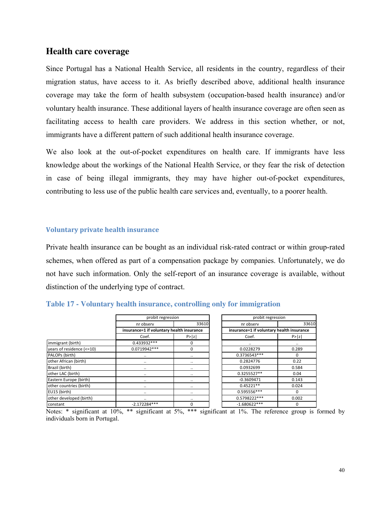## **Health care coverage**

Since Portugal has a National Health Service, all residents in the country, regardless of their migration status, have access to it. As briefly described above, additional health insurance coverage may take the form of health subsystem (occupation-based health insurance) and/or voluntary health insurance. These additional layers of health insurance coverage are often seen as facilitating access to health care providers. We address in this section whether, or not, immigrants have a different pattern of such additional health insurance coverage.

We also look at the out-of-pocket expenditures on health care. If immigrants have less knowledge about the workings of the National Health Service, or they fear the risk of detection in case of being illegal immigrants, they may have higher out-of-pocket expenditures, contributing to less use of the public health care services and, eventually, to a poorer health.

#### **Voluntary private health insurance**

Private health insurance can be bought as an individual risk-rated contract or within group-rated schemes, when offered as part of a compensation package by companies. Unfortunately, we do not have such information. Only the self-report of an insurance coverage is available, without distinction of the underlying type of contract.

|                           |                                                                                                                                                                                                                                                                                                                                                           | probit regression<br>33610<br>nr observ<br>P >  z <br>Coef.<br>0.433932 ***<br>0<br>0.0719942 ***<br>$\mathbf 0$<br><br><br><br><br><br><br><br> |  |           |
|---------------------------|-----------------------------------------------------------------------------------------------------------------------------------------------------------------------------------------------------------------------------------------------------------------------------------------------------------------------------------------------------------|--------------------------------------------------------------------------------------------------------------------------------------------------|--|-----------|
|                           | probit regression<br>nr observ<br>insurance=1 if voluntary health insurance<br>insurance=1 if voluntary health insura<br>Coef.<br><br>0.0228279<br>0.3736543***<br>0.2824776<br>0.0932699<br>0.3255527**<br>$-0.3609471$<br><br><br>$0.45221**$<br><br><br>0.595556***<br><br><br>0.5798222***<br><br><br>$-2.172284***$<br>$-1.680622***$<br>$\mathbf 0$ |                                                                                                                                                  |  |           |
|                           |                                                                                                                                                                                                                                                                                                                                                           |                                                                                                                                                  |  |           |
|                           |                                                                                                                                                                                                                                                                                                                                                           |                                                                                                                                                  |  | P >  z    |
| immigrant (birth)         |                                                                                                                                                                                                                                                                                                                                                           |                                                                                                                                                  |  | $\ddotsc$ |
| years of residence (<=10) |                                                                                                                                                                                                                                                                                                                                                           |                                                                                                                                                  |  | 0.289     |
| PALOPs (birth)            |                                                                                                                                                                                                                                                                                                                                                           |                                                                                                                                                  |  | 0         |
| other African (birth)     |                                                                                                                                                                                                                                                                                                                                                           |                                                                                                                                                  |  | 0.22      |
| Brazil (birth)            |                                                                                                                                                                                                                                                                                                                                                           |                                                                                                                                                  |  | 0.584     |
| other LAC (birth)         |                                                                                                                                                                                                                                                                                                                                                           |                                                                                                                                                  |  | 0.04      |
| Eastern Europe (birth)    |                                                                                                                                                                                                                                                                                                                                                           |                                                                                                                                                  |  | 0.143     |
| other countries (birth)   |                                                                                                                                                                                                                                                                                                                                                           |                                                                                                                                                  |  | 0.024     |
| EU15 (birth)              |                                                                                                                                                                                                                                                                                                                                                           |                                                                                                                                                  |  | 0         |
| other developed (birth)   |                                                                                                                                                                                                                                                                                                                                                           |                                                                                                                                                  |  | 0.002     |
| constant                  |                                                                                                                                                                                                                                                                                                                                                           |                                                                                                                                                  |  | 0         |

| probit regression                   |          | probit regression                         |             |
|-------------------------------------|----------|-------------------------------------------|-------------|
| nr observ                           | 33610    | nr observ                                 | 33610       |
| Ice=1 if voluntary health insurance |          | insurance=1 if voluntary health insurance |             |
| Coef.                               | P >  z   | Coef.                                     | P >  z      |
| 433932 ***                          | 0        |                                           |             |
| 0719942***                          | $\Omega$ | 0.0228279                                 | 0.289       |
|                                     |          | 0.3736543***                              | $\mathbf 0$ |
|                                     |          | 0.2824776                                 | 0.22        |
|                                     |          | 0.0932699                                 | 0.584       |
|                                     |          | 0.3255527**                               | 0.04        |
|                                     |          | $-0.3609471$                              | 0.143       |
|                                     |          | $0.45221**$                               | 0.024       |
|                                     |          | 0.595556***                               | $\Omega$    |
|                                     |          | 0.5798222***                              | 0.002       |
| .172284***                          | $\Omega$ | $-1.680622***$                            | $\Omega$    |
|                                     |          |                                           |             |

# **Table 17 - Voluntary health insurance, controlling only for immigration**

Notes: \* significant at 10%, \*\* significant at 5%, \*\*\* significant at 1%. The reference group is formed by individuals born in Portugal.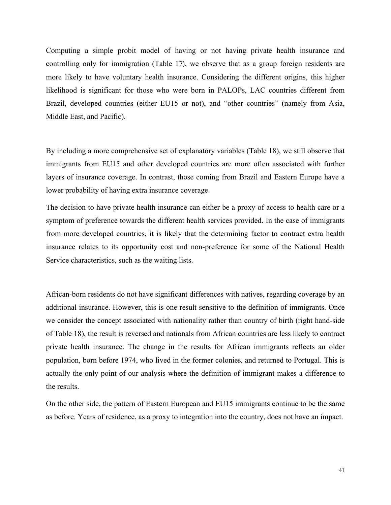Computing a simple probit model of having or not having private health insurance and controlling only for immigration (Table 17), we observe that as a group foreign residents are more likely to have voluntary health insurance. Considering the different origins, this higher likelihood is significant for those who were born in PALOPs, LAC countries different from Brazil, developed countries (either EU15 or not), and "other countries" (namely from Asia, Middle East, and Pacific).

By including a more comprehensive set of explanatory variables (Table 18), we still observe that immigrants from EU15 and other developed countries are more often associated with further layers of insurance coverage. In contrast, those coming from Brazil and Eastern Europe have a lower probability of having extra insurance coverage.

The decision to have private health insurance can either be a proxy of access to health care or a symptom of preference towards the different health services provided. In the case of immigrants from more developed countries, it is likely that the determining factor to contract extra health insurance relates to its opportunity cost and non-preference for some of the National Health Service characteristics, such as the waiting lists.

African-born residents do not have significant differences with natives, regarding coverage by an additional insurance. However, this is one result sensitive to the definition of immigrants. Once we consider the concept associated with nationality rather than country of birth (right hand-side of Table 18), the result is reversed and nationals from African countries are less likely to contract private health insurance. The change in the results for African immigrants reflects an older population, born before 1974, who lived in the former colonies, and returned to Portugal. This is actually the only point of our analysis where the definition of immigrant makes a difference to the results.

On the other side, the pattern of Eastern European and EU15 immigrants continue to be the same as before. Years of residence, as a proxy to integration into the country, does not have an impact.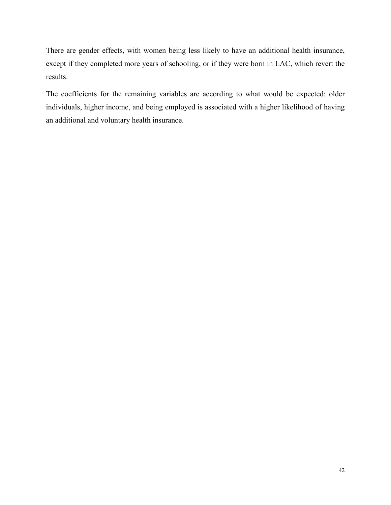There are gender effects, with women being less likely to have an additional health insurance, except if they completed more years of schooling, or if they were born in LAC, which revert the results.

The coefficients for the remaining variables are according to what would be expected: older individuals, higher income, and being employed is associated with a higher likelihood of having an additional and voluntary health insurance.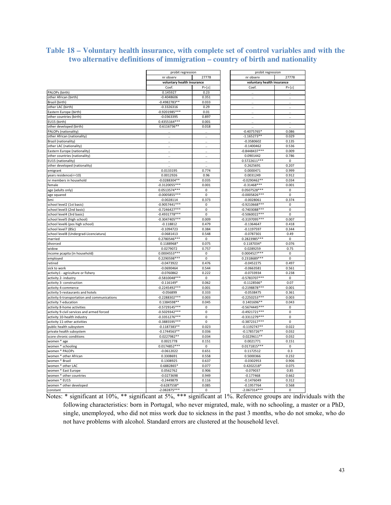|                                              | probit regression             |                | probit regression          |                      |
|----------------------------------------------|-------------------------------|----------------|----------------------------|----------------------|
|                                              | nr observ                     | 27778          | nr observ                  | 27778                |
|                                              | voluntary health insurance    |                | voluntary health insurance |                      |
|                                              | Coef.                         | P >  z         | Coef.                      | P >  z               |
| PALOPs (birth)                               | 0.145927                      | 0.23           |                            |                      |
| other African (birth)                        | $-0.4048606$                  | 0.351          | ä,                         |                      |
| Brazil (birth)                               | $-0.4982783**$                | 0.033          |                            |                      |
|                                              |                               | 0.29           | J.                         | $\ddot{\phantom{a}}$ |
| other LAC (birth)                            | $-0.3326316$                  |                | Ŀ,                         |                      |
| Eastern Europe (birth)                       | $-0.9201985***$               | 0.01           |                            |                      |
| other countries (birth)                      | $-0.0363395$                  | 0.897          |                            | ٠.                   |
| EU15 (birth)                                 | 0.4355164 ***                 | 0.001          |                            |                      |
| other developed (birth)                      | 0.6116736**                   | 0.018          |                            | $\ddot{\phantom{a}}$ |
| PALOPs (nationality)                         |                               |                | $-0.4075765*$              | 0.086                |
| other African (nationality)                  |                               |                | $-1.165273**$              | 0.029                |
| Brazil (nationality)                         |                               | Ω,             | $-0.3580602$               | 0.135                |
| other LAC (nationality)                      | ÷,                            | ă,             | $-0.1400462$               | 0.536                |
| Eastern Europe (nationality)                 | J.                            |                | $-0.8448437***$            | 0.009                |
| other countries (nationality)                |                               |                | 0.0901442                  | 0.786                |
| EU15 (nationality)                           | ă,                            |                | 0.5722611***               | $\mathbf 0$          |
| other developed (nationality)                | ä,                            | ä,             | 0.2625691                  | 0.207                |
| emigrant                                     | 0.0133195                     | 0.774          | 0.0000471                  | 0.999                |
| years residence(<=10)                        | 0.0012926                     | 0.96           | 0.0031249                  | 0.912                |
| nr members in household                      | $-0.0288304**$                | 0.035          | $-0.0290462**$             | 0.034                |
| female                                       | $-0.3120055***$               | 0.001          | $-0.31468***$              | 0.001                |
| age (adults only)                            | $0.0513574***$                | 0              | 0.0507528 ***              | 0                    |
|                                              | $-0.0005855***$               | 0              | $-0.0005826***$            | $\mathbf 0$          |
| age squared                                  |                               |                |                            |                      |
| bmi                                          | $-0.0028114$                  | 0.373          | $-0.0028061$               | 0.374                |
| school level2 (1st basic)                    | $-0.9057441***$               | 0              | $-0.9210668***$            | 0                    |
| school level3 (2nd basic)                    | $-0.7246427***$               | $\pmb{0}$      | $-0.7403088***$            | $\mathbf 0$          |
| school level4 (3rd basic)                    | $-0.4931778***$               | $\overline{0}$ | $-0.5060022***$            | $\overline{0}$       |
| school level5 (high school)                  | $-0.3047405***$               | 0.009          | $-0.3197095***$            | 0.007                |
| school level6 (pos high school)              | $-0.118812$                   | 0.479          | $-0.1364647$               | 0.418                |
| school level7 (BSc)                          | $-0.1094723$                  | 0.384          | $-0.1197597$               | 0.344                |
| school level8 (Undergrad-Licenciatura)       | $-0.0681413$                  | 0.548          | $-0.0787301$               | 0.49                 |
| married                                      | 0.2780546***                  | 0              | 0.2823985 ***              | 0                    |
| divorced                                     | 0.1188968*                    | 0.075          | 0.1187034*                 | 0.076                |
| widow                                        | 0.0279072                     | 0.757          | 0.0289259                  | 0.75                 |
| income pcapita (in household)                | $0.0004553***$                | 0              | 0.0004527***               | 0                    |
| employed                                     | 0.2290598 ***                 | 0              | 0.2318689 ***              | 0                    |
| retired                                      | $-0.0473922$                  | 0.476          | $-0.0452275$               | 0.497                |
| sick to work                                 | $-0.0690464$                  | 0.544          | $-0.0663581$               | 0.561                |
| activity1 - agriculture or fishery           | $-0.0760862$                  | 0.222          | $-0.0733934$               | 0.238                |
| activity 2- industry                         | $-0.5810048***$               | 0              | $-0.5783707***$            | 0                    |
|                                              | $-0.116149*$                  | 0.062          | $-0.1128566*$              | 0.07                 |
| activity 3- construction                     | $-0.2245492***$               | 0.001          | $-0.2198878***$            | 0.001                |
| activity 4-commerce                          |                               |                |                            |                      |
| activity 5-restaurants and hotels            | $-0.056899$                   | 0.333          | $-0.0538475$               | 0.361                |
| activity 6-transportation and communications | $-0.2288302***$               | 0.003          | $-0.2250253***$            | 0.003                |
| activity 7-education                         | 0.1384598**                   | 0.045          | 0.1401696**                | 0.043                |
| activity 8-home activities                   | $-0.5729145***$               | 0              | $-0.5674445***$            | 0                    |
| activity 9-civil services and armed forced   | $-0.5029342***$               | 0              | $-0.4921721***$            | 0                    |
| activity 10-health industry                  | $-0.3351276***$               | 0              | $-0.3311279***$            | 0                    |
| activity 11-other activities                 | $-0.3885595***$               | 0              | $-0.3872317***$            | 0                    |
| public health subsystem                      | $-0.1187383**$                | 0.023          | $-0.1192747**$             | 0.022                |
| private health subsystem                     | $-0.1744563**$                | 0.036          | $-0.1785726**$             | 0.032                |
| score chronic conditions                     | 0.0227982**                   | 0.034          | 0.0229611 **               | 0.032                |
| women * age                                  | 0.0021778                     | 0.151          | 0.0021771                  | 0.151                |
| women * schooling                            | 0.0174852 ***                 | 0              | 0.0171815 ***              | 0                    |
| women * PALOPs                               | $-0.0612022$                  | 0.651          | 0.1172512                  | 0.3                  |
| women * other African                        | 0.3308691                     | 0.558          | 0.5000366                  | 0.232                |
| women * Brazil                               | 0.1308925                     | 0.637          | $-0.0302953$               | 0.906                |
| women * other LAC                            | 0.6882865*                    | 0.077          | 0.4202218*                 | 0.075                |
| women * East Europe                          | 0.0562762                     | 0.906          | $-0.079037$                | 0.85                 |
| women * other countries                      | $-0.0273698$                  | 0.949          | $-0.177468$                | 0.662                |
|                                              |                               |                |                            |                      |
| women * EU15                                 | $-0.2449879$<br>$-0.6287558*$ | 0.116<br>0.085 | $-0.1476049$               | 0.312<br>0.568       |
| women * other developed                      |                               |                | $-0.1957764$               |                      |
| constant                                     | $-2.082875***$                | 0              | $-2.067314***$             | 0                    |

## **Table 18 – Voluntary health insurance, with complete set of control variables and with the two alternative definitions of immigration – country of birth and nationality**

Notes: \* significant at 10%, \*\* significant at 5%, \*\*\* significant at 1%. Reference groups are individuals with the following characteristics: born in Portugal, who never migrated, male, with no schooling, a master or a PhD, single, unemployed, who did not miss work due to sickness in the past 3 months, who do not smoke, who do not have problems with alcohol. Standard errors are clustered at the household level.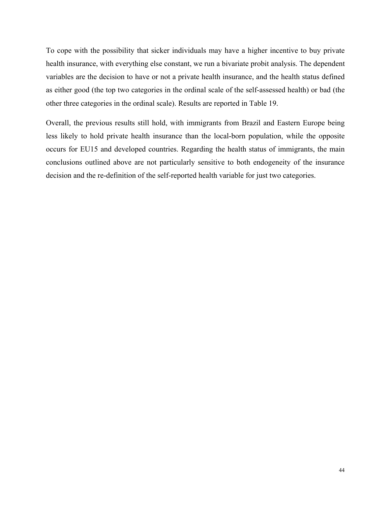To cope with the possibility that sicker individuals may have a higher incentive to buy private health insurance, with everything else constant, we run a bivariate probit analysis. The dependent variables are the decision to have or not a private health insurance, and the health status defined as either good (the top two categories in the ordinal scale of the self-assessed health) or bad (the other three categories in the ordinal scale). Results are reported in Table 19.

Overall, the previous results still hold, with immigrants from Brazil and Eastern Europe being less likely to hold private health insurance than the local-born population, while the opposite occurs for EU15 and developed countries. Regarding the health status of immigrants, the main conclusions outlined above are not particularly sensitive to both endogeneity of the insurance decision and the re-definition of the self-reported health variable for just two categories.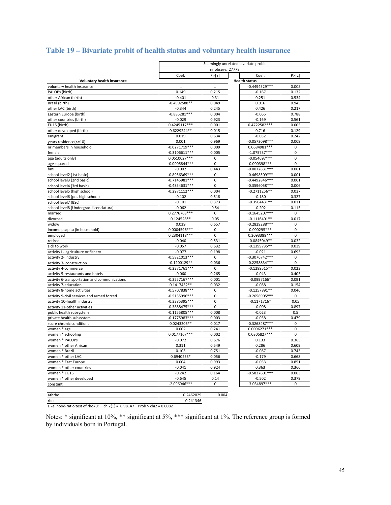# **Table 19 – Bivariate probit of health status and voluntary health insurance**

|                                                   | Seemingly unrelated bivariate probit |                      |  |                      |                    |  |  |  |
|---------------------------------------------------|--------------------------------------|----------------------|--|----------------------|--------------------|--|--|--|
|                                                   |                                      | nr observ: 27778     |  |                      |                    |  |  |  |
|                                                   | Coef.                                | P >  z               |  | Coef.                | P >  z             |  |  |  |
| <b>Voluntary health insurance</b>                 |                                      |                      |  | <b>Health status</b> |                    |  |  |  |
| voluntary health insurance                        |                                      | $\ddot{\phantom{1}}$ |  | $-0.4494529***$      | 0.005              |  |  |  |
| PALOPs (birth)                                    | 0.149                                | 0.215                |  | $-0.167$             | 0.132              |  |  |  |
| other African (birth)                             | $-0.401$                             | 0.31                 |  | 0.251                | 0.534              |  |  |  |
| Brazil (birth)                                    | $-0.4992588**$                       | 0.049                |  | 0.016                | 0.945              |  |  |  |
| other LAC (birth)                                 | $-0.344$                             | 0.245                |  | 0.426                | 0.217              |  |  |  |
| Eastern Europe (birth)                            | $-0.885281***$                       | 0.004                |  | $-0.065$             | 0.788              |  |  |  |
| other countries (birth)                           | $-0.029$                             | 0.923                |  | $-0.169$             | 0.561              |  |  |  |
| EU15 (birth)                                      | $0.4245117***$                       | 0.001                |  | 0.4722582***         | 0.005              |  |  |  |
| other developed (birth)                           | 0.6229244**                          | 0.015                |  | 0.716                | 0.129              |  |  |  |
| emigrant                                          | 0.019                                | 0.634                |  | $-0.032$             | 0.242              |  |  |  |
| years residence(<=10)                             | 0.001                                | 0.969                |  | $-0.0573098$ ***     | 0.009              |  |  |  |
| nr members in household                           | $-0.0271719***$                      | 0.009                |  | 0.0684981 ***        | 0                  |  |  |  |
| female                                            | $-0.3106611***$                      | 0.005                |  | $-1.075737***$       | $\mathbf 0$        |  |  |  |
| age (adults only)                                 | 0.0510027***                         | 0                    |  | $-0.054697***$       | $\mathbf 0$        |  |  |  |
| age squared                                       | $-0.0005844***$                      | $\mathbf 0$          |  | 0.000398 ***         | $\pmb{0}$          |  |  |  |
| bmi                                               | $-0.002$                             | 0.443                |  | $-0.0072831***$      | 0.001              |  |  |  |
| school level2 (1st basic)                         | $-0.8956369***$                      | 0                    |  | $-0.4698509***$      | 0.001              |  |  |  |
| school level3 (2nd basic)                         | $-0.7145981***$                      | 0                    |  | $-0.4492846***$      | 0.001              |  |  |  |
| school level4 (3rd basic)                         | $-0.4854631***$                      | $\mathbf 0$          |  | $-0.3596058***$      | 0.006              |  |  |  |
| school level5 (high school)                       | $-0.2971112***$                      | 0.004                |  | $-0.2711256**$       | 0.037              |  |  |  |
| school level6 (pos high school)                   | $-0.102$                             | 0.518                |  | $-0.180$             | 0.327              |  |  |  |
| school level7 (BSc)                               | $-0.101$                             | 0.373                |  | $-0.3504431**$       | 0.011              |  |  |  |
|                                                   | $-0.062$                             | 0.54                 |  | $-0.202$             |                    |  |  |  |
| school level8 (Undergrad-Licenciatura)<br>married | 0.2776763***                         | 0                    |  | $-0.1645207***$      | 0.115<br>$\pmb{0}$ |  |  |  |
|                                                   | 0.124528**                           | 0.05                 |  | $-0.1116401**$       |                    |  |  |  |
| divorced<br>widow                                 | 0.039                                |                      |  | $-0.2829288***$      | 0.017<br>0         |  |  |  |
|                                                   |                                      | 0.657                |  |                      | $\mathbf 0$        |  |  |  |
| income pcapita (in household)                     | 0.0004596***                         | 0                    |  | 0.000295***          |                    |  |  |  |
| employed                                          | 0.2304118***                         | 0                    |  | 0.2093388***         | $\mathbf 0$        |  |  |  |
| retired                                           | $-0.040$                             | 0.531                |  | $-0.0845049**$       | 0.032              |  |  |  |
| sick to work                                      | $-0.057$                             | 0.632                |  | $-0.1399735**$       | 0.039              |  |  |  |
| activity1 - agriculture or fishery                | $-0.077$                             | 0.198                |  | $-0.021$             | 0.693              |  |  |  |
| activity 2- industry                              | $-0.5821013***$                      | $\pmb{0}$            |  | $-0.3076742***$      | 0                  |  |  |  |
| activity 3- construction                          | $-0.1200129**$                       | 0.036                |  | $-0.2258834***$      | $\mathbf 0$        |  |  |  |
| activity 4-commerce                               | $-0.2271761***$                      | 0                    |  | $-0.1289515**$       | 0.023              |  |  |  |
| activity 5-restaurants and hotels                 | $-0.060$                             | 0.265                |  | $-0.043$             | 0.405              |  |  |  |
| activity 6-transportation and communications      | $-0.2257167***$                      | 0.001                |  | $-0.0997166*$        | 0.091              |  |  |  |
| activity 7-education                              | 0.1417432**                          | 0.032                |  | $-0.088$             | 0.154              |  |  |  |
| activity 8-home activities                        | $-0.5707838***$                      | 0                    |  | $-0.1257891**$       | 0.046              |  |  |  |
| activity 9-civil services and armed forced        | $-0.5135996***$                      | 0                    |  | $-0.2658905***$      | 0                  |  |  |  |
| activity 10-health industry                       | $-0.3385395***$                      | 0                    |  | $-0.1171716*$        | 0.05               |  |  |  |
| activity 11-other activities                      | $-0.3888475***$                      | 0                    |  | $-0.008$             | 0.897              |  |  |  |
| public health subsystem                           | $-0.1155805***$                      | 0.008                |  | $-0.023$             | 0.5                |  |  |  |
| private health subsystem                          | $-0.1775983***$                      | 0.003                |  | $-0.038$             | 0.479              |  |  |  |
| score chronic conditions                          | 0.0243205**                          | 0.017                |  | $-0.3268487***$      | $\pmb{0}$          |  |  |  |
| women * age                                       | 0.002                                | 0.241                |  | 0.0096271 ***        | 0                  |  |  |  |
| women * schooling                                 | $0.0177167***$                       | 0.002                |  | 0.0305827***         | 0                  |  |  |  |
| women * PALOPs                                    | $-0.072$                             | 0.676                |  | 0.133                | 0.365              |  |  |  |
| women * other African                             | 0.311                                | 0.549                |  | 0.286                | 0.609              |  |  |  |
| women * Brazil                                    | 0.103                                | 0.751                |  | $-0.087$             | 0.743              |  |  |  |
| women * other LAC                                 | 0.6940253*                           | 0.056                |  | $-0.179$             | 0.668              |  |  |  |
| women * East Europe                               | 0.004                                | 0.993                |  | $-0.053$             | 0.851              |  |  |  |
| women * other countries                           | $-0.041$                             | 0.924                |  | 0.363                | 0.366              |  |  |  |
| women * EU15                                      | $-0.242$                             | 0.164                |  | $-0.5837601***$      | 0.003              |  |  |  |
| women * other developed                           | $-0.645$                             | 0.14                 |  | $-0.502$             | 0.379              |  |  |  |
| constant                                          | $-2.096946***$                       | 0                    |  | 3.034897***          | 0                  |  |  |  |
|                                                   |                                      |                      |  |                      |                    |  |  |  |
| athrho                                            | 0.2462029                            | 0.004                |  |                      |                    |  |  |  |
| rho                                               | 0.241346                             |                      |  |                      |                    |  |  |  |
|                                                   |                                      |                      |  |                      |                    |  |  |  |

Likelihood-ratio test of rho=0:  $chi(1) = 6.98147$  Prob > chi2 = 0.0082

Notes: \* significant at 10%, \*\* significant at 5%, \*\*\* significant at 1%. The reference group is formed by individuals born in Portugal.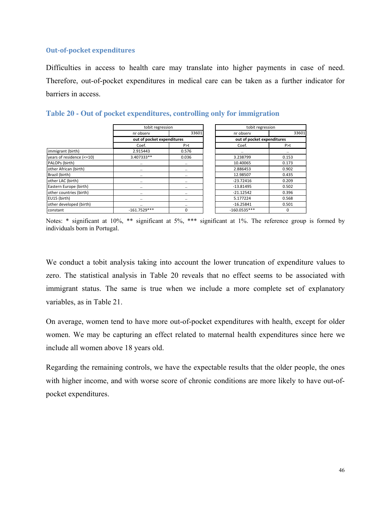#### **Outofpocket expenditures**

Difficulties in access to health care may translate into higher payments in case of need. Therefore, out-of-pocket expenditures in medical care can be taken as a further indicator for barriers in access.

|                           | tobit regression           |           | tobit regression |                            |  |
|---------------------------|----------------------------|-----------|------------------|----------------------------|--|
|                           | nr observ                  | 33601     | nr observ        | 33601                      |  |
|                           | out of pocket expenditures |           |                  | out of pocket expenditures |  |
|                           | Coef.                      | P > t     | Coef.            | P > t                      |  |
| immigrant (birth)         | 2.915443                   | 0.576     |                  | $\cdot$                    |  |
| years of residence (<=10) | 3.407333**                 | 0.036     | 3.238799         | 0.153                      |  |
| PALOPs (birth)            |                            |           | 10.40065         | 0.173                      |  |
| other African (birth)     | $\cdot$ .                  |           | 2.886453         | 0.902                      |  |
| Brazil (birth)            |                            |           | 12.98507         | 0.435                      |  |
| other LAC (birth)         |                            |           | $-23.72416$      | 0.209                      |  |
| Eastern Europe (birth)    |                            |           | $-13.81495$      | 0.502                      |  |
| other countries (birth)   |                            | $\cdot$ . | $-21.12542$      | 0.396                      |  |
| EU15 (birth)              |                            |           | 5.177224         | 0.568                      |  |
| other developed (birth)   |                            |           | $-16.25841$      | 0.501                      |  |
| constant                  | $-161.7529***$             | 0         | $-160.0535***$   | 0                          |  |

#### **Table 20 - Out of pocket expenditures, controlling only for immigration**

We conduct a tobit analysis taking into account the lower truncation of expenditure values to zero. The statistical analysis in Table 20 reveals that no effect seems to be associated with immigrant status. The same is true when we include a more complete set of explanatory variables, as in Table 21.

On average, women tend to have more out-of-pocket expenditures with health, except for older women. We may be capturing an effect related to maternal health expenditures since here we include all women above 18 years old.

Regarding the remaining controls, we have the expectable results that the older people, the ones with higher income, and with worse score of chronic conditions are more likely to have out-ofpocket expenditures.

Notes: \* significant at 10%, \*\* significant at 5%, \*\*\* significant at 1%. The reference group is formed by individuals born in Portugal.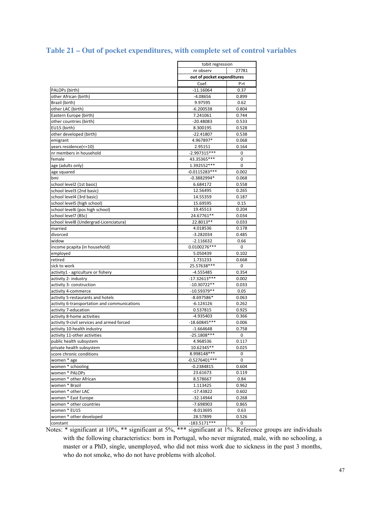## **Table 21 – Out of pocket expenditures, with complete set of control variables**

|                                                            | tobit regression           |       |
|------------------------------------------------------------|----------------------------|-------|
|                                                            | nr observ                  | 27781 |
|                                                            | out of pocket expenditures |       |
|                                                            | Coef.                      | P > t |
| PALOPs (birth)                                             | $-11.16064$                | 0.37  |
| other African (birth)                                      | $-4.08656$                 | 0.899 |
| Brazil (birth)                                             | 9.97595                    | 0.62  |
| other LAC (birth)                                          | $-6.200538$                | 0.804 |
| Eastern Europe (birth)                                     | 7.241061                   | 0.744 |
| other countries (birth)                                    | $-20.48083$                | 0.533 |
| EU15 (birth)                                               | 8.300195                   | 0.528 |
| other developed (birth)                                    | $-22.41807$                | 0.538 |
| emigrant                                                   | 4.967897*                  | 0.068 |
| years residence(<=10)                                      | 2.95151                    | 0.164 |
| nr members in household                                    | $-2.997315***$             | 0     |
| female                                                     | 43.35365***                | 0     |
| age (adults only)                                          | 1.392552***                | 0     |
| age squared                                                | $-0.0115283***$            | 0.002 |
| bmi                                                        | $-0.3882994*$              | 0.068 |
| school level2 (1st basic)                                  | 6.684172                   | 0.558 |
| school level3 (2nd basic)                                  | 12.56495                   | 0.265 |
| school level4 (3rd basic)                                  | 14.55359                   | 0.187 |
| school level5 (high school)                                | 15.69595                   | 0.15  |
| school level6 (pos high school)                            | 19.45513                   | 0.204 |
| school level7 (BSc)                                        | 24.67761**                 | 0.034 |
| school level8 (Undergrad-Licenciatura)                     | 22.8013**                  | 0.033 |
| married                                                    | 4.018536                   | 0.178 |
| divorced                                                   | $-3.282034$                | 0.485 |
| widow                                                      | $-2.116632$                | 0.66  |
| income pcapita (in household)                              | $0.0100276***$             | 0     |
| employed                                                   | 5.050439                   | 0.102 |
| retired                                                    | 1.731233                   | 0.668 |
| sick to work                                               | 25.57638***                | 0     |
|                                                            | $-4.555485$                | 0.354 |
| activity1 - agriculture or fishery<br>activity 2- industry | $-17.32613***$             | 0.002 |
| activity 3- construction                                   | $-10.30722**$              | 0.033 |
|                                                            | $-10.59379**$              | 0.05  |
| activity 4-commerce                                        |                            |       |
| activity 5-restaurants and hotels                          | $-8.697586*$               | 0.063 |
| activity 6-transportation and communications               | $-6.124126$                | 0.262 |
| activity 7-education                                       | 0.537815                   | 0.925 |
| activity 8-home activities                                 | $-4.935403$                | 0.366 |
| activity 9-civil services and armed forced                 | $-18.60845***$             | 0.006 |
| activity 10-health industry                                | $-1.664648$                | 0.758 |
| activity 11-other activities                               | $-25.1808***$              | 0     |
| public health subsystem                                    | 4.968536                   | 0.117 |
| private health subsystem                                   | 10.62345**                 | 0.025 |
| score chronic conditions                                   | 8.998148***                | 0     |
| women * age                                                | $-0.5276401***$            | 0     |
| women * schooling                                          | $-0.2384815$               | 0.604 |
| women * PALOPs                                             | 23.61673                   | 0.119 |
| women * other African                                      | 8.578667                   | 0.84  |
| women * Brazil                                             | 1.113425                   | 0.962 |
| women * other LAC                                          | $-17.43822$                | 0.602 |
| women * East Europe                                        | $-32.14944$                | 0.268 |
| women * other countries                                    | $-7.698903$                | 0.865 |
| women * EU15                                               | $-8.013695$                | 0.63  |
| women * other developed                                    | 28.57899                   | 0.526 |
| constant                                                   | $-183.5171***$             | 0     |

Notes: \* significant at 10%, \*\* significant at 5%, \*\*\* significant at 1%. Reference groups are individuals with the following characteristics: born in Portugal, who never migrated, male, with no schooling, a master or a PhD, single, unemployed, who did not miss work due to sickness in the past 3 months,

who do not smoke, who do not have problems with alcohol.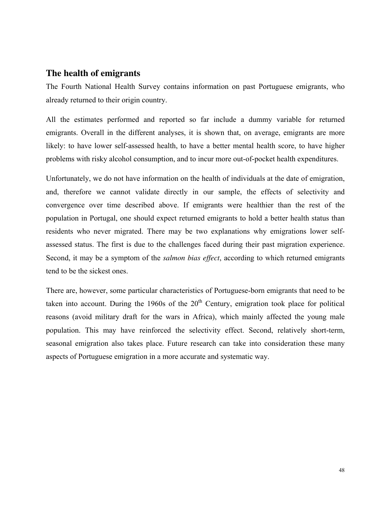# **The health of emigrants**

The Fourth National Health Survey contains information on past Portuguese emigrants, who already returned to their origin country.

All the estimates performed and reported so far include a dummy variable for returned emigrants. Overall in the different analyses, it is shown that, on average, emigrants are more likely: to have lower self-assessed health, to have a better mental health score, to have higher problems with risky alcohol consumption, and to incur more out-of-pocket health expenditures.

Unfortunately, we do not have information on the health of individuals at the date of emigration, and, therefore we cannot validate directly in our sample, the effects of selectivity and convergence over time described above. If emigrants were healthier than the rest of the population in Portugal, one should expect returned emigrants to hold a better health status than residents who never migrated. There may be two explanations why emigrations lower selfassessed status. The first is due to the challenges faced during their past migration experience. Second, it may be a symptom of the *salmon bias effect*, according to which returned emigrants tend to be the sickest ones.

There are, however, some particular characteristics of Portuguese-born emigrants that need to be taken into account. During the 1960s of the  $20<sup>th</sup>$  Century, emigration took place for political reasons (avoid military draft for the wars in Africa), which mainly affected the young male population. This may have reinforced the selectivity effect. Second, relatively short-term, seasonal emigration also takes place. Future research can take into consideration these many aspects of Portuguese emigration in a more accurate and systematic way.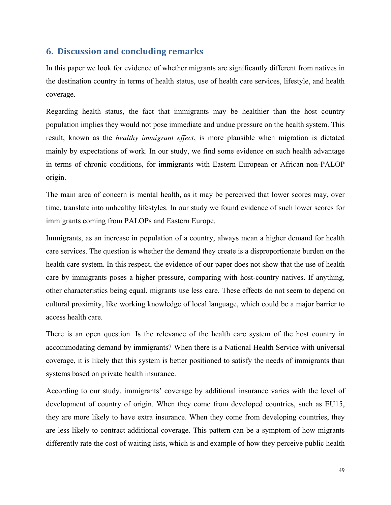# **6. Discussion and concluding remarks**

In this paper we look for evidence of whether migrants are significantly different from natives in the destination country in terms of health status, use of health care services, lifestyle, and health coverage.

Regarding health status, the fact that immigrants may be healthier than the host country population implies they would not pose immediate and undue pressure on the health system. This result, known as the *healthy immigrant effect*, is more plausible when migration is dictated mainly by expectations of work. In our study, we find some evidence on such health advantage in terms of chronic conditions, for immigrants with Eastern European or African non-PALOP origin.

The main area of concern is mental health, as it may be perceived that lower scores may, over time, translate into unhealthy lifestyles. In our study we found evidence of such lower scores for immigrants coming from PALOPs and Eastern Europe.

Immigrants, as an increase in population of a country, always mean a higher demand for health care services. The question is whether the demand they create is a disproportionate burden on the health care system. In this respect, the evidence of our paper does not show that the use of health care by immigrants poses a higher pressure, comparing with host-country natives. If anything, other characteristics being equal, migrants use less care. These effects do not seem to depend on cultural proximity, like working knowledge of local language, which could be a major barrier to access health care.

There is an open question. Is the relevance of the health care system of the host country in accommodating demand by immigrants? When there is a National Health Service with universal coverage, it is likely that this system is better positioned to satisfy the needs of immigrants than systems based on private health insurance.

According to our study, immigrants' coverage by additional insurance varies with the level of development of country of origin. When they come from developed countries, such as EU15, they are more likely to have extra insurance. When they come from developing countries, they are less likely to contract additional coverage. This pattern can be a symptom of how migrants differently rate the cost of waiting lists, which is and example of how they perceive public health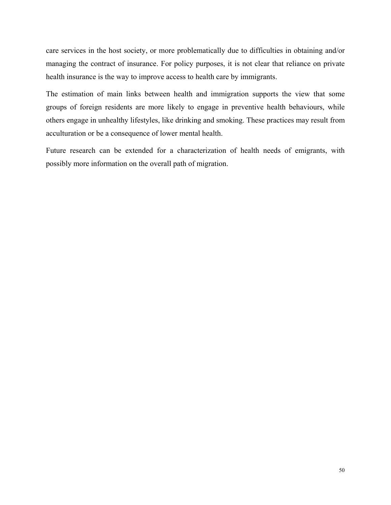care services in the host society, or more problematically due to difficulties in obtaining and/or managing the contract of insurance. For policy purposes, it is not clear that reliance on private health insurance is the way to improve access to health care by immigrants.

The estimation of main links between health and immigration supports the view that some groups of foreign residents are more likely to engage in preventive health behaviours, while others engage in unhealthy lifestyles, like drinking and smoking. These practices may result from acculturation or be a consequence of lower mental health.

Future research can be extended for a characterization of health needs of emigrants, with possibly more information on the overall path of migration.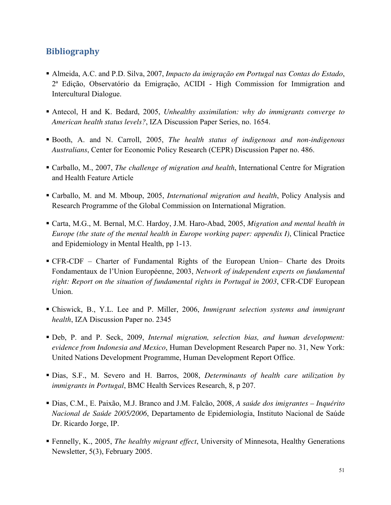# **Bibliography**

- Almeida, A.C. and P.D. Silva, 2007, *Impacto da imigração em Portugal nas Contas do Estado*, 2ª Edição, Observatório da Emigração, ACIDI - High Commission for Immigration and Intercultural Dialogue.
- Antecol, H and K. Bedard, 2005, *Unhealthy assimilation: why do immigrants converge to American health status levels?*, IZA Discussion Paper Series, no. 1654.
- Booth, A. and N. Carroll, 2005, *The health status of indigenous and non-indigenous Australians*, Center for Economic Policy Research (CEPR) Discussion Paper no. 486.
- Carballo, M., 2007, *The challenge of migration and health*, International Centre for Migration and Health Feature Article
- Carballo, M. and M. Mboup, 2005, *International migration and health*, Policy Analysis and Research Programme of the Global Commission on International Migration.
- Carta, M.G., M. Bernal, M.C. Hardoy, J.M. Haro-Abad, 2005, *Migration and mental health in Europe (the state of the mental health in Europe working paper: appendix I)*, Clinical Practice and Epidemiology in Mental Health, pp 1-13.
- CFR-CDF Charter of Fundamental Rights of the European Union– Charte des Droits Fondamentaux de l'Union Européenne, 2003, *Network of independent experts on fundamental right: Report on the situation of fundamental rights in Portugal in 2003*, CFR-CDF European Union.
- Chiswick, B., Y.L. Lee and P. Miller, 2006, *Immigrant selection systems and immigrant health*, IZA Discussion Paper no. 2345
- Deb, P. and P. Seck, 2009, *Internal migration, selection bias, and human development: evidence from Indonesia and Mexico*, Human Development Research Paper no. 31, New York: United Nations Development Programme, Human Development Report Office.
- Dias, S.F., M. Severo and H. Barros, 2008, *Determinants of health care utilization by immigrants in Portugal*, BMC Health Services Research, 8, p 207.
- Dias, C.M., E. Paixão, M.J. Branco and J.M. Falcão, 2008, *A saúde dos imigrantes Inquérito Nacional de Saúde 2005/2006*, Departamento de Epidemiologia, Instituto Nacional de Saúde Dr. Ricardo Jorge, IP.
- Fennelly, K., 2005, *The healthy migrant effect*, University of Minnesota, Healthy Generations Newsletter, 5(3), February 2005.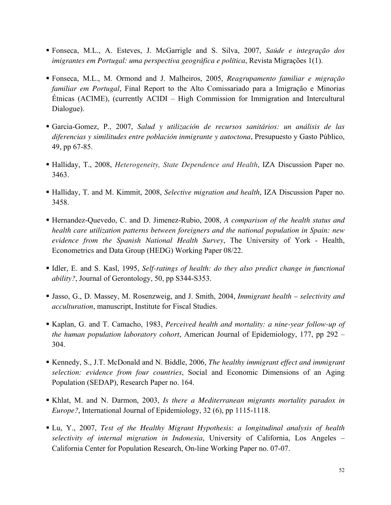- Fonseca, M.L., A. Esteves, J. McGarrigle and S. Silva, 2007, *Saúde e integração dos imigrantes em Portugal: uma perspectiva geográfica e política*, Revista Migrações 1(1).
- Fonseca, M.L., M. Ormond and J. Malheiros, 2005, *Reagrupamento familiar e migração familiar em Portugal*, Final Report to the Alto Comissariado para a Imigração e Minorias Étnicas (ACIME), (currently ACIDI – High Commission for Immigration and Intercultural Dialogue).
- Garcia-Gomez, P., 2007, *Salud y utilización de recursos sanitários: un análisis de las diferencias y similitudes entre población inmigrante y autoctona*, Presupuesto y Gasto Público, 49, pp 67-85.
- Halliday, T., 2008, *Heterogeneity, State Dependence and Health*, IZA Discussion Paper no. 3463.
- Halliday, T. and M. Kimmit, 2008, *Selective migration and health*, IZA Discussion Paper no. 3458.
- Hernandez-Quevedo, C. and D. Jimenez-Rubio, 2008, *A comparison of the health status and health care utilization patterns between foreigners and the national population in Spain: new evidence from the Spanish National Health Survey*, The University of York - Health, Econometrics and Data Group (HEDG) Working Paper 08/22.
- Idler, E. and S. Kasl, 1995, *Self-ratings of health: do they also predict change in functional ability?*, Journal of Gerontology, 50, pp S344-S353.
- Jasso, G., D. Massey, M. Rosenzweig, and J. Smith, 2004, *Immigrant health selectivity and acculturation*, manuscript, Institute for Fiscal Studies.
- Kaplan, G. and T. Camacho, 1983, *Perceived health and mortality: a nine-year follow-up of the human population laboratory cohort*, American Journal of Epidemiology, 177, pp 292 – 304.
- Kennedy, S., J.T. McDonald and N. Biddle, 2006, *The healthy immigrant effect and immigrant selection: evidence from four countries*, Social and Economic Dimensions of an Aging Population (SEDAP), Research Paper no. 164.
- Khlat, M. and N. Darmon, 2003, *Is there a Mediterranean migrants mortality paradox in Europe?*, International Journal of Epidemiology, 32 (6), pp 1115-1118.
- Lu, Y., 2007, *Test of the Healthy Migrant Hypothesis: a longitudinal analysis of health selectivity of internal migration in Indonesia*, University of California, Los Angeles – California Center for Population Research, On-line Working Paper no. 07-07.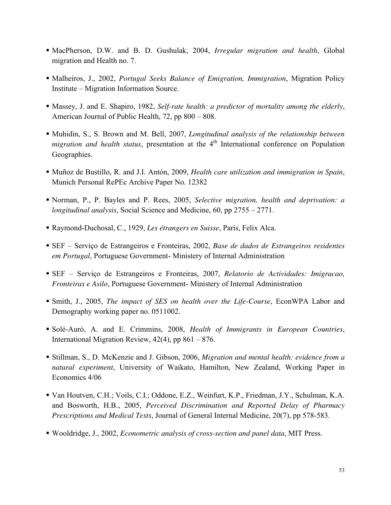- MacPherson, D.W. and B. D. Gushulak, 2004, *Irregular migration and health*, Global migration and Health no. 7.
- Malheiros, J., 2002, *Portugal Seeks Balance of Emigration, Immigration*, Migration Policy Institute – Migration Information Source.
- Massey, J. and E. Shapiro, 1982, *Self-rate health: a predictor of mortality among the elderly*, American Journal of Public Health, 72, pp 800 – 808.
- Muhidin, S., S. Brown and M. Bell, 2007, *Longitudinal analysis of the relationship between migration and health status*, presentation at the  $4<sup>th</sup>$  International conference on Population Geographies.
- Muñoz de Bustillo, R. and J.I. Antón, 2009, *Health care utilization and immigration in Spain*, Munich Personal RePEc Archive Paper No. 12382
- Norman, P., P. Bayles and P. Rees, 2005, *Selective migration, health and deprivation: a longitudinal analysis*, Social Science and Medicine, 60, pp 2755 – 2771.
- Raymond-Duchosal, C., 1929, *Les étrangers en Suisse*, Paris, Felix Alca.
- SEF Serviço de Estrangeiros e Fronteiras, 2002, *Base de dados de Estrangeiros residentes em Portugal*, Portuguese Government- Ministery of Internal Administration
- SEF Serviço de Estrangeiros e Fronteiras, 2007, *Relatorio de Actividades: Imigracao, Fronteiras e Asilo*, Portuguese Government- Ministery of Internal Administration
- Smith, J., 2005, *The impact of SES on health over the Life-Course*, EconWPA Labor and Demography working paper no. 0511002.
- Solé-Auró, A. and E. Crimmins, 2008, *Health of Immigrants in European Countries*, International Migration Review,  $42(4)$ , pp  $861 - 876$ .
- Stillman, S., D. McKenzie and J. Gibson, 2006, *Migration and mental health: evidence from a natural experiment*, University of Waikato, Hamilton, New Zealand, Working Paper in Economics 4/06
- Van Houtven, C.H.; Voils, C.I.; Oddone, E.Z., Weinfurt, K.P., Friedman, J.Y., Schulman, K.A. and Bosworth, H.B., 2005, *Perceived Discrimination and Reported Delay of Pharmacy Prescriptions and Medical Tests*, Journal of General Internal Medicine, 20(7), pp 578-583.
- Wooldridge, J., 2002, *Econometric analysis of cross-section and panel data*, MIT Press.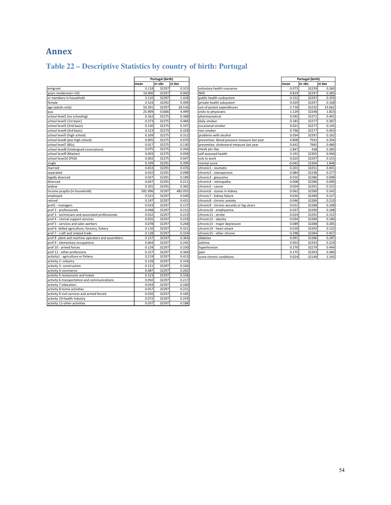# **Annex**

|                                                    | Portugal (birth) |        |         |                                              |          | Portugal (birth) |        |
|----------------------------------------------------|------------------|--------|---------|----------------------------------------------|----------|------------------|--------|
|                                                    | mean             | nr obs | st dev  |                                              | mean     | nr obs           | st dev |
| emigrant                                           | 0.118            | 32297  | 0.323   | voluntary health insurance                   | 0.073    | 32239            | 0.260  |
| years residence(<=10)                              | 10,000           | 32297  | 0.000   | <b>NHS</b>                                   | 0.819    | 32297            | 0.385  |
| nr members in household                            | 3.110            | 32297  | 1.418   | public health susbsystem                     | 0.152    | 32297            | 0.359  |
| female                                             | 0.524            | 32292  | 0.499   | private health subsystem                     | 0.029    | 32297            | 0.168  |
| age (adults only)                                  | 50.393           | 32297  | 18.536  | out of pocket expenditures                   | 3.718    | 32232            | 23.662 |
| bmi                                                | 25,909           | 31666  | 4.499   | visits to physicians                         | 1.129    | 32248            | 1.823  |
| school level1 (no schooling)                       | 0.162            | 32275  | 0.368   | pharmaceutical                               | 0.592    | 32271            | 0.491  |
| school level2 (1st basic)                          | 0.373            | 32275  | 0.484   | daily smoker                                 | 0.183    | 32277            | 0.387  |
| school level3 (2nd basic)                          | 0.130            | 32275  | 0.337   | occasional smoker                            | 0.021    | 32277            | 0.145  |
| school level4 (3rd basic)                          | 0.123            | 32275  | 0.328   | non smoker                                   | 0.796    | 32277            | 0.403  |
| school level5 (high school)                        | 0.109            | 32275  | 0.312   | problems with alcohol                        | 0.034    | 32297            | 0.182  |
| school level6 (pos high school)                    | 0.005            | 32275  | 0.070   | preventive: blood pressure measure last year | 0.808    | 7932             | 0.394  |
| school level7 (BSc)                                | 0.017            | 32275  | 0.130   | preventive: cholesteral measure last year    | 0.642    | 7945             | 0.480  |
| school level8 (Undergrad-Licenciatura)             | 0.075            | 32275  | 0.264   | meals per day                                | 2.847    | 438              | 0.385  |
| school level9 (Master)                             | 0.003            | 32275  | 0.058   | self assessed health                         | 3.191    | 22305            | 0.940  |
| school level10 (PhD)                               | 0.002            | 32275  | 0.047   | sick to work                                 | 0.025    | 32297            | 0.155  |
| single                                             | 0.199            | 32291  | 0.399   | mental score                                 | $-0.043$ | 22304            | 1.848  |
| married                                            | 0.653            | 32291  | 0.476   | chronic1 - reumatic                          | 0.201    | 32251            | 0.401  |
| separated                                          | 0.010            | 32291  | 0.098   | chronic2 - osteoporosis                      | 0.084    | 32238            | 0.277  |
| legally divorced                                   | 0.037            | 32291  | 0.189   | chronic3 - glaucoma                          | 0.010    | 32286            | 0.098  |
| divorced                                           | 0.047            | 32291  | 0.211   | chronic4 - retinopathy                       | 0.008    | 32286            | 0.090  |
| widow                                              | 0.101            | 32291  | 0.302   | chronic5 - cancer                            | 0.024    | 32291            | 0.152  |
| income pcapita (in household)                      | 581.996          | 32297  | 482.055 | chronic6 - stones in kidney                  | 0.062    | 32289            | 0.242  |
| employed                                           | 0.521            | 32297  | 0.500   | chronic7 - kidney failure                    | 0.016    | 32289            | 0.127  |
| retired                                            | 0.247            | 32297  | 0.431   | chronic8 - chronic anxiety                   | 0.046    | 32289            | 0.210  |
| prof1 - managers                                   | 0.019            | 32297  | 0.137   | chronic9 - chronic wounds or leg ulcers      | 0.012    | 32288            | 0.108  |
| prof 2 - professionals                             | 0.048            | 32297  | 0.215   | chronic10 - emphysema                        | 0.037    | 32290            | 0.188  |
| prof 3 - technicians and associated professionals  | 0.052            | 32297  | 0.223   | chronic11 - stroke                           | 0.024    | 32292            | 0.152  |
| prof 4 - clerical support services                 | 0.055            | 32297  | 0.229   | chronic12 - obesity                          | 0.034    | 32289            | 0.180  |
| prof 5 - services and sales workers                | 0.078            | 32297  | 0.268   | chronic13 - major depression                 | 0.089    | 32288            | 0.285  |
| prof 6- skilled agriculture, forestry, fishery     | 0.116            | 32297  | 0.321   | chronic14 - heart attack                     | 0.018    | 32292            | 0.132  |
| prof 7 - craft and related trade                   | 0.128            | 32297  | 0.334   | chronic15 - other chronic                    | 0.298    | 32284            | 0.457  |
| prof 8 -plant and machine operators and assemblers | 0.157            | 32297  | 0.364   | diabetes                                     | 0.091    | 32286            | 0.287  |
| prof 9 - elementary occupations                    | 0.064            | 32297  | 0.245   | ashtma                                       | 0.053    | 32293            | 0.224  |
| prof 10 - armed forces                             | 0.124            | 32297  | 0.330   | hypertension                                 | 0.270    | 32279            | 0.444  |
| prof 11 - other professions                        | 0.157            | 32297  | 0.364   | pain                                         | 0.175    | 32293            | 0.380  |
| activity1 - agriculture or fishery                 | 0.219            | 32297  | 0.413   | score chronic conditions                     | 0.024    | 32149            | 1.545  |
| activity 2- industry                               | 0.128            | 32297  | 0.334   |                                              |          |                  |        |
| activity 3- construction                           | 0.121            | 32297  | 0.326   |                                              |          |                  |        |
| activity 4-commerce                                | 0.087            | 32297  | 0.282   |                                              |          |                  |        |
| activity 5-restaurants and hotels                  | 0.123            | 32297  | 0.328   |                                              |          |                  |        |
| activity 6-transportation and communications       | 0.050            | 32297  | 0.217   |                                              |          |                  |        |
| activity 7-education                               | 0.034            | 32297  | 0.180   |                                              |          |                  |        |
| activity 8-home activities                         | 0.057            | 32297  | 0.231   |                                              |          |                  |        |
| activity 9-civil services and armed forced         | 0.035            | 32297  | 0.185   |                                              |          |                  |        |
| activity 10-health industry                        | 0.072            | 32297  | 0.259   |                                              |          |                  |        |
| activity 11-other activities                       | 0.037            | 32297  | 0.188   |                                              |          |                  |        |

|         | Portugal (birth) |         |                                              | Portugal (birth) |        |        |  |
|---------|------------------|---------|----------------------------------------------|------------------|--------|--------|--|
| mean    | nr obs           | st dev  |                                              | mean             | nr obs | st dev |  |
| 0.118   | 32297            | 0.323   | voluntary health insurance                   | 0.073            | 32239  | 0.260  |  |
| 10.000  | 32297            | 0.000   | <b>NHS</b>                                   | 0.819            | 32297  | 0.385  |  |
| 3.110   | 32297            | 1.418   | public health susbsystem                     | 0.152            | 32297  | 0.359  |  |
| 0.524   | 32292            | 0.499   | private health subsystem                     | 0.029            | 32297  | 0.168  |  |
| 50.391  | 32297            | 18.536  | out of pocket expenditures                   | 3.718            | 32232  | 23.662 |  |
| 25.909  | 31666            | 4.499   | visits to physicians                         | 1.129            | 32248  | 1.823  |  |
| 0.162   | 32275            | 0.368   | pharmaceutical                               | 0.592            | 32271  | 0.491  |  |
| 0.373   | 32275            | 0.484   | daily smoker                                 | 0.183            | 32277  | 0.387  |  |
| 0.130   | 32275            | 0.337   | occasional smoker                            | 0.021            | 32277  | 0.145  |  |
| 0.123   | 32275            | 0.328   | non smoker                                   | 0.796            | 32277  | 0.403  |  |
| 0.109   | 32275            | 0.312   | problems with alcohol                        | 0.034            | 32297  | 0.182  |  |
| 0.005   | 32275            | 0.070   | preventive: blood pressure measure last year | 0.808            | 7932   | 0.394  |  |
| 0.017   | 32275            | 0.130   | preventive: cholesteral measure last year    | 0.642            | 7945   | 0.480  |  |
| 0.075   | 32275            | 0.264   | meals per day                                | 2.847            | 438    | 0.385  |  |
| 0.003   | 32275            | 0.058   | self assessed health                         | 3.191            | 22305  | 0.940  |  |
| 0.002   | 32275            | 0.047   | sick to work                                 | 0.025            | 32297  | 0.155  |  |
| 0.199   | 32291            | 0.399   | mental score                                 | $-0.043$         | 22304  | 1.848  |  |
| 0.653   | 32291            | 0.476   | chronic1 - reumatic                          | 0.201            | 32251  | 0.401  |  |
| 0.010   | 32291            | 0.098   | chronic2 - osteoporosis                      | 0.084            | 32238  | 0.277  |  |
| 0.037   | 32291            | 0.189   | chronic3 - glaucoma                          | 0.010            | 32286  | 0.098  |  |
| 0.047   | 32291            | 0.211   | chronic4 - retinopathy                       | 0.008            | 32286  | 0.090  |  |
| 0.101   | 32291            | 0.302   | chronic5 - cancer                            | 0.024            | 32291  | 0.152  |  |
| 581.996 | 32297            | 482.055 | chronic6 - stones in kidney                  | 0.062            | 32289  | 0.242  |  |
| 0.521   | 32297            | 0.500   | chronic7 - kidney failure                    | 0.016            | 32289  | 0.127  |  |
| 0.247   | 32297            | 0.431   | chronic8 - chronic anxiety                   | 0.046            | 32289  | 0.210  |  |
| 0.019   | 32297            | 0.137   | chronic9 - chronic wounds or leg ulcers      | 0.012            | 32288  | 0.108  |  |
| 0.048   | 32297            | 0.215   | chronic10 - emphysema                        | 0.037            | 32290  | 0.188  |  |
| 0.052   | 32297            | 0.223   | chronic11 - stroke                           | 0.024            | 32292  | 0.152  |  |
| 0.055   | 32297            | 0.229   | chronic12 - obesity                          | 0.034            | 32289  | 0.180  |  |
| 0.078   | 32297            | 0.268   | chronic13 - major depression                 | 0.089            | 32288  | 0.285  |  |
| 0.116   | 32297            | 0.321   | chronic14 - heart attack                     | 0.018            | 32292  | 0.132  |  |
| 0.128   | 32297            | 0.334   | chronic15 - other chronic                    | 0.298            | 32284  | 0.457  |  |
| 0.157   | 32297            | 0.364   | diabetes                                     | 0.091            | 32286  | 0.287  |  |
| 0.064   | 32297            | 0.245   | ashtma                                       | 0.053            | 32293  | 0.224  |  |
| 0.124   | 32297            | 0.330   | hypertension                                 | 0.270            | 32279  | 0.444  |  |
| 0.157   | 32297            | 0.364   | pain                                         | 0.175            | 32293  | 0.380  |  |
| 0.219   | 32297            | 0.413   | score chronic conditions                     | 0.024            | 32149  | 1.545  |  |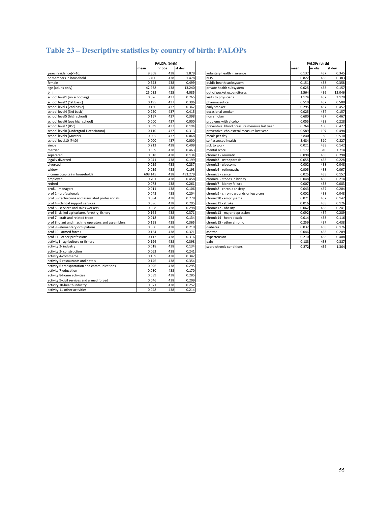# **Table 23 – Descriptive statistics by country of birth: PALOPs**

|                                                    | PALOPs (birth) |        |         |                                              |          | PALOPs (birth) |        |
|----------------------------------------------------|----------------|--------|---------|----------------------------------------------|----------|----------------|--------|
|                                                    | mean           | nr obs | st dev  |                                              | mean     | nr obs         | st dev |
| years residence(<=10)                              | 9.308          | 438    | 1.879   | voluntary health insurance                   | 0.137    | 437            | 0.345  |
| nr members in household                            | 3.400          | 438    | 1.478   | <b>NHS</b>                                   | 0.822    | 438            | 0.383  |
| female                                             | 0.543          | 438    | 0.499   | public health susbsystem                     | 0.151    | 438            | 0.358  |
| age (adults only)                                  | 42.938         | 438    | 13.240  | private health subsystem                     | 0.025    | 438            | 0.157  |
| bmi                                                | 25.032         | 425    | 4.085   | out of pocket expenditures                   | 2.564    | 436            | 12.046 |
| school level1 (no schooling)                       | 0.076          | 437    | 0.265   | visits to physicians                         | 1.124    | 437            | 2.120  |
| school level2 (1st basic)                          | 0.195          | 437    | 0.396   | pharmaceutical                               | 0.510    | 437            | 0.500  |
| school level3 (2nd basic)                          | 0.160          | 437    | 0.367   | daily smoker                                 | 0.295    | 437            | 0.457  |
| school level4 (3rd basic)                          | 0.220          | 437    | 0.415   | occasional smoker                            | 0.025    | 437            | 0.157  |
| school level5 (high school)                        | 0.197          | 437    | 0.398   | non smoker                                   | 0.680    | 437            | 0.467  |
| school level6 (pos high school)                    | 0.000          | 437    | 0.000   | problems with alcohol                        | 0.055    | 438            | 0.228  |
| school level7 (BSc)                                | 0.039          | 437    | 0.194   | preventive: blood pressure measure last year | 0.764    | 106            | 0.427  |
| school level8 (Undergrad-Licenciatura)             | 0.110          | 437    | 0.313   | preventive: cholesteral measure last year    | 0.589    | 107            | 0.494  |
| school level9 (Master)                             | 0.005          | 437    | 0.068   | meals per day                                | 2.840    | 50             | 0.510  |
| school level10 (PhD)                               | 0.000          | 437    | 0.000   | self assessed health                         | 3.484    | 310            | 0.827  |
| single                                             | 0.212          | 438    | 0.409   | sick to work                                 | 0.021    | 438            | 0.142  |
| married                                            | 0.689          | 438    | 0.463   | mental score                                 | 0.177    | 310            | 1.714  |
| separated                                          | 0.018          | 438    | 0.134   | chronic1 - reumatic                          | 0.098    | 438            | 0.298  |
| legally divorced                                   | 0.041          | 438    | 0.199   | chronic2 - osteoporosis                      | 0.055    | 438            | 0.228  |
| divorced                                           | 0.059          | 438    | 0.237   | chronic3 - glaucoma                          | 0.002    | 438            | 0.048  |
| widow                                              | 0.039          | 438    | 0.193   | chronic4 - retinopathy                       | 0.005    | 438            | 0.067  |
| income pcapita (in household)                      | 608.145        | 438    | 493.279 | chronic5 - cancer                            | 0.025    | 438            | 0.157  |
| employed                                           | 0.701          | 438    | 0.458   | chronic6 - stones in kidney                  | 0.048    | 438            | 0.214  |
| retired                                            | 0.073          | 438    | 0.261   | chronic7 - kidney failure                    | 0.007    | 438            | 0.083  |
| prof1 - managers                                   | 0.011          | 438    | 0.106   | chronic8 - chronic anxiety                   | 0.043    | 437            | 0.204  |
| prof 2 - professionals                             | 0.043          | 438    | 0.204   | chronic9 - chronic wounds or leg ulcers      | 0.002    | 438            | 0.048  |
| prof 3 - technicians and associated professionals  | 0.084          | 438    | 0.278   | chronic10 - emphysema                        | 0.021    | 437            | 0.142  |
| prof 4 - clerical support services                 | 0.096          | 438    | 0.295   | chronic11 - stroke                           | 0.016    | 438            | 0.126  |
| prof 5 - services and sales workers                | 0.098          | 438    | 0.298   | chronic12 - obesity                          | 0.062    | 438            | 0.241  |
| prof 6- skilled agriculture, forestry, fishery     | 0.164          | 438    | 0.371   | chronic13 - major depression                 | 0.092    | 437            | 0.289  |
| prof 7 - craft and related trade                   | 0.018          | 438    | 0.134   | chronic14 - heart attack                     | 0.014    | 438            | 0.116  |
| prof 8 -plant and machine operators and assemblers | 0.158          | 438    | 0.365   | chronic15 - other chronic                    | 0.259    | 437            | 0.438  |
| prof 9 - elementary occupations                    | 0.050          | 438    | 0.219   | diabetes                                     | 0.032    | 438            | 0.176  |
| prof 10 - armed forces                             | 0.164          | 438    | 0.371   | ashtma                                       | 0.046    | 438            | 0.209  |
| prof 11 - other professions                        | 0.112          | 438    | 0.316   | hvpertension                                 | 0.210    | 438            | 0.408  |
| activity1 - agriculture or fishery                 | 0.196          | 438    | 0.398   | pain                                         | 0.183    | 438            | 0.387  |
| activity 2- industry                               | 0.018          | 438    | 0.134   | score chronic conditions                     | $-0.272$ | 436            | 1.304  |
| activity 3- construction                           | 0.062          | 438    | 0.241   |                                              |          |                |        |
| activity 4-commerce                                | 0.139          | 438    | 0.347   |                                              |          |                |        |
| activity 5-restaurants and hotels                  | 0.146          | 438    | 0.354   |                                              |          |                |        |
| activity 6-transportation and communications       | 0.096          | 438    | 0.295   |                                              |          |                |        |
| activity 7-education                               | 0.030          | 438    | 0.170   |                                              |          |                |        |
| activity 8-home activities                         | 0.089          | 438    | 0.285   |                                              |          |                |        |
| activity 9-civil services and armed forced         | 0.046          | 438    | 0.209   |                                              |          |                |        |
| activity 10-health industry                        | 0.072          | 438    | 0.257   |                                              |          |                |        |
| activity 11-other activities                       | 0.048          | 438    | 0.214   |                                              |          |                |        |

| PALOPs (birth)<br>nr obs<br>st dev<br>mean<br>438<br>9.308<br>1.879<br>438<br>3.400<br>1.478<br>0.543<br>438<br>0.499<br>42.938<br>438<br>13.240<br>425<br>25.032<br>4.085<br>437<br>0.076<br>0.265<br>437<br>0.195<br>0.396<br>437<br>0.160<br>0.367<br>437<br>0.220<br>0.415<br>437<br>0.197<br>0.398<br>0.000<br>437<br>0.000<br>0.039<br>437<br>0.194<br>0.110<br>437<br>0.313<br>437<br>0.068<br>0.005<br>437<br>0.000<br>0.000<br>438<br>0.212<br>0.409<br>438<br>0.689<br>0.463<br>438<br>0.018<br>0.134<br>438<br>0.041<br>0.199<br>0.059<br>438<br>0.237<br>438<br>0.039<br>0.193<br>438<br>608.145<br>493.279<br>0.701<br>438<br>0.458<br>438<br>0.073<br>0.261<br>0.011<br>438<br>0.106<br>0.043<br>438<br>0.204<br>0.084<br>438<br>0.278<br>0.096<br>438<br>0.295<br>0.098<br>438<br>0.298<br>438<br>0.164<br>0.371<br>438<br>0.018<br>0.134<br>0.158<br>438<br>0.365<br>0.050<br>438<br>0.219<br>438<br>0.371<br>0.164<br>438<br>0.112<br>0.316<br>0.196<br>438<br>0.398<br>0.018<br>438<br>0.134 |  |  |
|----------------------------------------------------------------------------------------------------------------------------------------------------------------------------------------------------------------------------------------------------------------------------------------------------------------------------------------------------------------------------------------------------------------------------------------------------------------------------------------------------------------------------------------------------------------------------------------------------------------------------------------------------------------------------------------------------------------------------------------------------------------------------------------------------------------------------------------------------------------------------------------------------------------------------------------------------------------------------------------------------------------|--|--|
|                                                                                                                                                                                                                                                                                                                                                                                                                                                                                                                                                                                                                                                                                                                                                                                                                                                                                                                                                                                                                |  |  |
|                                                                                                                                                                                                                                                                                                                                                                                                                                                                                                                                                                                                                                                                                                                                                                                                                                                                                                                                                                                                                |  |  |
|                                                                                                                                                                                                                                                                                                                                                                                                                                                                                                                                                                                                                                                                                                                                                                                                                                                                                                                                                                                                                |  |  |
|                                                                                                                                                                                                                                                                                                                                                                                                                                                                                                                                                                                                                                                                                                                                                                                                                                                                                                                                                                                                                |  |  |
|                                                                                                                                                                                                                                                                                                                                                                                                                                                                                                                                                                                                                                                                                                                                                                                                                                                                                                                                                                                                                |  |  |
|                                                                                                                                                                                                                                                                                                                                                                                                                                                                                                                                                                                                                                                                                                                                                                                                                                                                                                                                                                                                                |  |  |
|                                                                                                                                                                                                                                                                                                                                                                                                                                                                                                                                                                                                                                                                                                                                                                                                                                                                                                                                                                                                                |  |  |
|                                                                                                                                                                                                                                                                                                                                                                                                                                                                                                                                                                                                                                                                                                                                                                                                                                                                                                                                                                                                                |  |  |
|                                                                                                                                                                                                                                                                                                                                                                                                                                                                                                                                                                                                                                                                                                                                                                                                                                                                                                                                                                                                                |  |  |
|                                                                                                                                                                                                                                                                                                                                                                                                                                                                                                                                                                                                                                                                                                                                                                                                                                                                                                                                                                                                                |  |  |
|                                                                                                                                                                                                                                                                                                                                                                                                                                                                                                                                                                                                                                                                                                                                                                                                                                                                                                                                                                                                                |  |  |
|                                                                                                                                                                                                                                                                                                                                                                                                                                                                                                                                                                                                                                                                                                                                                                                                                                                                                                                                                                                                                |  |  |
|                                                                                                                                                                                                                                                                                                                                                                                                                                                                                                                                                                                                                                                                                                                                                                                                                                                                                                                                                                                                                |  |  |
|                                                                                                                                                                                                                                                                                                                                                                                                                                                                                                                                                                                                                                                                                                                                                                                                                                                                                                                                                                                                                |  |  |
|                                                                                                                                                                                                                                                                                                                                                                                                                                                                                                                                                                                                                                                                                                                                                                                                                                                                                                                                                                                                                |  |  |
|                                                                                                                                                                                                                                                                                                                                                                                                                                                                                                                                                                                                                                                                                                                                                                                                                                                                                                                                                                                                                |  |  |
|                                                                                                                                                                                                                                                                                                                                                                                                                                                                                                                                                                                                                                                                                                                                                                                                                                                                                                                                                                                                                |  |  |
|                                                                                                                                                                                                                                                                                                                                                                                                                                                                                                                                                                                                                                                                                                                                                                                                                                                                                                                                                                                                                |  |  |
|                                                                                                                                                                                                                                                                                                                                                                                                                                                                                                                                                                                                                                                                                                                                                                                                                                                                                                                                                                                                                |  |  |
|                                                                                                                                                                                                                                                                                                                                                                                                                                                                                                                                                                                                                                                                                                                                                                                                                                                                                                                                                                                                                |  |  |
|                                                                                                                                                                                                                                                                                                                                                                                                                                                                                                                                                                                                                                                                                                                                                                                                                                                                                                                                                                                                                |  |  |
|                                                                                                                                                                                                                                                                                                                                                                                                                                                                                                                                                                                                                                                                                                                                                                                                                                                                                                                                                                                                                |  |  |
|                                                                                                                                                                                                                                                                                                                                                                                                                                                                                                                                                                                                                                                                                                                                                                                                                                                                                                                                                                                                                |  |  |
|                                                                                                                                                                                                                                                                                                                                                                                                                                                                                                                                                                                                                                                                                                                                                                                                                                                                                                                                                                                                                |  |  |
|                                                                                                                                                                                                                                                                                                                                                                                                                                                                                                                                                                                                                                                                                                                                                                                                                                                                                                                                                                                                                |  |  |
|                                                                                                                                                                                                                                                                                                                                                                                                                                                                                                                                                                                                                                                                                                                                                                                                                                                                                                                                                                                                                |  |  |
|                                                                                                                                                                                                                                                                                                                                                                                                                                                                                                                                                                                                                                                                                                                                                                                                                                                                                                                                                                                                                |  |  |
|                                                                                                                                                                                                                                                                                                                                                                                                                                                                                                                                                                                                                                                                                                                                                                                                                                                                                                                                                                                                                |  |  |
|                                                                                                                                                                                                                                                                                                                                                                                                                                                                                                                                                                                                                                                                                                                                                                                                                                                                                                                                                                                                                |  |  |
|                                                                                                                                                                                                                                                                                                                                                                                                                                                                                                                                                                                                                                                                                                                                                                                                                                                                                                                                                                                                                |  |  |
|                                                                                                                                                                                                                                                                                                                                                                                                                                                                                                                                                                                                                                                                                                                                                                                                                                                                                                                                                                                                                |  |  |
|                                                                                                                                                                                                                                                                                                                                                                                                                                                                                                                                                                                                                                                                                                                                                                                                                                                                                                                                                                                                                |  |  |
|                                                                                                                                                                                                                                                                                                                                                                                                                                                                                                                                                                                                                                                                                                                                                                                                                                                                                                                                                                                                                |  |  |
|                                                                                                                                                                                                                                                                                                                                                                                                                                                                                                                                                                                                                                                                                                                                                                                                                                                                                                                                                                                                                |  |  |
|                                                                                                                                                                                                                                                                                                                                                                                                                                                                                                                                                                                                                                                                                                                                                                                                                                                                                                                                                                                                                |  |  |
|                                                                                                                                                                                                                                                                                                                                                                                                                                                                                                                                                                                                                                                                                                                                                                                                                                                                                                                                                                                                                |  |  |
|                                                                                                                                                                                                                                                                                                                                                                                                                                                                                                                                                                                                                                                                                                                                                                                                                                                                                                                                                                                                                |  |  |
|                                                                                                                                                                                                                                                                                                                                                                                                                                                                                                                                                                                                                                                                                                                                                                                                                                                                                                                                                                                                                |  |  |
|                                                                                                                                                                                                                                                                                                                                                                                                                                                                                                                                                                                                                                                                                                                                                                                                                                                                                                                                                                                                                |  |  |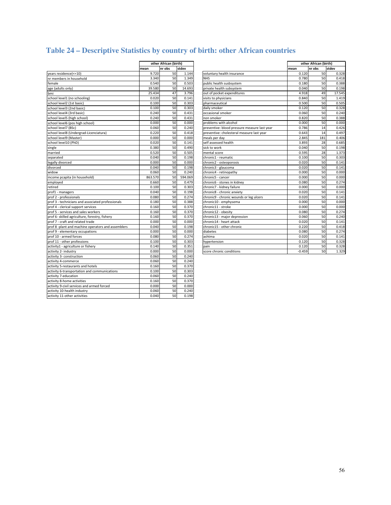# **Table 24 – Descriptive Statistics by country of birth: other African countries**

|                                                    | other African (birth) |        |         |                                              |          | other African (birth) |        |
|----------------------------------------------------|-----------------------|--------|---------|----------------------------------------------|----------|-----------------------|--------|
|                                                    | mean                  | nr obs | stdev   |                                              | mean     | nr obs                | stdev  |
| years residence(<=10)                              | 9.720                 | 50     | 1.144   | voluntary health insurance                   | 0.120    | 50                    | 0.328  |
| nr members in household                            | 3.340                 | 50     | 1.349   | <b>NHS</b>                                   | 0.780    | 50                    | 0.418  |
| female                                             | 0.540                 | 50     | 0.503   | public health susbsystem                     | 0.180    | 50                    | 0.388  |
| age (adults only)                                  | 39.580                | 50     | 14.693  | private health subsystem                     | 0.040    | 50                    | 0.198  |
| bmi                                                | 25.434                | 47     | 3.796   | out of pocket expenditures                   | 4.918    | 49                    | 17.545 |
| school level1 (no schooling)                       | 0.020                 | 50     | 0.141   | visits to physicians                         | 0.840    | 50                    | 1.419  |
| school level2 (1st basic)                          | 0.100                 | 50     | 0.303   | pharmaceutical                               | 0.500    | 50                    | 0.505  |
| school level3 (2nd basic)                          | 0.100                 | 50     | 0.303   | daily smoker                                 | 0.120    | 50                    | 0.328  |
| school level4 (3rd basic)                          | 0.240                 | 50     | 0.431   | occasional smoker                            | 0.060    | 50                    | 0.240  |
| school level5 (high school)                        | 0.240                 | 50     | 0.431   | non smoker                                   | 0.820    | 50                    | 0.388  |
| school level6 (pos high school)                    | 0.000                 | 50     | 0.000   | problems with alcohol                        | 0.000    | 50                    | 0.000  |
| school level7 (BSc)                                | 0.060                 | 50     | 0.240   | preventive: blood pressure measure last year | 0.786    | 14                    | 0.426  |
| school level8 (Undergrad-Licenciatura)             | 0.220                 | 50     | 0.418   | preventive: cholesteral measure last year    | 0.643    | 14                    | 0.497  |
| school level9 (Master)                             | 0.000                 | 50     | 0.000   | meals per day                                | 2.845    | 181                   | 0.406  |
| school level10 (PhD)                               | 0.020                 | 50     | 0.141   | self assessed health                         | 3.893    | 28                    | 0.685  |
| single                                             | 0.380                 | 50     | 0.490   | sick to work                                 | 0.040    | 50                    | 0.198  |
| married                                            | 0.520                 | 50     | 0.505   | mental score                                 | 0.595    | 28                    | 1.373  |
| separated                                          | 0.040                 | 50     | 0.198   | chronic1 - reumatic                          | 0.100    | 50                    | 0.303  |
| legally divorced                                   | 0.000                 | 50     | 0.000   | chronic2 - osteoporosis                      | 0.020    | 50                    | 0.141  |
| divorced                                           | 0.040                 | 50     | 0.198   | chronic3 - glaucoma                          | 0.020    | 50                    | 0.141  |
| widow                                              | 0.060                 | 50     | 0.240   | chronic4 - retinopathy                       | 0.000    | 50                    | 0.000  |
| income pcapita (in household)                      | 863.570               | 50     | 594.069 | chronic5 - cancer                            | 0.000    | 50                    | 0.000  |
| employed                                           | 0.660                 | 50     | 0.479   | chronic6 - stones in kidney                  | 0.080    | 50                    | 0.274  |
| retired                                            | 0.100                 | 50     | 0.303   | chronic7 - kidney failure                    | 0.000    | 50                    | 0.000  |
| prof1 - managers                                   | 0.040                 | 50     | 0.198   | chronic8 - chronic anxiety                   | 0.020    | 50                    | 0.141  |
| prof 2 - professionals                             | 0.080                 | 50     | 0.274   | chronic9 - chronic wounds or leg ulcers      | 0.020    | 50                    | 0.141  |
| prof 3 - technicians and associated professionals  | 0.180                 | 50     | 0.388   | chronic10 - emphysema                        | 0.000    | 50                    | 0.000  |
| prof 4 - clerical support services                 | 0.160                 | 50     | 0.370   | chronic11 - stroke                           | 0.000    | 50                    | 0.000  |
| prof 5 - services and sales workers                | 0.160                 | 50     | 0.370   | chronic12 - obesity                          | 0.080    | 50                    | 0.274  |
| prof 6- skilled agriculture, forestry, fishery     | 0.160                 | 50     | 0.370   | chronic13 - major depression                 | 0.060    | 50                    | 0.240  |
| prof 7 - craft and related trade                   | 0.000                 | 50     | 0.000   | chronic14 - heart attack                     | 0.020    | 50                    | 0.141  |
| prof 8 -plant and machine operators and assemblers | 0.040                 | 50     | 0.198   | chronic15 - other chronic                    | 0.220    | 50                    | 0.418  |
| prof 9 - elementary occupations                    | 0.000                 | 50     | 0.000   | diabetes                                     | 0.080    | 50                    | 0.274  |
| prof 10 - armed forces                             | 0.080                 | 50     | 0.274   | ashtma                                       | 0.020    | 50                    | 0.141  |
| prof 11 - other professions                        | 0.100                 | 50     | 0.303   | hypertension                                 | 0.120    | 50                    | 0.328  |
| activity1 - agriculture or fishery                 | 0.140                 | 50     | 0.351   | pain                                         | 0.120    | 50                    | 0.328  |
| activity 2- industry                               | 0.000                 | 50     | 0.000   | score chronic conditions                     | $-0.459$ | 50                    | 1.329  |
| activity 3- construction                           | 0.060                 | 50     | 0.240   |                                              |          |                       |        |
| activity 4-commerce                                | 0.060                 | 50     | 0.240   |                                              |          |                       |        |
| activity 5-restaurants and hotels                  | 0.160                 | 50     | 0.370   |                                              |          |                       |        |
| activity 6-transportation and communications       | 0.100                 | 50     | 0.303   |                                              |          |                       |        |
| activity 7-education                               | 0.060                 | 50     | 0.240   |                                              |          |                       |        |
| activity 8-home activities                         | 0.160                 | 50     | 0.370   |                                              |          |                       |        |
| activity 9-civil services and armed forced         | 0.000                 | 50     | 0.000   |                                              |          |                       |        |
| activity 10-health industry                        | 0.060                 | 50     | 0.240   |                                              |          |                       |        |
| activity 11-other activities                       | 0.040                 | 50     | 0.198   |                                              |          |                       |        |

|         | other African (birth) |         |                                              |          | other African (birth) |
|---------|-----------------------|---------|----------------------------------------------|----------|-----------------------|
| mean    | nr obs                | stdev   |                                              | mean     | $\overline{nr}$ obs   |
| 9.720   | 50                    | 1.144   | voluntary health insurance                   | 0.120    | 50                    |
| 3.340   | 50                    | 1.349   | <b>NHS</b>                                   | 0.780    | 50                    |
| 0.540   | 50                    | 0.503   | public health susbsystem                     | 0.180    | 50                    |
| 39.580  | 50                    | 14.693  | private health subsystem                     | 0.040    | 50                    |
| 25.434  | 47                    | 3.796   | out of pocket expenditures                   | 4.918    | 49                    |
| 0.020   | 50                    | 0.141   | visits to physicians                         | 0.840    | 50                    |
| 0.100   | 50                    | 0.303   | pharmaceutical                               | 0.500    | 50                    |
| 0.100   | 50                    | 0.303   | daily smoker                                 | 0.120    | 50                    |
| 0.240   | 50                    | 0.431   | occasional smoker                            | 0.060    | 50                    |
| 0.240   | 50                    | 0.431   | non smoker                                   | 0.820    | 50                    |
| 0.000   | 50                    | 0.000   | problems with alcohol                        | 0.000    | 50                    |
| 0.060   | 50                    | 0.240   | preventive: blood pressure measure last year | 0.786    | 14                    |
| 0.220   | 50                    | 0.418   | preventive: cholesteral measure last year    | 0.643    | 14                    |
| 0.000   | 50                    | 0.000   | meals per day                                | 2.845    | 181                   |
| 0.020   | 50                    | 0.141   | self assessed health                         | 3.893    | 28                    |
| 0.380   | 50                    | 0.490   | sick to work                                 | 0.040    | 50                    |
| 0.520   | 50                    | 0.505   | mental score                                 | 0.595    | 28                    |
| 0.040   | 50                    | 0.198   | chronic1 - reumatic                          | 0.100    | 50                    |
| 0.000   | 50                    | 0.000   | chronic2 - osteoporosis                      | 0.020    | 50                    |
| 0.040   | 50                    | 0.198   | chronic3 - glaucoma                          | 0.020    | 50                    |
| 0.060   | 50                    | 0.240   | chronic4 - retinopathy                       | 0.000    | 50                    |
| 863.570 | 50                    | 594.069 | chronic5 - cancer                            | 0.000    | 50                    |
| 0.660   | 50                    | 0.479   | chronic6 - stones in kidney                  | 0.080    | 50                    |
| 0.100   | 50                    | 0.303   | chronic7 - kidney failure                    | 0.000    | 50                    |
| 0.040   | 50                    | 0.198   | chronic8 - chronic anxiety                   | 0.020    | 50                    |
| 0.080   | 50                    | 0.274   | chronic9 - chronic wounds or leg ulcers      | 0.020    | 50                    |
| 0.180   | 50                    | 0.388   | chronic10 - emphysema                        | 0.000    | 50                    |
| 0.160   | 50                    | 0.370   | chronic11 - stroke                           | 0.000    | 50                    |
| 0.160   | 50                    | 0.370   | chronic12 - obesity                          | 0.080    | 50                    |
| 0.160   | 50                    | 0.370   | chronic13 - major depression                 | 0.060    | 50                    |
| 0.000   | 50                    | 0.000   | chronic14 - heart attack                     | 0.020    | 50                    |
| 0.040   | 50                    | 0.198   | chronic15 - other chronic                    | 0.220    | 50                    |
| 0.000   | 50                    | 0.000   | diabetes                                     | 0.080    | 50                    |
| 0.080   | 50                    | 0.274   | ashtma                                       | 0.020    | 50                    |
| 0.100   | 50                    | 0.303   | hypertension                                 | 0.120    | 50                    |
| 0.140   | 50                    | 0.351   | pain                                         | 0.120    | 50                    |
| 0.000   | 50                    | 0.000   | score chronic conditions                     | $-0.459$ | 50                    |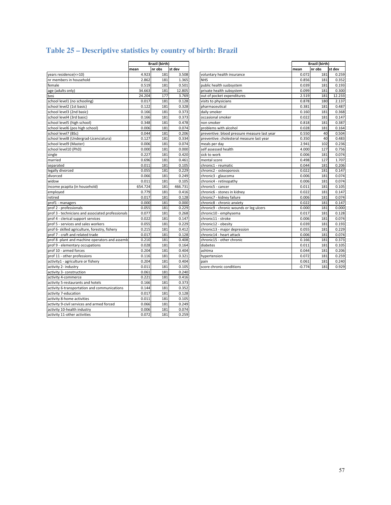# **Table 25 – Descriptive statistics by country of birth: Brazil**

| nr obs<br>mean<br>years residence(<=10)<br>4.923<br>181<br>nr members in household<br>2.862<br>181 | st dev<br>3.508<br>1.365<br>0.501 |
|----------------------------------------------------------------------------------------------------|-----------------------------------|
|                                                                                                    |                                   |
|                                                                                                    |                                   |
|                                                                                                    |                                   |
| 0.519<br>female<br>181                                                                             |                                   |
| age (adults only)<br>34.663<br>181                                                                 | 12.805                            |
| 24.204<br>177<br>bmi                                                                               | 3.769                             |
| school level1 (no schooling)<br>181<br>0.017                                                       | 0.128                             |
| school level2 (1st basic)<br>0.122<br>181                                                          | 0.328                             |
| school level3 (2nd basic)<br>0.166<br>181                                                          | 0.373                             |
| school level4 (3rd basic)<br>0.166<br>181                                                          | 0.373                             |
| school level5 (high school)<br>0.348<br>181                                                        | 0.478                             |
| school level6 (pos high school)<br>0.006<br>181                                                    | 0.074                             |
| school level7 (BSc)<br>0.044<br>181                                                                | 0.206                             |
| 0.127<br>181<br>school level8 (Undergrad-Licenciatura)                                             | 0.334                             |
| school level9 (Master)<br>0.006<br>181                                                             | 0.074                             |
| school level10 (PhD)<br>0.000<br>181                                                               | 0.000                             |
| 0.227<br>single<br>181                                                                             | 0.420                             |
| 0.696<br>181<br>married                                                                            | 0.461                             |
| 0.011<br>181<br>separated                                                                          | 0.105                             |
| legally divorced<br>0.055<br>181                                                                   | 0.229                             |
| divorced<br>0.066<br>181                                                                           | 0.249                             |
| widow<br>0.011<br>181                                                                              | 0.105                             |
| 654.724<br>181<br>income pcapita (in household)                                                    | 466.731                           |
| 0.779<br>employed<br>181                                                                           | 0.416                             |
| retired<br>0.017<br>181                                                                            | 0.128                             |
| prof1 - managers<br>0.000<br>181                                                                   | 0.000                             |
| prof 2 - professionals<br>0.055<br>181                                                             | 0.229                             |
| prof 3 - technicians and associated professionals<br>0.077<br>181                                  | 0.268                             |
| prof 4 - clerical support services<br>0.022<br>181                                                 | 0.147                             |
| prof 5 - services and sales workers<br>0.055<br>181                                                | 0.229                             |
| prof 6- skilled agriculture, forestry, fishery<br>181<br>0.215                                     | 0.412                             |
| prof 7 - craft and related trade<br>0.017<br>181                                                   | 0.128                             |
| prof 8-plant and machine operators and assemb<br>181<br>0.210                                      | 0.408                             |
| prof 9 - elementary occupations<br>0.028<br>181                                                    | 0.164                             |
| prof 10 - armed forces<br>0.204<br>181                                                             | 0.404                             |
| prof 11 - other professions<br>0.116<br>181                                                        | 0.321                             |
| activity1 - agriculture or fishery<br>0.204<br>181                                                 | 0.404                             |
| activity 2- industry<br>0.011<br>181                                                               | 0.105                             |
| activity 3- construction<br>0.061<br>181                                                           | 0.240                             |
| activity 4-commerce<br>0.221<br>181                                                                | 0.416                             |
| activity 5-restaurants and hotels<br>0.166<br>181                                                  | 0.373                             |
| activity 6-transportation and communications<br>0.144<br>181                                       | 0.352                             |
| activity 7-education<br>0.017<br>181                                                               | 0.128                             |
| activity 8-home activities<br>0.011<br>181                                                         | 0.105                             |
| activity 9-civil services and armed forced<br>0.066<br>181                                         | 0.249                             |
| activity 10-health industry<br>0.006<br>181                                                        | 0.074                             |
| activity 11-other activities<br>0.072<br>181                                                       | 0.259                             |

|                                                   | <b>Brazil (birth)</b> |                |         |                                              | <b>Brazil (birth)</b> |        |        |  |
|---------------------------------------------------|-----------------------|----------------|---------|----------------------------------------------|-----------------------|--------|--------|--|
|                                                   | mean                  | nr obs         | st dev  |                                              | mean                  | nr obs | st dev |  |
| vears residence(<=10)                             | 4.923                 | 181            | 3.508   | voluntary health insurance                   | 0.072                 | 181    | 0.259  |  |
| nr members in household                           | 2.862                 | 181            | 1.365   | <b>NHS</b>                                   | 0.856                 | 181    | 0.352  |  |
| female                                            | 0.519                 | 181            | 0.501   | public health susbsystem                     | 0.039                 | 181    | 0.193  |  |
| age (adults only)                                 | 34.663                | 181            | 12.805  | private health subsystem                     | 0.099                 | 181    | 0.300  |  |
| bmi                                               | 24.204                | 177            | 3.769   | out of pocket expenditures                   | 2.519                 | 181    | 12.233 |  |
| school level1 (no schooling)                      | 0.017                 | 181            | 0.128   | visits to physicians                         | 0.878                 | 180    | 2.137  |  |
| school level2 (1st basic)                         | 0.122                 | 181            | 0.328   | pharmaceutical                               | 0.381                 | 181    | 0.487  |  |
| school level3 (2nd basic)                         | 0.166                 | 181            | 0.373   | daily smoker                                 | 0.160                 | 181    | 0.368  |  |
| school level4 (3rd basic)                         | 0.166                 | 181            | 0.373   | occasional smoker                            | 0.022                 | 181    | 0.147  |  |
| school level5 (high school)                       | 0.348                 | 181            | 0.478   | non smoker                                   | 0.818                 | 181    | 0.387  |  |
| school level6 (pos high school)                   | 0.006                 | 181            | 0.074   | problems with alcohol                        | 0.028                 | 181    | 0.164  |  |
| school level7 (BSc)                               | 0.044                 | 181            | 0.206   | preventive: blood pressure measure last year | 0.550                 | 40     | 0.504  |  |
| school level8 (Undergrad-Licenciatura)            | 0.127                 | 181            | 0.334   | preventive: cholesteral measure last year    | 0.350                 | 40     | 0.483  |  |
| school level9 (Master)                            | 0.006                 | 181            | 0.074   | meals per day                                | 2.941                 | 102    | 0.236  |  |
| school level10 (PhD)                              | 0.000                 | 181            | 0.000   | self assessed health                         | 4.000                 | 127    | 0.756  |  |
| single                                            | 0.227                 | 181            | 0.420   | sick to work                                 | 0.006                 | 181    | 0.074  |  |
| married                                           | 0.696                 | 181            | 0.461   | mental score                                 | 0.498                 | 127    | 1.707  |  |
| separated                                         | 0.011                 | 181            | 0.105   | chronic1 - reumatic                          | 0.044                 | 181    | 0.206  |  |
| legally divorced                                  | 0.055                 | 181            | 0.229   | chronic2 - osteoporosis                      | 0.022                 | 181    | 0.147  |  |
| divorced                                          | 0.066                 | 181            | 0.249   | chronic3 - glaucoma                          | 0.006                 | 181    | 0.074  |  |
| widow                                             | 0.011                 | 181            | 0.105   | chronic4 - retinopathy                       | 0.006                 | 181    | 0.074  |  |
| income pcapita (in household)                     | 654.724               | 181            | 466.731 | chronic5 - cancer                            | 0.011                 | 181    | 0.105  |  |
| employed                                          | 0.779                 | 181            | 0.416   | chronic6 - stones in kidney                  | 0.022                 | 181    | 0.147  |  |
| retired                                           | 0.017                 | 181            | 0.128   | chronic7 - kidney failure                    | 0.006                 | 181    | 0.074  |  |
| prof1 - managers                                  | 0.000                 | 181            | 0.000   | chronic8 - chronic anxiety                   | 0.022                 | 181    | 0.147  |  |
| prof 2 - professionals                            | 0.055                 | 181            | 0.229   | chronic9 - chronic wounds or leg ulcers      | 0.000                 | 181    | 0.000  |  |
| prof 3 - technicians and associated professionals | 0.077                 | 181            | 0.268   | chronic10 - emphysema                        | 0.017                 | 181    | 0.128  |  |
| prof 4 - clerical support services                | 0.022                 | 181            | 0.147   | chronic11 - stroke                           | 0.006                 | 181    | 0.074  |  |
| prof 5 - services and sales workers               | 0.055                 | 181            | 0.229   | chronic12 - obesity                          | 0.039                 | 181    | 0.193  |  |
| prof 6- skilled agriculture, forestry, fishery    | 0.215                 | 181            | 0.412   | chronic13 - major depression                 | 0.055                 | 181    | 0.229  |  |
| prof 7 - craft and related trade                  | 0.017                 | 181            | 0.128   | chronic14 - heart attack                     | 0.006                 | 181    | 0.074  |  |
| prof 8-plant and machine operators and assemb     | 0.210                 | 181            | 0.408   | chronic15 - other chronic                    | 0.166                 | 181    | 0.373  |  |
| prof 9 - elementary occupations                   | 0.028                 | 181            | 0.164   | diabetes                                     | 0.011                 | 181    | 0.105  |  |
| prof 10 - armed forces                            | 0.204                 | 181            | 0.404   | ashtma                                       | 0.044                 | 181    | 0.206  |  |
| prof 11 - other professions                       | 0.116                 | 181            | 0.321   | hypertension                                 | 0.072                 | 181    | 0.259  |  |
| activity1 - agriculture or fishery                | 0.204                 | 181            | 0.404   | nain                                         | 0.061                 | 181    | 0.240  |  |
| activity 2- industry                              | 0.011                 | 181            | 0.105   | score chronic conditions                     | $-0.774$              | 181    | 0.929  |  |
| $\sim$ $\sim$ $\sim$ $\sim$                       | 0.00                  | $\overline{a}$ | 0.24    |                                              |                       |        |        |  |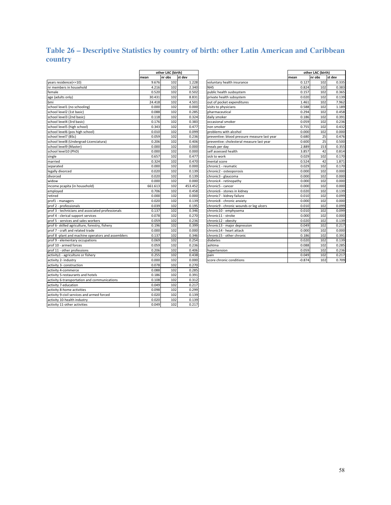# **Table 26 – Descriptive Statistics by country of birth: other Latin American and Caribbean country**

| st dev<br>nr obs<br>st dev<br>nr obs<br>mean<br>mean<br>1.228<br>years residence(<=10)<br>9.676<br>102<br>voluntary health insurance<br>0.127<br>102<br>102<br>102<br>4.216<br>2.340<br><b>NHS</b><br>0.824<br>nr members in household<br>102<br>0.502<br>female<br>0.520<br>public health susbsystem<br>0.157<br>102<br>30.431<br>102<br>8.831<br>0.020<br>102<br>age (adults only)<br>private health subsystem<br>102<br>102<br>7.962<br>24.418<br>4.501<br>out of pocket expenditures<br>1.461<br>bmi<br>0.000<br>102<br>0.000<br>0.588<br>102<br>school level1 (no schooling)<br>visits to physicians<br>1.189<br>0.088<br>102<br>102<br>0.285<br>pharmaceutical<br>0.294<br>0.458<br>school level2 (1st basic)<br>102<br>0.118<br>102<br>0.324<br>daily smoker<br>0.186<br>0.391<br>school level3 (2nd basic)<br>0.176<br>102<br>0.383<br>0.059<br>102<br>0.236<br>school level4 (3rd basic)<br>occasional smoker<br>102<br>0.477<br>school level5 (high school)<br>0.343<br>non smoker<br>0.755<br>102<br>0.432<br>102<br>102<br>school level6 (pos high school)<br>0.010<br>0.099<br>0.000<br>0.000<br>problems with alcohol<br>0.059<br>102<br>school level7 (BSc)<br>0.236<br>preventive: blood pressure measure last year<br>0.680<br>25<br>0.476<br>102<br>25<br>school level8 (Undergrad-Licenciatura)<br>0.206<br>0.406<br>0.600<br>0.500<br>preventive: cholesteral measure last year<br>0.000<br>102<br>0.000<br>153<br>school level9 (Master)<br>meals per day<br>2.889<br>0.355<br>0.000<br>102<br>self assessed health<br>42<br>school level10 (PhD)<br>0.000<br>3.857<br>0.814<br>0.657<br>102<br>0.477<br>sick to work<br>0.029<br>102<br>0.170<br>single<br>102<br>0.324<br>0.470<br>mental score<br>0.524<br>42<br>1.871<br>married<br>102<br>102<br>0.000<br>0.000<br>0.029<br>0.170<br>separated<br>chronic1 - reumatic<br>0.020<br>102<br>0.139<br>0.000<br>102<br>legally divorced<br>chronic2 - osteoporosis<br>0.000<br>0.020<br>102<br>0.139<br>0.000<br>102<br>0.000<br>divorced<br>chronic3 - glaucoma<br>0.000<br>102<br>0.000<br>0.000<br>chronic4 - retinopathy<br>0.000<br>102<br>widow<br>102<br>453.452<br>102<br>0.000<br>income pcapita (in household)<br>661.613<br>chronic5 - cancer<br>0.000<br>102<br>102<br>0.706<br>0.458<br>chronic6 - stones in kidney<br>0.020<br>0.139<br>employed<br>102<br>0.000<br>retired<br>0.000<br>chronic7 - kidney failure<br>0.010<br>102<br>0.099<br>0.020<br>102<br>0.139<br>chronic8 - chronic anxiety<br>0.000<br>102<br>0.000<br>prof1 - managers<br>0.039<br>102<br>102<br>0.099<br>prof 2 - professionals<br>0.195<br>chronic9 - chronic wounds or leg ulcers<br>0.010<br>102<br>102<br>0.137<br>0.346<br>0.010<br>0.099<br>prof 3 - technicians and associated professionals<br>chronic10 - emphysema<br>0.078<br>102<br>0.270<br>chronic11 - stroke<br>0.000<br>102<br>0.000<br>prof 4 - clerical support services<br>0.059<br>102<br>0.236<br>chronic12 - obesity<br>0.020<br>102<br>0.139<br>prof 5 - services and sales workers<br>0.196<br>102<br>102<br>0.217<br>0.399<br>chronic13 - major depression<br>0.049<br>prof 6- skilled agriculture, forestry, fishery<br>0.000<br>102<br>chronic14 - heart attack<br>102<br>prof 7 - craft and related trade<br>0.000<br>0.000<br>0.000<br>0.137<br>102<br>chronic15 - other chronic<br>0.186<br>102<br>prof 8-plant and machine operators and assemblers<br>0.346<br>0.391<br>0.069<br>102<br>0.254<br>102<br>prof 9 - elementary occupations<br>diabetes<br>0.020<br>0.139<br>102<br>102<br>prof 10 - armed forces<br>0.059<br>0.236<br>0.088<br>0.285<br>ashtma<br>0.206<br>102<br>0.059<br>102<br>0.236<br>prof 11 - other professions<br>0.406<br>hvpertension<br>0.255<br>102<br>activity1 - agriculture or fishery<br>0.438<br>0.049<br>102<br>0.217<br>pain<br>0.000<br>102<br>102<br>0.709<br>activity 2- industry<br>0.000<br>$-0.874$<br>score chronic conditions<br>102<br>0.078<br>0.270<br>activity 3- construction<br>0.088<br>102<br>activity 4-commerce<br>0.285<br>102<br>activity 5-restaurants and hotels<br>0.186<br>0.391<br>102<br>activity 6-transportation and communications<br>0.108<br>0.312<br>0.049<br>102<br>0.217<br>activity 7-education<br>0.098<br>102<br>0.299<br>activity 8-home activities<br>activity 9-civil services and armed forced<br>0.020<br>102<br>0.139<br>0.020<br>102<br>0.139<br>activity 10-health industry<br>0.049<br>102<br>0.217 |                              | other LAC (birth) |  |  | other LAC (birth) |       |
|-------------------------------------------------------------------------------------------------------------------------------------------------------------------------------------------------------------------------------------------------------------------------------------------------------------------------------------------------------------------------------------------------------------------------------------------------------------------------------------------------------------------------------------------------------------------------------------------------------------------------------------------------------------------------------------------------------------------------------------------------------------------------------------------------------------------------------------------------------------------------------------------------------------------------------------------------------------------------------------------------------------------------------------------------------------------------------------------------------------------------------------------------------------------------------------------------------------------------------------------------------------------------------------------------------------------------------------------------------------------------------------------------------------------------------------------------------------------------------------------------------------------------------------------------------------------------------------------------------------------------------------------------------------------------------------------------------------------------------------------------------------------------------------------------------------------------------------------------------------------------------------------------------------------------------------------------------------------------------------------------------------------------------------------------------------------------------------------------------------------------------------------------------------------------------------------------------------------------------------------------------------------------------------------------------------------------------------------------------------------------------------------------------------------------------------------------------------------------------------------------------------------------------------------------------------------------------------------------------------------------------------------------------------------------------------------------------------------------------------------------------------------------------------------------------------------------------------------------------------------------------------------------------------------------------------------------------------------------------------------------------------------------------------------------------------------------------------------------------------------------------------------------------------------------------------------------------------------------------------------------------------------------------------------------------------------------------------------------------------------------------------------------------------------------------------------------------------------------------------------------------------------------------------------------------------------------------------------------------------------------------------------------------------------------------------------------------------------------------------------------------------------------------------------------------------------------------------------------------------------------------------------------------------------------------------------------------------------------------------------------------------------------------------------------------------------------------------------------------------------------------------------------------------------------------------------------------------------------------------------------------------------------------------------------------------------------------------------------------------------------------------------------------------------------------|------------------------------|-------------------|--|--|-------------------|-------|
|                                                                                                                                                                                                                                                                                                                                                                                                                                                                                                                                                                                                                                                                                                                                                                                                                                                                                                                                                                                                                                                                                                                                                                                                                                                                                                                                                                                                                                                                                                                                                                                                                                                                                                                                                                                                                                                                                                                                                                                                                                                                                                                                                                                                                                                                                                                                                                                                                                                                                                                                                                                                                                                                                                                                                                                                                                                                                                                                                                                                                                                                                                                                                                                                                                                                                                                                                                                                                                                                                                                                                                                                                                                                                                                                                                                                                                                                                                                                                                                                                                                                                                                                                                                                                                                                                                                                                                                                                               |                              |                   |  |  |                   |       |
|                                                                                                                                                                                                                                                                                                                                                                                                                                                                                                                                                                                                                                                                                                                                                                                                                                                                                                                                                                                                                                                                                                                                                                                                                                                                                                                                                                                                                                                                                                                                                                                                                                                                                                                                                                                                                                                                                                                                                                                                                                                                                                                                                                                                                                                                                                                                                                                                                                                                                                                                                                                                                                                                                                                                                                                                                                                                                                                                                                                                                                                                                                                                                                                                                                                                                                                                                                                                                                                                                                                                                                                                                                                                                                                                                                                                                                                                                                                                                                                                                                                                                                                                                                                                                                                                                                                                                                                                                               |                              |                   |  |  |                   | 0.335 |
|                                                                                                                                                                                                                                                                                                                                                                                                                                                                                                                                                                                                                                                                                                                                                                                                                                                                                                                                                                                                                                                                                                                                                                                                                                                                                                                                                                                                                                                                                                                                                                                                                                                                                                                                                                                                                                                                                                                                                                                                                                                                                                                                                                                                                                                                                                                                                                                                                                                                                                                                                                                                                                                                                                                                                                                                                                                                                                                                                                                                                                                                                                                                                                                                                                                                                                                                                                                                                                                                                                                                                                                                                                                                                                                                                                                                                                                                                                                                                                                                                                                                                                                                                                                                                                                                                                                                                                                                                               |                              |                   |  |  |                   | 0.383 |
|                                                                                                                                                                                                                                                                                                                                                                                                                                                                                                                                                                                                                                                                                                                                                                                                                                                                                                                                                                                                                                                                                                                                                                                                                                                                                                                                                                                                                                                                                                                                                                                                                                                                                                                                                                                                                                                                                                                                                                                                                                                                                                                                                                                                                                                                                                                                                                                                                                                                                                                                                                                                                                                                                                                                                                                                                                                                                                                                                                                                                                                                                                                                                                                                                                                                                                                                                                                                                                                                                                                                                                                                                                                                                                                                                                                                                                                                                                                                                                                                                                                                                                                                                                                                                                                                                                                                                                                                                               |                              |                   |  |  |                   | 0.365 |
|                                                                                                                                                                                                                                                                                                                                                                                                                                                                                                                                                                                                                                                                                                                                                                                                                                                                                                                                                                                                                                                                                                                                                                                                                                                                                                                                                                                                                                                                                                                                                                                                                                                                                                                                                                                                                                                                                                                                                                                                                                                                                                                                                                                                                                                                                                                                                                                                                                                                                                                                                                                                                                                                                                                                                                                                                                                                                                                                                                                                                                                                                                                                                                                                                                                                                                                                                                                                                                                                                                                                                                                                                                                                                                                                                                                                                                                                                                                                                                                                                                                                                                                                                                                                                                                                                                                                                                                                                               |                              |                   |  |  |                   | 0.139 |
|                                                                                                                                                                                                                                                                                                                                                                                                                                                                                                                                                                                                                                                                                                                                                                                                                                                                                                                                                                                                                                                                                                                                                                                                                                                                                                                                                                                                                                                                                                                                                                                                                                                                                                                                                                                                                                                                                                                                                                                                                                                                                                                                                                                                                                                                                                                                                                                                                                                                                                                                                                                                                                                                                                                                                                                                                                                                                                                                                                                                                                                                                                                                                                                                                                                                                                                                                                                                                                                                                                                                                                                                                                                                                                                                                                                                                                                                                                                                                                                                                                                                                                                                                                                                                                                                                                                                                                                                                               |                              |                   |  |  |                   |       |
|                                                                                                                                                                                                                                                                                                                                                                                                                                                                                                                                                                                                                                                                                                                                                                                                                                                                                                                                                                                                                                                                                                                                                                                                                                                                                                                                                                                                                                                                                                                                                                                                                                                                                                                                                                                                                                                                                                                                                                                                                                                                                                                                                                                                                                                                                                                                                                                                                                                                                                                                                                                                                                                                                                                                                                                                                                                                                                                                                                                                                                                                                                                                                                                                                                                                                                                                                                                                                                                                                                                                                                                                                                                                                                                                                                                                                                                                                                                                                                                                                                                                                                                                                                                                                                                                                                                                                                                                                               |                              |                   |  |  |                   |       |
|                                                                                                                                                                                                                                                                                                                                                                                                                                                                                                                                                                                                                                                                                                                                                                                                                                                                                                                                                                                                                                                                                                                                                                                                                                                                                                                                                                                                                                                                                                                                                                                                                                                                                                                                                                                                                                                                                                                                                                                                                                                                                                                                                                                                                                                                                                                                                                                                                                                                                                                                                                                                                                                                                                                                                                                                                                                                                                                                                                                                                                                                                                                                                                                                                                                                                                                                                                                                                                                                                                                                                                                                                                                                                                                                                                                                                                                                                                                                                                                                                                                                                                                                                                                                                                                                                                                                                                                                                               |                              |                   |  |  |                   |       |
|                                                                                                                                                                                                                                                                                                                                                                                                                                                                                                                                                                                                                                                                                                                                                                                                                                                                                                                                                                                                                                                                                                                                                                                                                                                                                                                                                                                                                                                                                                                                                                                                                                                                                                                                                                                                                                                                                                                                                                                                                                                                                                                                                                                                                                                                                                                                                                                                                                                                                                                                                                                                                                                                                                                                                                                                                                                                                                                                                                                                                                                                                                                                                                                                                                                                                                                                                                                                                                                                                                                                                                                                                                                                                                                                                                                                                                                                                                                                                                                                                                                                                                                                                                                                                                                                                                                                                                                                                               |                              |                   |  |  |                   |       |
|                                                                                                                                                                                                                                                                                                                                                                                                                                                                                                                                                                                                                                                                                                                                                                                                                                                                                                                                                                                                                                                                                                                                                                                                                                                                                                                                                                                                                                                                                                                                                                                                                                                                                                                                                                                                                                                                                                                                                                                                                                                                                                                                                                                                                                                                                                                                                                                                                                                                                                                                                                                                                                                                                                                                                                                                                                                                                                                                                                                                                                                                                                                                                                                                                                                                                                                                                                                                                                                                                                                                                                                                                                                                                                                                                                                                                                                                                                                                                                                                                                                                                                                                                                                                                                                                                                                                                                                                                               |                              |                   |  |  |                   |       |
|                                                                                                                                                                                                                                                                                                                                                                                                                                                                                                                                                                                                                                                                                                                                                                                                                                                                                                                                                                                                                                                                                                                                                                                                                                                                                                                                                                                                                                                                                                                                                                                                                                                                                                                                                                                                                                                                                                                                                                                                                                                                                                                                                                                                                                                                                                                                                                                                                                                                                                                                                                                                                                                                                                                                                                                                                                                                                                                                                                                                                                                                                                                                                                                                                                                                                                                                                                                                                                                                                                                                                                                                                                                                                                                                                                                                                                                                                                                                                                                                                                                                                                                                                                                                                                                                                                                                                                                                                               |                              |                   |  |  |                   |       |
|                                                                                                                                                                                                                                                                                                                                                                                                                                                                                                                                                                                                                                                                                                                                                                                                                                                                                                                                                                                                                                                                                                                                                                                                                                                                                                                                                                                                                                                                                                                                                                                                                                                                                                                                                                                                                                                                                                                                                                                                                                                                                                                                                                                                                                                                                                                                                                                                                                                                                                                                                                                                                                                                                                                                                                                                                                                                                                                                                                                                                                                                                                                                                                                                                                                                                                                                                                                                                                                                                                                                                                                                                                                                                                                                                                                                                                                                                                                                                                                                                                                                                                                                                                                                                                                                                                                                                                                                                               |                              |                   |  |  |                   |       |
|                                                                                                                                                                                                                                                                                                                                                                                                                                                                                                                                                                                                                                                                                                                                                                                                                                                                                                                                                                                                                                                                                                                                                                                                                                                                                                                                                                                                                                                                                                                                                                                                                                                                                                                                                                                                                                                                                                                                                                                                                                                                                                                                                                                                                                                                                                                                                                                                                                                                                                                                                                                                                                                                                                                                                                                                                                                                                                                                                                                                                                                                                                                                                                                                                                                                                                                                                                                                                                                                                                                                                                                                                                                                                                                                                                                                                                                                                                                                                                                                                                                                                                                                                                                                                                                                                                                                                                                                                               |                              |                   |  |  |                   |       |
|                                                                                                                                                                                                                                                                                                                                                                                                                                                                                                                                                                                                                                                                                                                                                                                                                                                                                                                                                                                                                                                                                                                                                                                                                                                                                                                                                                                                                                                                                                                                                                                                                                                                                                                                                                                                                                                                                                                                                                                                                                                                                                                                                                                                                                                                                                                                                                                                                                                                                                                                                                                                                                                                                                                                                                                                                                                                                                                                                                                                                                                                                                                                                                                                                                                                                                                                                                                                                                                                                                                                                                                                                                                                                                                                                                                                                                                                                                                                                                                                                                                                                                                                                                                                                                                                                                                                                                                                                               |                              |                   |  |  |                   |       |
|                                                                                                                                                                                                                                                                                                                                                                                                                                                                                                                                                                                                                                                                                                                                                                                                                                                                                                                                                                                                                                                                                                                                                                                                                                                                                                                                                                                                                                                                                                                                                                                                                                                                                                                                                                                                                                                                                                                                                                                                                                                                                                                                                                                                                                                                                                                                                                                                                                                                                                                                                                                                                                                                                                                                                                                                                                                                                                                                                                                                                                                                                                                                                                                                                                                                                                                                                                                                                                                                                                                                                                                                                                                                                                                                                                                                                                                                                                                                                                                                                                                                                                                                                                                                                                                                                                                                                                                                                               |                              |                   |  |  |                   |       |
|                                                                                                                                                                                                                                                                                                                                                                                                                                                                                                                                                                                                                                                                                                                                                                                                                                                                                                                                                                                                                                                                                                                                                                                                                                                                                                                                                                                                                                                                                                                                                                                                                                                                                                                                                                                                                                                                                                                                                                                                                                                                                                                                                                                                                                                                                                                                                                                                                                                                                                                                                                                                                                                                                                                                                                                                                                                                                                                                                                                                                                                                                                                                                                                                                                                                                                                                                                                                                                                                                                                                                                                                                                                                                                                                                                                                                                                                                                                                                                                                                                                                                                                                                                                                                                                                                                                                                                                                                               |                              |                   |  |  |                   |       |
|                                                                                                                                                                                                                                                                                                                                                                                                                                                                                                                                                                                                                                                                                                                                                                                                                                                                                                                                                                                                                                                                                                                                                                                                                                                                                                                                                                                                                                                                                                                                                                                                                                                                                                                                                                                                                                                                                                                                                                                                                                                                                                                                                                                                                                                                                                                                                                                                                                                                                                                                                                                                                                                                                                                                                                                                                                                                                                                                                                                                                                                                                                                                                                                                                                                                                                                                                                                                                                                                                                                                                                                                                                                                                                                                                                                                                                                                                                                                                                                                                                                                                                                                                                                                                                                                                                                                                                                                                               |                              |                   |  |  |                   |       |
|                                                                                                                                                                                                                                                                                                                                                                                                                                                                                                                                                                                                                                                                                                                                                                                                                                                                                                                                                                                                                                                                                                                                                                                                                                                                                                                                                                                                                                                                                                                                                                                                                                                                                                                                                                                                                                                                                                                                                                                                                                                                                                                                                                                                                                                                                                                                                                                                                                                                                                                                                                                                                                                                                                                                                                                                                                                                                                                                                                                                                                                                                                                                                                                                                                                                                                                                                                                                                                                                                                                                                                                                                                                                                                                                                                                                                                                                                                                                                                                                                                                                                                                                                                                                                                                                                                                                                                                                                               |                              |                   |  |  |                   |       |
|                                                                                                                                                                                                                                                                                                                                                                                                                                                                                                                                                                                                                                                                                                                                                                                                                                                                                                                                                                                                                                                                                                                                                                                                                                                                                                                                                                                                                                                                                                                                                                                                                                                                                                                                                                                                                                                                                                                                                                                                                                                                                                                                                                                                                                                                                                                                                                                                                                                                                                                                                                                                                                                                                                                                                                                                                                                                                                                                                                                                                                                                                                                                                                                                                                                                                                                                                                                                                                                                                                                                                                                                                                                                                                                                                                                                                                                                                                                                                                                                                                                                                                                                                                                                                                                                                                                                                                                                                               |                              |                   |  |  |                   |       |
|                                                                                                                                                                                                                                                                                                                                                                                                                                                                                                                                                                                                                                                                                                                                                                                                                                                                                                                                                                                                                                                                                                                                                                                                                                                                                                                                                                                                                                                                                                                                                                                                                                                                                                                                                                                                                                                                                                                                                                                                                                                                                                                                                                                                                                                                                                                                                                                                                                                                                                                                                                                                                                                                                                                                                                                                                                                                                                                                                                                                                                                                                                                                                                                                                                                                                                                                                                                                                                                                                                                                                                                                                                                                                                                                                                                                                                                                                                                                                                                                                                                                                                                                                                                                                                                                                                                                                                                                                               |                              |                   |  |  |                   |       |
|                                                                                                                                                                                                                                                                                                                                                                                                                                                                                                                                                                                                                                                                                                                                                                                                                                                                                                                                                                                                                                                                                                                                                                                                                                                                                                                                                                                                                                                                                                                                                                                                                                                                                                                                                                                                                                                                                                                                                                                                                                                                                                                                                                                                                                                                                                                                                                                                                                                                                                                                                                                                                                                                                                                                                                                                                                                                                                                                                                                                                                                                                                                                                                                                                                                                                                                                                                                                                                                                                                                                                                                                                                                                                                                                                                                                                                                                                                                                                                                                                                                                                                                                                                                                                                                                                                                                                                                                                               |                              |                   |  |  |                   |       |
|                                                                                                                                                                                                                                                                                                                                                                                                                                                                                                                                                                                                                                                                                                                                                                                                                                                                                                                                                                                                                                                                                                                                                                                                                                                                                                                                                                                                                                                                                                                                                                                                                                                                                                                                                                                                                                                                                                                                                                                                                                                                                                                                                                                                                                                                                                                                                                                                                                                                                                                                                                                                                                                                                                                                                                                                                                                                                                                                                                                                                                                                                                                                                                                                                                                                                                                                                                                                                                                                                                                                                                                                                                                                                                                                                                                                                                                                                                                                                                                                                                                                                                                                                                                                                                                                                                                                                                                                                               |                              |                   |  |  |                   |       |
|                                                                                                                                                                                                                                                                                                                                                                                                                                                                                                                                                                                                                                                                                                                                                                                                                                                                                                                                                                                                                                                                                                                                                                                                                                                                                                                                                                                                                                                                                                                                                                                                                                                                                                                                                                                                                                                                                                                                                                                                                                                                                                                                                                                                                                                                                                                                                                                                                                                                                                                                                                                                                                                                                                                                                                                                                                                                                                                                                                                                                                                                                                                                                                                                                                                                                                                                                                                                                                                                                                                                                                                                                                                                                                                                                                                                                                                                                                                                                                                                                                                                                                                                                                                                                                                                                                                                                                                                                               |                              |                   |  |  |                   |       |
|                                                                                                                                                                                                                                                                                                                                                                                                                                                                                                                                                                                                                                                                                                                                                                                                                                                                                                                                                                                                                                                                                                                                                                                                                                                                                                                                                                                                                                                                                                                                                                                                                                                                                                                                                                                                                                                                                                                                                                                                                                                                                                                                                                                                                                                                                                                                                                                                                                                                                                                                                                                                                                                                                                                                                                                                                                                                                                                                                                                                                                                                                                                                                                                                                                                                                                                                                                                                                                                                                                                                                                                                                                                                                                                                                                                                                                                                                                                                                                                                                                                                                                                                                                                                                                                                                                                                                                                                                               |                              |                   |  |  |                   |       |
|                                                                                                                                                                                                                                                                                                                                                                                                                                                                                                                                                                                                                                                                                                                                                                                                                                                                                                                                                                                                                                                                                                                                                                                                                                                                                                                                                                                                                                                                                                                                                                                                                                                                                                                                                                                                                                                                                                                                                                                                                                                                                                                                                                                                                                                                                                                                                                                                                                                                                                                                                                                                                                                                                                                                                                                                                                                                                                                                                                                                                                                                                                                                                                                                                                                                                                                                                                                                                                                                                                                                                                                                                                                                                                                                                                                                                                                                                                                                                                                                                                                                                                                                                                                                                                                                                                                                                                                                                               |                              |                   |  |  |                   |       |
|                                                                                                                                                                                                                                                                                                                                                                                                                                                                                                                                                                                                                                                                                                                                                                                                                                                                                                                                                                                                                                                                                                                                                                                                                                                                                                                                                                                                                                                                                                                                                                                                                                                                                                                                                                                                                                                                                                                                                                                                                                                                                                                                                                                                                                                                                                                                                                                                                                                                                                                                                                                                                                                                                                                                                                                                                                                                                                                                                                                                                                                                                                                                                                                                                                                                                                                                                                                                                                                                                                                                                                                                                                                                                                                                                                                                                                                                                                                                                                                                                                                                                                                                                                                                                                                                                                                                                                                                                               |                              |                   |  |  |                   |       |
|                                                                                                                                                                                                                                                                                                                                                                                                                                                                                                                                                                                                                                                                                                                                                                                                                                                                                                                                                                                                                                                                                                                                                                                                                                                                                                                                                                                                                                                                                                                                                                                                                                                                                                                                                                                                                                                                                                                                                                                                                                                                                                                                                                                                                                                                                                                                                                                                                                                                                                                                                                                                                                                                                                                                                                                                                                                                                                                                                                                                                                                                                                                                                                                                                                                                                                                                                                                                                                                                                                                                                                                                                                                                                                                                                                                                                                                                                                                                                                                                                                                                                                                                                                                                                                                                                                                                                                                                                               |                              |                   |  |  |                   |       |
|                                                                                                                                                                                                                                                                                                                                                                                                                                                                                                                                                                                                                                                                                                                                                                                                                                                                                                                                                                                                                                                                                                                                                                                                                                                                                                                                                                                                                                                                                                                                                                                                                                                                                                                                                                                                                                                                                                                                                                                                                                                                                                                                                                                                                                                                                                                                                                                                                                                                                                                                                                                                                                                                                                                                                                                                                                                                                                                                                                                                                                                                                                                                                                                                                                                                                                                                                                                                                                                                                                                                                                                                                                                                                                                                                                                                                                                                                                                                                                                                                                                                                                                                                                                                                                                                                                                                                                                                                               |                              |                   |  |  |                   |       |
|                                                                                                                                                                                                                                                                                                                                                                                                                                                                                                                                                                                                                                                                                                                                                                                                                                                                                                                                                                                                                                                                                                                                                                                                                                                                                                                                                                                                                                                                                                                                                                                                                                                                                                                                                                                                                                                                                                                                                                                                                                                                                                                                                                                                                                                                                                                                                                                                                                                                                                                                                                                                                                                                                                                                                                                                                                                                                                                                                                                                                                                                                                                                                                                                                                                                                                                                                                                                                                                                                                                                                                                                                                                                                                                                                                                                                                                                                                                                                                                                                                                                                                                                                                                                                                                                                                                                                                                                                               |                              |                   |  |  |                   |       |
|                                                                                                                                                                                                                                                                                                                                                                                                                                                                                                                                                                                                                                                                                                                                                                                                                                                                                                                                                                                                                                                                                                                                                                                                                                                                                                                                                                                                                                                                                                                                                                                                                                                                                                                                                                                                                                                                                                                                                                                                                                                                                                                                                                                                                                                                                                                                                                                                                                                                                                                                                                                                                                                                                                                                                                                                                                                                                                                                                                                                                                                                                                                                                                                                                                                                                                                                                                                                                                                                                                                                                                                                                                                                                                                                                                                                                                                                                                                                                                                                                                                                                                                                                                                                                                                                                                                                                                                                                               |                              |                   |  |  |                   |       |
|                                                                                                                                                                                                                                                                                                                                                                                                                                                                                                                                                                                                                                                                                                                                                                                                                                                                                                                                                                                                                                                                                                                                                                                                                                                                                                                                                                                                                                                                                                                                                                                                                                                                                                                                                                                                                                                                                                                                                                                                                                                                                                                                                                                                                                                                                                                                                                                                                                                                                                                                                                                                                                                                                                                                                                                                                                                                                                                                                                                                                                                                                                                                                                                                                                                                                                                                                                                                                                                                                                                                                                                                                                                                                                                                                                                                                                                                                                                                                                                                                                                                                                                                                                                                                                                                                                                                                                                                                               |                              |                   |  |  |                   |       |
|                                                                                                                                                                                                                                                                                                                                                                                                                                                                                                                                                                                                                                                                                                                                                                                                                                                                                                                                                                                                                                                                                                                                                                                                                                                                                                                                                                                                                                                                                                                                                                                                                                                                                                                                                                                                                                                                                                                                                                                                                                                                                                                                                                                                                                                                                                                                                                                                                                                                                                                                                                                                                                                                                                                                                                                                                                                                                                                                                                                                                                                                                                                                                                                                                                                                                                                                                                                                                                                                                                                                                                                                                                                                                                                                                                                                                                                                                                                                                                                                                                                                                                                                                                                                                                                                                                                                                                                                                               |                              |                   |  |  |                   |       |
|                                                                                                                                                                                                                                                                                                                                                                                                                                                                                                                                                                                                                                                                                                                                                                                                                                                                                                                                                                                                                                                                                                                                                                                                                                                                                                                                                                                                                                                                                                                                                                                                                                                                                                                                                                                                                                                                                                                                                                                                                                                                                                                                                                                                                                                                                                                                                                                                                                                                                                                                                                                                                                                                                                                                                                                                                                                                                                                                                                                                                                                                                                                                                                                                                                                                                                                                                                                                                                                                                                                                                                                                                                                                                                                                                                                                                                                                                                                                                                                                                                                                                                                                                                                                                                                                                                                                                                                                                               |                              |                   |  |  |                   |       |
|                                                                                                                                                                                                                                                                                                                                                                                                                                                                                                                                                                                                                                                                                                                                                                                                                                                                                                                                                                                                                                                                                                                                                                                                                                                                                                                                                                                                                                                                                                                                                                                                                                                                                                                                                                                                                                                                                                                                                                                                                                                                                                                                                                                                                                                                                                                                                                                                                                                                                                                                                                                                                                                                                                                                                                                                                                                                                                                                                                                                                                                                                                                                                                                                                                                                                                                                                                                                                                                                                                                                                                                                                                                                                                                                                                                                                                                                                                                                                                                                                                                                                                                                                                                                                                                                                                                                                                                                                               |                              |                   |  |  |                   |       |
|                                                                                                                                                                                                                                                                                                                                                                                                                                                                                                                                                                                                                                                                                                                                                                                                                                                                                                                                                                                                                                                                                                                                                                                                                                                                                                                                                                                                                                                                                                                                                                                                                                                                                                                                                                                                                                                                                                                                                                                                                                                                                                                                                                                                                                                                                                                                                                                                                                                                                                                                                                                                                                                                                                                                                                                                                                                                                                                                                                                                                                                                                                                                                                                                                                                                                                                                                                                                                                                                                                                                                                                                                                                                                                                                                                                                                                                                                                                                                                                                                                                                                                                                                                                                                                                                                                                                                                                                                               |                              |                   |  |  |                   |       |
|                                                                                                                                                                                                                                                                                                                                                                                                                                                                                                                                                                                                                                                                                                                                                                                                                                                                                                                                                                                                                                                                                                                                                                                                                                                                                                                                                                                                                                                                                                                                                                                                                                                                                                                                                                                                                                                                                                                                                                                                                                                                                                                                                                                                                                                                                                                                                                                                                                                                                                                                                                                                                                                                                                                                                                                                                                                                                                                                                                                                                                                                                                                                                                                                                                                                                                                                                                                                                                                                                                                                                                                                                                                                                                                                                                                                                                                                                                                                                                                                                                                                                                                                                                                                                                                                                                                                                                                                                               |                              |                   |  |  |                   |       |
|                                                                                                                                                                                                                                                                                                                                                                                                                                                                                                                                                                                                                                                                                                                                                                                                                                                                                                                                                                                                                                                                                                                                                                                                                                                                                                                                                                                                                                                                                                                                                                                                                                                                                                                                                                                                                                                                                                                                                                                                                                                                                                                                                                                                                                                                                                                                                                                                                                                                                                                                                                                                                                                                                                                                                                                                                                                                                                                                                                                                                                                                                                                                                                                                                                                                                                                                                                                                                                                                                                                                                                                                                                                                                                                                                                                                                                                                                                                                                                                                                                                                                                                                                                                                                                                                                                                                                                                                                               |                              |                   |  |  |                   |       |
|                                                                                                                                                                                                                                                                                                                                                                                                                                                                                                                                                                                                                                                                                                                                                                                                                                                                                                                                                                                                                                                                                                                                                                                                                                                                                                                                                                                                                                                                                                                                                                                                                                                                                                                                                                                                                                                                                                                                                                                                                                                                                                                                                                                                                                                                                                                                                                                                                                                                                                                                                                                                                                                                                                                                                                                                                                                                                                                                                                                                                                                                                                                                                                                                                                                                                                                                                                                                                                                                                                                                                                                                                                                                                                                                                                                                                                                                                                                                                                                                                                                                                                                                                                                                                                                                                                                                                                                                                               |                              |                   |  |  |                   |       |
|                                                                                                                                                                                                                                                                                                                                                                                                                                                                                                                                                                                                                                                                                                                                                                                                                                                                                                                                                                                                                                                                                                                                                                                                                                                                                                                                                                                                                                                                                                                                                                                                                                                                                                                                                                                                                                                                                                                                                                                                                                                                                                                                                                                                                                                                                                                                                                                                                                                                                                                                                                                                                                                                                                                                                                                                                                                                                                                                                                                                                                                                                                                                                                                                                                                                                                                                                                                                                                                                                                                                                                                                                                                                                                                                                                                                                                                                                                                                                                                                                                                                                                                                                                                                                                                                                                                                                                                                                               |                              |                   |  |  |                   |       |
|                                                                                                                                                                                                                                                                                                                                                                                                                                                                                                                                                                                                                                                                                                                                                                                                                                                                                                                                                                                                                                                                                                                                                                                                                                                                                                                                                                                                                                                                                                                                                                                                                                                                                                                                                                                                                                                                                                                                                                                                                                                                                                                                                                                                                                                                                                                                                                                                                                                                                                                                                                                                                                                                                                                                                                                                                                                                                                                                                                                                                                                                                                                                                                                                                                                                                                                                                                                                                                                                                                                                                                                                                                                                                                                                                                                                                                                                                                                                                                                                                                                                                                                                                                                                                                                                                                                                                                                                                               |                              |                   |  |  |                   |       |
|                                                                                                                                                                                                                                                                                                                                                                                                                                                                                                                                                                                                                                                                                                                                                                                                                                                                                                                                                                                                                                                                                                                                                                                                                                                                                                                                                                                                                                                                                                                                                                                                                                                                                                                                                                                                                                                                                                                                                                                                                                                                                                                                                                                                                                                                                                                                                                                                                                                                                                                                                                                                                                                                                                                                                                                                                                                                                                                                                                                                                                                                                                                                                                                                                                                                                                                                                                                                                                                                                                                                                                                                                                                                                                                                                                                                                                                                                                                                                                                                                                                                                                                                                                                                                                                                                                                                                                                                                               |                              |                   |  |  |                   |       |
|                                                                                                                                                                                                                                                                                                                                                                                                                                                                                                                                                                                                                                                                                                                                                                                                                                                                                                                                                                                                                                                                                                                                                                                                                                                                                                                                                                                                                                                                                                                                                                                                                                                                                                                                                                                                                                                                                                                                                                                                                                                                                                                                                                                                                                                                                                                                                                                                                                                                                                                                                                                                                                                                                                                                                                                                                                                                                                                                                                                                                                                                                                                                                                                                                                                                                                                                                                                                                                                                                                                                                                                                                                                                                                                                                                                                                                                                                                                                                                                                                                                                                                                                                                                                                                                                                                                                                                                                                               |                              |                   |  |  |                   |       |
|                                                                                                                                                                                                                                                                                                                                                                                                                                                                                                                                                                                                                                                                                                                                                                                                                                                                                                                                                                                                                                                                                                                                                                                                                                                                                                                                                                                                                                                                                                                                                                                                                                                                                                                                                                                                                                                                                                                                                                                                                                                                                                                                                                                                                                                                                                                                                                                                                                                                                                                                                                                                                                                                                                                                                                                                                                                                                                                                                                                                                                                                                                                                                                                                                                                                                                                                                                                                                                                                                                                                                                                                                                                                                                                                                                                                                                                                                                                                                                                                                                                                                                                                                                                                                                                                                                                                                                                                                               |                              |                   |  |  |                   |       |
|                                                                                                                                                                                                                                                                                                                                                                                                                                                                                                                                                                                                                                                                                                                                                                                                                                                                                                                                                                                                                                                                                                                                                                                                                                                                                                                                                                                                                                                                                                                                                                                                                                                                                                                                                                                                                                                                                                                                                                                                                                                                                                                                                                                                                                                                                                                                                                                                                                                                                                                                                                                                                                                                                                                                                                                                                                                                                                                                                                                                                                                                                                                                                                                                                                                                                                                                                                                                                                                                                                                                                                                                                                                                                                                                                                                                                                                                                                                                                                                                                                                                                                                                                                                                                                                                                                                                                                                                                               |                              |                   |  |  |                   |       |
|                                                                                                                                                                                                                                                                                                                                                                                                                                                                                                                                                                                                                                                                                                                                                                                                                                                                                                                                                                                                                                                                                                                                                                                                                                                                                                                                                                                                                                                                                                                                                                                                                                                                                                                                                                                                                                                                                                                                                                                                                                                                                                                                                                                                                                                                                                                                                                                                                                                                                                                                                                                                                                                                                                                                                                                                                                                                                                                                                                                                                                                                                                                                                                                                                                                                                                                                                                                                                                                                                                                                                                                                                                                                                                                                                                                                                                                                                                                                                                                                                                                                                                                                                                                                                                                                                                                                                                                                                               |                              |                   |  |  |                   |       |
|                                                                                                                                                                                                                                                                                                                                                                                                                                                                                                                                                                                                                                                                                                                                                                                                                                                                                                                                                                                                                                                                                                                                                                                                                                                                                                                                                                                                                                                                                                                                                                                                                                                                                                                                                                                                                                                                                                                                                                                                                                                                                                                                                                                                                                                                                                                                                                                                                                                                                                                                                                                                                                                                                                                                                                                                                                                                                                                                                                                                                                                                                                                                                                                                                                                                                                                                                                                                                                                                                                                                                                                                                                                                                                                                                                                                                                                                                                                                                                                                                                                                                                                                                                                                                                                                                                                                                                                                                               |                              |                   |  |  |                   |       |
|                                                                                                                                                                                                                                                                                                                                                                                                                                                                                                                                                                                                                                                                                                                                                                                                                                                                                                                                                                                                                                                                                                                                                                                                                                                                                                                                                                                                                                                                                                                                                                                                                                                                                                                                                                                                                                                                                                                                                                                                                                                                                                                                                                                                                                                                                                                                                                                                                                                                                                                                                                                                                                                                                                                                                                                                                                                                                                                                                                                                                                                                                                                                                                                                                                                                                                                                                                                                                                                                                                                                                                                                                                                                                                                                                                                                                                                                                                                                                                                                                                                                                                                                                                                                                                                                                                                                                                                                                               | activity 11-other activities |                   |  |  |                   |       |

 $\mathbf{r}$ 

| other LAC (birth) |                  |         |                                              | other LAC (birth) |        |        |
|-------------------|------------------|---------|----------------------------------------------|-------------------|--------|--------|
| mean              | nr obs           | st dev  |                                              | mean              | nr obs | st dev |
| 9.676             | 102              | 1.228   | voluntary health insurance                   | 0.127             | 102    | 0.335  |
| 4.216             | 102              | 2.340   | <b>NHS</b>                                   | 0.824             | 102    | 0.383  |
| 0.520             | 102              | 0.502   | public health susbsystem                     | 0.157             | 102    | 0.365  |
| 30.431            | 102              | 8.831   | private health subsystem                     | 0.020             | 102    | 0.139  |
| 24.418            | 102              | 4.501   | out of pocket expenditures                   | 1.461             | 102    | 7.962  |
| 0.000             | 102              | 0.000   | visits to physicians                         | 0.588             | 102    | 1.189  |
| 0.088             | 102              | 0.285   | pharmaceutical                               | 0.294             | 102    | 0.458  |
| 0.118             | 102              | 0.324   | daily smoker                                 | 0.186             | 102    | 0.391  |
| 0.176             | 102              | 0.383   | occasional smoker                            | 0.059             | 102    | 0.236  |
| 0.343             | 102              | 0.477   | non smoker                                   | 0.755             | 102    | 0.432  |
| 0.010             | 102              | 0.099   | problems with alcohol                        | 0.000             | 102    | 0.000  |
| 0.059             | 102              | 0.236   | preventive: blood pressure measure last year | 0.680             | 25     | 0.476  |
| 0.206             | 102              | 0.406   | preventive: cholesteral measure last year    | 0.600             | 25     | 0.500  |
| 0.000             | 102              | 0.000   | meals per day                                | 2.889             | 153    | 0.355  |
| 0.000             | 102              | 0.000   | self assessed health                         | 3.857             | 42     | 0.814  |
| 0.657             | 102              | 0.477   | sick to work                                 | 0.029             | 102    | 0.170  |
| 0.324             | 102              | 0.470   | mental score                                 | 0.524             | 42     | 1.871  |
| 0.000             | 102              | 0.000   | chronic1 - reumatic                          | 0.029             | 102    | 0.170  |
| 0.020             | 102              | 0.139   | chronic2 - osteoporosis                      | 0.000             | 102    | 0.000  |
| 0.020             | 102              | 0.139   | chronic3 - glaucoma                          | 0.000             | 102    | 0.000  |
| 0.000             | 102              | 0.000   | chronic4 - retinopathy                       | 0.000             | 102    | 0.000  |
| 661.613           | 102              | 453.452 | chronic5 - cancer                            | 0.000             | 102    | 0.000  |
| 0.706             | 102              | 0.458   | chronic6 - stones in kidney                  | 0.020             | 102    | 0.139  |
| 0.000             | 102              | 0.000   | chronic7 - kidney failure                    | 0.010             | 102    | 0.099  |
| 0.020             | 102              | 0.139   | chronic8 - chronic anxiety                   | 0.000             | 102    | 0.000  |
| 0.039             | $10\overline{2}$ | 0.195   | chronic9 - chronic wounds or leg ulcers      | 0.010             | 102    | 0.099  |
| 0.137             | 102              | 0.346   | chronic10 - emphysema                        | 0.010             | 102    | 0.099  |
| 0.078             | 102              | 0.270   | chronic11 - stroke                           | 0.000             | 102    | 0.000  |
| 0.059             | 102              | 0.236   | chronic12 - obesity                          | 0.020             | 102    | 0.139  |
| 0.196             | 102              | 0.399   | chronic13 - major depression                 | 0.049             | 102    | 0.217  |
| 0.000             | 102              | 0.000   | chronic14 - heart attack                     | 0.000             | 102    | 0.000  |
| 0.137             | 102              | 0.346   | chronic15 - other chronic                    | 0.186             | 102    | 0.391  |
| 0.069             | 102              | 0.254   | diabetes                                     | 0.020             | 102    | 0.139  |
| 0.059             | 102              | 0.236   | ashtma                                       | 0.088             | 102    | 0.285  |
| 0.206             | 102              | 0.406   | hypertension                                 | 0.059             | 102    | 0.236  |
| 0.255             | 102              | 0.438   | pain                                         | 0.049             | 102    | 0.217  |
| 0.000             | 102              | 0.000   | score chronic conditions                     | $-0.874$          | 102    | 0.709  |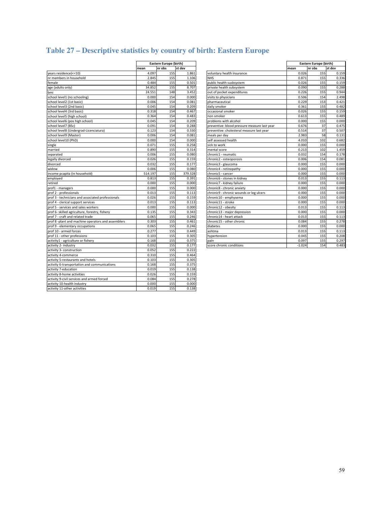# **Table 27 – Descriptive statistics by country of birth: Eastern Europe**

|                                                    | <b>Eastern Europe (birth)</b> |        |         |                                              |          | Eastern Europe (birth) |        |
|----------------------------------------------------|-------------------------------|--------|---------|----------------------------------------------|----------|------------------------|--------|
|                                                    | mean                          | nr obs | st dev  |                                              | mean     | nr obs                 | st dev |
| years residence(<=10)                              | 4.097                         | 155    | 1.861   | voluntary health insurance                   | 0.026    | 155                    | 0.159  |
| nr members in household                            | 2.845                         | 155    | 1.106   | <b>NHS</b>                                   | 0.871    | 155                    | 0.336  |
| female                                             | 0.484                         | 155    | 0.501   | public health susbsystem                     | 0.026    | 155                    | 0.159  |
| age (adults only)                                  | 34.852                        | 155    | 8.707   | private health subsystem                     | 0.090    | 155                    | 0.288  |
| bmi                                                | 24.551                        | 148    | 3.452   | out of pocket expenditures                   | 0.226    | 155                    | 0.944  |
| school level1 (no schooling)                       | 0.000                         | 154    | 0.000   | visits to physicians                         | 0.506    | 154                    | 2.498  |
| school level2 (1st basic)                          | 0.006                         | 154    | 0.081   | pharmaceutical                               | 0.229    | 153                    | 0.421  |
| school level3 (2nd basic)                          | 0.045                         | 154    | 0.209   | daily smoker                                 | 0.361    | 155                    | 0.482  |
| school level4 (3rd basic)                          | 0.318                         | 154    | 0.467   | occasional smoker                            | 0.026    | 155                    | 0.159  |
| school level5 (high school)                        | 0.364                         | 154    | 0.483   | non smoker                                   | 0.613    | 155                    | 0.489  |
| school level6 (pos high school)                    | 0.045                         | 154    | 0.209   | problems with alcohol                        | 0.000    | 155                    | 0.000  |
| school level7 (BSc)                                | 0.091                         | 154    | 0.288   | preventive: blood pressure measure last year | 0.676    | 37                     | 0.475  |
| school level8 (Undergrad-Licenciatura)             | 0.123                         | 154    | 0.330   | preventive: cholesteral measure last year    | 0.514    | 37                     | 0.507  |
| school level9 (Master)                             | 0.006                         | 154    | 0.081   | meals per day                                | 2.983    | 58                     | 0.131  |
| school level10 (PhD)                               | 0.000                         | 154    | 0.000   | self assessed health                         | 4.010    | 102                    | 0.682  |
| single                                             | 0.071                         | 155    | 0.258   | sick to work                                 | 0.000    | 155                    | 0.000  |
| married                                            | 0.890                         | 155    | 0.314   | mental score                                 | 0.213    | 102                    | 1.459  |
| separated                                          | 0.006                         | 155    | 0.080   | chronic1 - reumatic                          | 0.032    | 154                    | 0.178  |
| legally divorced                                   | 0.026                         | 155    | 0.159   | chronic2 - osteoporosis                      | 0.006    | 154                    | 0.081  |
| divorced                                           | 0.032                         | 155    | 0.177   | chronic3 - glaucoma                          | 0.000    | 155                    | 0.000  |
| widow                                              | 0.006                         | 155    | 0.080   | chronic4 - retinopathy                       | 0.000    | 155                    | 0.000  |
| income pcapita (in household)                      | 514.197                       | 155    | 379.328 | chronic5 - cancer                            | 0.000    | 155                    | 0.000  |
| employed                                           | 0.813                         | 155    | 0.391   | chronic6 - stones in kidney                  | 0.013    | 155                    | 0.113  |
| retired                                            | 0.000                         | 155    | 0.000   | chronic7 - kidney failure                    | 0.000    | 155                    | 0.000  |
| prof1 - managers                                   | 0.000                         | 155    | 0.000   | chronic8 - chronic anxiety                   | 0.000    | 155                    | 0.000  |
| prof 2 - professionals                             | 0.013                         | 155    | 0.113   | chronic9 - chronic wounds or leg ulcers      | 0.000    | 155                    | 0.000  |
| prof 3 - technicians and associated professionals  | 0.026                         | 155    | 0.159   | chronic10 - emphysema                        | 0.000    | 155                    | 0.000  |
| prof 4 - clerical support services                 | 0.013                         | 155    | 0.113   | chronic11 - stroke                           | 0.000    | 155                    | 0.000  |
| prof 5 - services and sales workers                | 0.000                         | 155    | 0.000   | chronic12 - obesity                          | 0.013    | 155                    | 0.113  |
| prof 6- skilled agriculture, forestry, fishery     | 0.135                         | 155    | 0.343   | chronic13 - major depression                 | 0.000    | 155                    | 0.000  |
| prof 7 - craft and related trade                   | 0.065                         | 155    | 0.246   | chronic14 - heart attack                     | 0.013    | 155                    | 0.113  |
| prof 8 -plant and machine operators and assemblers | 0.303                         | 155    | 0.461   | chronic15 - other chronic                    | 0.084    | 155                    | 0.278  |
| prof 9 - elementary occupations                    | 0.065                         | 155    | 0.246   | diabetes                                     | 0.000    | 155                    | 0.000  |
| prof 10 - armed forces                             | 0.277                         | 155    | 0.449   | ashtma                                       | 0.013    | 155                    | 0.113  |
| prof 11 - other professions                        | 0.103                         | 155    | 0.305   | hypertension                                 | 0.045    | 155                    | 0.208  |
| activity1 - agriculture or fishery                 | 0.168                         | 155    | 0.375   | pain                                         | 0.097    | 155                    | 0.297  |
| activity 2- industry                               | 0.032                         | 155    | 0.177   | score chronic conditions                     | $-1.024$ | 154                    | 0.483  |
| activity 3- construction                           | 0.052                         | 155    | 0.222   |                                              |          |                        |        |
| activity 4-commerce                                | 0.310                         | 155    | 0.464   |                                              |          |                        |        |
| activity 5-restaurants and hotels                  | 0.103                         | 155    | 0.305   |                                              |          |                        |        |
| activity 6-transportation and communications       | 0.168                         | 155    | 0.375   |                                              |          |                        |        |
| activity 7-education                               | 0.019                         | 155    | 0.138   |                                              |          |                        |        |
| activity 8-home activities                         | 0.026                         | 155    | 0.159   |                                              |          |                        |        |
| activity 9-civil services and armed forced         | 0.084                         | 155    | 0.278   |                                              |          |                        |        |
| activity 10-health industry                        | 0.000                         | 155    | 0.000   |                                              |          |                        |        |
| activity 11-other activities                       | 0.019                         | 155    | 0.138   |                                              |          |                        |        |
|                                                    |                               |        |         |                                              |          |                        |        |

| <b>Eastern Europe (birth)</b> |        |         |                   |                                              | <b>Eastern Europe (birth)</b> |        |        |
|-------------------------------|--------|---------|-------------------|----------------------------------------------|-------------------------------|--------|--------|
| mean                          | nr obs | st dev  |                   |                                              | mean                          | nr obs | st dev |
| 4.097                         | 155    | 1.861   |                   | voluntary health insurance                   | 0.026                         | 155    | 0.159  |
| 2.845                         | 155    | 1.106   | <b>NHS</b>        |                                              | 0.871                         | 155    | 0.336  |
| 0.484                         | 155    | 0.501   |                   | public health susbsystem                     | 0.026                         | 155    | 0.159  |
| 34.852                        | 155    | 8.707   |                   | private health subsystem                     | 0.090                         | 155    | 0.288  |
| 24.551                        | 148    | 3.452   |                   | out of pocket expenditures                   | 0.226                         | 155    | 0.944  |
| 0.000                         | 154    | 0.000   |                   | visits to physicians                         | 0.506                         | 154    | 2.498  |
| 0.006                         | 154    | 0.081   | pharmaceutical    |                                              | 0.229                         | 153    | 0.421  |
| 0.045                         | 154    | 0.209   | daily smoker      |                                              | 0.361                         | 155    | 0.482  |
| 0.318                         | 154    | 0.467   |                   | occasional smoker                            | 0.026                         | 155    | 0.159  |
| 0.364                         | 154    | 0.483   | non smoker        |                                              | 0.613                         | 155    | 0.489  |
| 0.045                         | 154    | 0.209   |                   | problems with alcohol                        | 0.000                         | 155    | 0.000  |
| 0.091                         | 154    | 0.288   |                   | preventive: blood pressure measure last year | 0.676                         | 37     | 0.475  |
| 0.123                         | 154    | 0.330   |                   | preventive: cholesteral measure last year    | 0.514                         | 37     | 0.507  |
| 0.006                         | 154    | 0.081   | meals per day     |                                              | 2.983                         | 58     | 0.131  |
| 0.000                         | 154    | 0.000   |                   | self assessed health                         | 4.010                         | 102    | 0.682  |
| 0.071                         | 155    | 0.258   | sick to work      |                                              | 0.000                         | 155    | 0.000  |
| 0.890                         | 155    | 0.314   | mental score      |                                              | 0.213                         | 102    | 1.459  |
| 0.006                         | 155    | 0.080   |                   | chronic1 - reumatic                          | 0.032                         | 154    | 0.178  |
| 0.026                         | 155    | 0.159   |                   | chronic2 - osteoporosis                      | 0.006                         | 154    | 0.081  |
| 0.032                         | 155    | 0.177   |                   | chronic3 - glaucoma                          | 0.000                         | 155    | 0.000  |
| 0.006                         | 155    | 0.080   |                   | chronic4 - retinopathy                       | 0.000                         | 155    | 0.000  |
| 514.197                       | 155    | 379.328 | chronic5 - cancer |                                              | 0.000                         | 155    | 0.000  |
| 0.813                         | 155    | 0.391   |                   | chronic6 - stones in kidney                  | 0.013                         | 155    | 0.113  |
| 0.000                         | 155    | 0.000   |                   | chronic7 - kidney failure                    | 0.000                         | 155    | 0.000  |
| 0.000                         | 155    | 0.000   |                   | chronic8 - chronic anxiety                   | 0.000                         | 155    | 0.000  |
| 0.013                         | 155    | 0.113   |                   | chronic9 - chronic wounds or leg ulcers      | 0.000                         | 155    | 0.000  |
| 0.026                         | 155    | 0.159   |                   | chronic10 - emphysema                        | 0.000                         | 155    | 0.000  |
| 0.013                         | 155    | 0.113   |                   | chronic11 - stroke                           | 0.000                         | 155    | 0.000  |
| 0.000                         | 155    | 0.000   |                   | chronic12 - obesity                          | 0.013                         | 155    | 0.113  |
| 0.135                         | 155    | 0.343   |                   | chronic13 - major depression                 | 0.000                         | 155    | 0.000  |
| 0.065                         | 155    | 0.246   |                   | chronic14 - heart attack                     | 0.013                         | 155    | 0.113  |
| 0.303                         | 155    | 0.461   |                   | chronic15 - other chronic                    | 0.084                         | 155    | 0.278  |
| 0.065                         | 155    | 0.246   | diabetes          |                                              | 0.000                         | 155    | 0.000  |
| 0.277                         | 155    | 0.449   | ashtma            |                                              | 0.013                         | 155    | 0.113  |
| 0.103                         | 155    | 0.305   | hypertension      |                                              | 0.045                         | 155    | 0.208  |
| 0.168                         | 155    | 0.375   | pain              |                                              | 0.097                         | 155    | 0.297  |
| 0.032                         | 155    | 0.177   |                   | score chronic conditions                     | $-1.024$                      | 154    | 0.483  |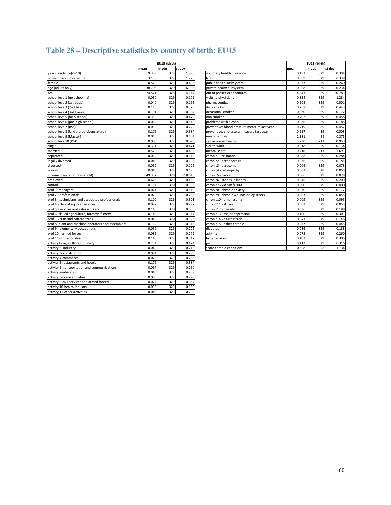# **Table 28 – Descriptive statistics by country of birth: EU15**

|                                                    |         | EU15 (birth) |         |                                              |          | EU15 (birth) |        |
|----------------------------------------------------|---------|--------------|---------|----------------------------------------------|----------|--------------|--------|
|                                                    | mean    | nr obs       | st dev  |                                              | mean     | nr obs       | st dev |
| years residence(<=10)                              | 9.359   | 329          | 1.890   | voluntary health insurance                   | 0.191    | 329          | 0.394  |
| nr members in household                            | 3.155   | 329          | 1.226   | <b>NHS</b>                                   | 0.869    | 329          | 0.338  |
| female                                             | 0.578   | 329          | 0.495   | public health susbsystem                     | 0.073    | 329          | 0.260  |
| age (adults only)                                  | 38.705  | 329          | 16.336  | private health subsystem                     | 0.058    | 329          | 0.234  |
| bmi                                                | 24.571  | 325          | 4.144   | out of pocket expenditures                   | 4.343    | 329          | 20.783 |
| school level1 (no schooling)                       | 0.030   | 329          | 0.172   | visits to physicians                         | 0.854    | 329          | 1.284  |
| school level2 (1st basic)                          | 0.040   | 329          | 0.195   | pharmaceutical                               | 0.508    | 329          | 0.501  |
| school level3 (2nd basic)                          | 0.116   | 329          | 0.320   | daily smoker                                 | 0.267    | 329          | 0.443  |
| school level4 (3rd basic)                          | 0.191   | 329          | 0.394   | occasional smoker                            | 0.030    | 329          | 0.172  |
| school level5 (high school)                        | 0.353   | 329          | 0.479   | non smoker                                   | 0.702    | 329          | 0.458  |
| school level6 (pos high school)                    | 0.012   | 329          | 0.110   | problems with alcohol                        | 0.036    | 329          | 0.188  |
| school level7 (BSc)                                | 0.055   | 329          | 0.228   | preventive: blood pressure measure last year | 0.719    | 89           | 0.452  |
| school level8 (Undergrad-Licenciatura)             | 0.179   | 329          | 0.384   | preventive: cholesteral measure last year    | 0.517    | 89           | 0.503  |
| school level9 (Master)                             | 0.018   | 329          | 0.134   | meals per day                                | 2.881    | 59           | 0.375  |
| school level10 (PhD)                               | 0.006   | 329          | 0.078   | self assessed health                         | 3.730    | 211          | 0.950  |
| single                                             | 0.331   | 329          | 0.471   | sick to work                                 | 0.018    | 329          | 0.134  |
| married                                            | 0.578   | 329          | 0.495   | mental score                                 | 0.416    | 211          | 1.691  |
| separated                                          | 0.012   | 329          | 0.110   | chronic1 - reumatic                          | 0.088    | 329          | 0.284  |
| legally divorced                                   | 0.040   | 329          | 0.195   | chronic2 - osteoporosis                      | 0.036    | 329          | 0.188  |
| divorced                                           | 0.052   | 329          | 0.222   | chronic3 - glaucoma                          | 0.006    | 329          | 0.078  |
| widow                                              | 0.040   | 329          | 0.195   | chronic4 - retinopathy                       | 0.003    | 328          | 0.055  |
| income pcapita (in household)                      | 649.332 | 329          | 518.610 | chronic5 - cancer                            | 0.006    | 329          | 0.078  |
| employed                                           | 0.626   | 329          | 0.485   | chronic6 - stones in kidney                  | 0.046    | 329          | 0.209  |
| retired                                            | 0.131   | 329          | 0.338   | chronic7 - kidney failure                    | 0.000    | 329          | 0.000  |
| prof1 - managers                                   | 0.021   | 329          | 0.145   | chronic8 - chronic anxiety                   | 0.030    | 329          | 0.172  |
| prof 2 - professionals                             | 0.070   | 329          | 0.255   | chronic9 - chronic wounds or leg ulcers      | 0.003    | 329          | 0.055  |
| prof 3 - technicians and associated professionals  | 0.100   | 329          | 0.301   | chronic10 - emphysema                        | 0.009    | 329          | 0.095  |
| prof 4 - clerical support services                 | 0.097   | 329          | 0.297   | chronic11 - stroke                           | 0.003    | 329          | 0.055  |
| prof 5 - services and sales workers                | 0.143   | 329          | 0.350   | chronic12 - obesity                          | 0.036    | 329          | 0.188  |
| prof 6- skilled agriculture, forestry, fishery     | 0.140   | 329          | 0.347   | chronic13 - major depression                 | 0.100    | 329          | 0.301  |
| prof 7 - craft and related trade                   | 0.040   | 329          | 0.195   | chronic14 - heart attack                     | 0.021    | 329          | 0.145  |
| prof 8 -plant and machine operators and assemblers | 0.112   | 329          | 0.316   | chronic15 - other chronic                    | 0.277    | 329          | 0.448  |
| prof 9 - elementary occupations                    | 0.052   | 329          | 0.222   | diabetes                                     | 0.036    | 329          | 0.188  |
| prof 10 - armed forces                             | 0.085   | 329          | 0.279   | ashtma                                       | 0.073    | 329          | 0.260  |
| prof 11 - other professions                        | 0.140   | 329          | 0.347   | hypertension                                 | 0.103    | 329          | 0.305  |
| activity1 - agriculture or fishery                 | 0.234   | 329          | 0.424   | pain                                         | 0.112    | 329          | 0.316  |
| activity 2- industry                               | 0.049   | 329          | 0.215   | score chronic conditions                     | $-0.508$ | 328          | 1.134  |
| activity 3- construction                           | 0.094   | 329          | 0.293   |                                              |          |              |        |
| activity 4-commerce                                | 0.076   | 329          | 0.265   |                                              |          |              |        |
| activity 5-restaurants and hotels                  | 0.179   | 329          | 0.384   |                                              |          |              |        |
| activity 6-transportation and communications       | 0.067   | 329          | 0.250   |                                              |          |              |        |
| activity 7-education                               | 0.046   | 329          | 0.209   |                                              |          |              |        |
| activity 8-home activities                         | 0.085   | 329          | 0.279   |                                              |          |              |        |
| activity 9-civil services and armed forced         | 0.024   | 329          | 0.154   |                                              |          |              |        |
| activity 10-health industry                        |         | 329          | 0.180   |                                              |          |              |        |
| activity 11-other activities                       | 0.033   |              |         |                                              |          |              |        |

|         | EU15 (birth) |         |                                              |          | EU15 (birth) |        |
|---------|--------------|---------|----------------------------------------------|----------|--------------|--------|
| mean    | nr obs       | st dev  |                                              | mean     | nr obs       | st dev |
| 9.359   | 329          | 1.890   | voluntary health insurance                   | 0.191    | 329          | 0.394  |
| 3.155   | 329          | 1.226   | <b>NHS</b>                                   | 0.869    | 329          | 0.338  |
| 0.578   | 329          | 0.495   | public health susbsystem                     | 0.073    | 329          | 0.260  |
| 38.705  | 329          | 16.336  | private health subsystem                     | 0.058    | 329          | 0.234  |
| 24.571  | 325          | 4.144   | out of pocket expenditures                   | 4.343    | 329          | 20.783 |
| 0.030   | 329          | 0.172   | visits to physicians                         | 0.854    | 329          | 1.284  |
| 0.040   | 329          | 0.195   | pharmaceutical                               | 0.508    | 329          | 0.501  |
| 0.116   | 329          | 0.320   | daily smoker                                 | 0.267    | 329          | 0.443  |
| 0.191   | 329          | 0.394   | occasional smoker                            | 0.030    | 329          | 0.172  |
| 0.353   | 329          | 0.479   | non smoker                                   | 0.702    | 329          | 0.458  |
| 0.012   | 329          | 0.110   | problems with alcohol                        | 0.036    | 329          | 0.188  |
| 0.055   | 329          | 0.228   | preventive: blood pressure measure last year | 0.719    | 89           | 0.452  |
| 0.179   | 329          | 0.384   | preventive: cholesteral measure last year    | 0.517    | 89           | 0.503  |
| 0.018   | 329          | 0.134   | meals per day                                | 2.881    | 59           | 0.375  |
| 0.006   | 329          | 0.078   | self assessed health                         | 3.730    | 211          | 0.950  |
| 0.331   | 329          | 0.471   | sick to work                                 | 0.018    | 329          | 0.134  |
| 0.578   | 329          | 0.495   | mental score                                 | 0.416    | 211          | 1.691  |
| 0.012   | 329          | 0.110   | chronic1 - reumatic                          | 0.088    | 329          | 0.284  |
| 0.040   | 329          | 0.195   | chronic2 - osteoporosis                      | 0.036    | 329          | 0.188  |
| 0.052   | 329          | 0.222   | chronic3 - glaucoma                          | 0.006    | 329          | 0.078  |
| 0.040   | 329          | 0.195   | chronic4 - retinopathy                       | 0.003    | 328          | 0.055  |
| 649.332 | 329          | 518.610 | chronic5 - cancer                            | 0.006    | 329          | 0.078  |
| 0.626   | 329          | 0.485   | chronic6 - stones in kidney                  | 0.046    | 329          | 0.209  |
| 0.131   | 329          | 0.338   | chronic7 - kidney failure                    | 0.000    | 329          | 0.000  |
| 0.021   | 329          | 0.145   | chronic8 - chronic anxiety                   | 0.030    | 329          | 0.172  |
| 0.070   | 329          | 0.255   | chronic9 - chronic wounds or leg ulcers      | 0.003    | 329          | 0.055  |
| 0.100   | 329          | 0.301   | chronic10 - emphysema                        | 0.009    | 329          | 0.095  |
| 0.097   | 329          | 0.297   | chronic11 - stroke                           | 0.003    | 329          | 0.055  |
| 0.143   | 329          | 0.350   | chronic12 - obesity                          | 0.036    | 329          | 0.188  |
| 0.140   | 329          | 0.347   | chronic13 - major depression                 | 0.100    | 329          | 0.301  |
| 0.040   | 329          | 0.195   | chronic14 - heart attack                     | 0.021    | 329          | 0.145  |
| 0.112   | 329          | 0.316   | chronic15 - other chronic                    | 0.277    | 329          | 0.448  |
| 0.052   | 329          | 0.222   | diabetes                                     | 0.036    | 329          | 0.188  |
| 0.085   | 329          | 0.279   | ashtma                                       | 0.073    | 329          | 0.260  |
| 0.140   | 329          | 0.347   | hypertension                                 | 0.103    | 329          | 0.305  |
| 0.234   | 329          | 0.424   | pain                                         | 0.112    | 329          | 0.316  |
| 0.049   | 329          | 0.215   | score chronic conditions                     | $-0.508$ | 328          | 1.134  |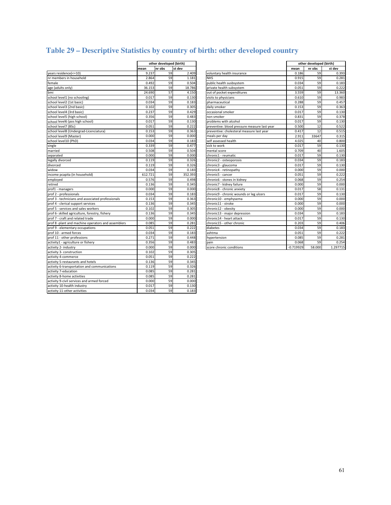# **Table 29 – Descriptive Statistics by country of birth: other developed country**

|                                                    |         | other developed (birth) |         |                                              |             | other developed (birth) |          |
|----------------------------------------------------|---------|-------------------------|---------|----------------------------------------------|-------------|-------------------------|----------|
|                                                    | mean    | nr obs                  | st dev  |                                              | mean        | nr obs                  | st dev   |
| years residence(<=10)                              | 9.237   | 59                      | 2.409   | voluntary health insurance                   | 0.186       | 59                      | 0.393    |
| nr members in household                            | 2.864   | 59                      | 1.181   | <b>NHS</b>                                   | 0.915       | 59                      | 0.281    |
| female                                             | 0.492   | 59                      | 0.504   | public health susbsystem                     | 0.034       | 59                      | 0.183    |
| age (adults only)                                  | 36.153  | 59                      | 18.786  | private health subsystem                     | 0.051       | 59                      | 0.222    |
| bmi                                                | 24.690  | 57                      | 4.150   | out of pocket expenditures                   | 3.559       | 59                      | 13.360   |
| school level1 (no schooling)                       | 0.017   | 59                      | 0.130   | visits to physicians                         | 0.610       | 59                      | 0.983    |
| school level2 (1st basic)                          | 0.034   | 59                      | 0.183   | pharmaceutical                               | 0.288       | 59                      | 0.457    |
| school level3 (2nd basic)                          | 0.102   | 59                      | 0.305   | daily smoker                                 | 0.153       | 59                      | 0.363    |
| school level4 (3rd basic)                          | 0.237   | 59                      | 0.429   | occasional smoker                            | 0.017       | 59                      | 0.130    |
| school level5 (high school)                        | 0.356   | 59                      | 0.483   | non smoker                                   | 0.831       | 59                      | 0.378    |
| school level6 (pos high school)                    | 0.017   | 59                      | 0.130   | problems with alcohol                        | 0.017       | 59                      | 0.130    |
| school level7 (BSc)                                | 0.051   | 59                      | 0.222   | preventive: blood pressure measure last year | 0.500       | 12                      | 0.522    |
| school level8 (Undergrad-Licenciatura)             | 0.153   | 59                      | 0.363   | preventive: cholesteral measure last year    | 0.417       | 12                      | 0.515    |
| school level9 (Master)                             | 0.000   | 59                      | 0.000   | meals per day                                | 2.911       | 33647                   | 0.315    |
| school level10 (PhD)                               | 0.034   | 59                      | 0.183   | self assessed health                         | 4.025       | 40                      | 0.800    |
| single                                             | 0.339   | 59                      | 0.477   | sick to work                                 | 0.017       | 59                      | 0.130    |
| married                                            | 0.508   | 59                      | 0.504   | mental score                                 | 0.709       | 40                      | 1.605    |
| separated                                          | 0.000   | 59                      | 0.000   | chronic1 - reumatic                          | 0.017       | 59                      | 0.130    |
| legally divorced                                   | 0.119   | 59                      | 0.326   | chronic2 - osteoporosis                      | 0.034       | 59                      | 0.183    |
| divorced                                           | 0.119   | 59                      | 0.326   | chronic3 - glaucoma                          | 0.017       | 59                      | 0.130    |
| widow                                              | 0.034   | 59                      | 0.183   | chronic4 - retinopathy                       | 0.000       | 59                      | 0.000    |
| income pcapita (in household)                      | 612.721 | 59                      | 352.393 | chronic5 - cancer                            | 0.051       | 59                      | 0.222    |
| employed                                           | 0.576   | 59                      | 0.498   | chronic6 - stones in kidney                  | 0.068       | 59                      | 0.254    |
| retired                                            | 0.136   | 59                      | 0.345   | chronic7 - kidney failure                    | 0.000       | 59                      | 0.000    |
| prof1 - managers                                   | 0.000   | 59                      | 0.000   | chronic8 - chronic anxiety                   | 0.017       | 58                      | 0.131    |
| prof 2 - professionals                             | 0.034   | 59                      | 0.183   | chronic9 - chronic wounds or leg ulcers      | 0.017       | 59                      | 0.130    |
| prof 3 - technicians and associated professionals  | 0.153   | 59                      | 0.363   | chronic10 - emphysema                        | 0.000       | 59                      | 0.000    |
| prof 4 - clerical support services                 | 0.136   | 59                      | 0.345   | chronic11 - stroke                           | 0.000       | 59                      | 0.000    |
| prof 5 - services and sales workers                | 0.102   | 59                      | 0.305   | chronic12 - obesity                          | 0.000       | 59                      | 0.000    |
| prof 6- skilled agriculture, forestry, fishery     | 0.136   | 59                      | 0.345   | chronic13 - major depression                 | 0.034       | 59                      | 0.183    |
| prof 7 - craft and related trade                   | 0.000   | 59                      | 0.000   | chronic14 - heart attack                     | 0.017       | 59                      | 0.130    |
| prof 8 -plant and machine operators and assemblers | 0.085   | 59                      | 0.281   | chronic15 - other chronic                    | 0.203       | 59                      | 0.406    |
| prof 9 - elementary occupations                    | 0.051   | 59                      | 0.222   | diabetes                                     | 0.034       | 59                      | 0.183    |
| prof 10 - armed forces                             | 0.034   | 59                      | 0.183   | ashtma                                       | 0.051       | 59                      | 0.222    |
| prof 11 - other professions                        | 0.271   | 59                      | 0.448   | hypertension                                 | 0.085       | 59                      | 0.281    |
| activity1 - agriculture or fishery                 | 0.356   | 59                      | 0.483   | pain                                         | 0.068       | 59                      | 0.254    |
| activity 2- industry                               | 0.000   | 59                      | 0.000   | score chronic conditions                     | $-0.719929$ | 58.000                  | 1.297715 |
| activity 3- construction                           | 0.102   | 59                      | 0.305   |                                              |             |                         |          |
| activity 4-commerce                                | 0.051   | 59                      | 0.222   |                                              |             |                         |          |
| activity 5-restaurants and hotels                  | 0.136   | 59                      | 0.345   |                                              |             |                         |          |
| activity 6-transportation and communications       | 0.119   | 59                      | 0.326   |                                              |             |                         |          |
| activity 7-education                               | 0.085   | 59                      | 0.281   |                                              |             |                         |          |
| activity 8-home activities                         | 0.085   | 59                      | 0.281   |                                              |             |                         |          |
| activity 9-civil services and armed forced         | 0.000   | 59                      | 0.000   |                                              |             |                         |          |
| activity 10-health industry                        | 0.017   | 59                      | 0.130   |                                              |             |                         |          |
| activity 11-other activities                       | 0.034   | 59                      | 0.183   |                                              |             |                         |          |

|         | other developed (birth) |         |                                              |             | other developed (birth) |
|---------|-------------------------|---------|----------------------------------------------|-------------|-------------------------|
| mean    | nr obs                  | st dev  |                                              | mean        | nr obs                  |
| 9.237   | 59                      | 2.409   | voluntary health insurance                   | 0.186       | 59                      |
| 2.864   | 59                      | 1.181   | <b>NHS</b>                                   | 0.915       | 59                      |
| 0.492   | 59                      | 0.504   | public health susbsystem                     | 0.034       | 59                      |
| 36.153  | 59                      | 18.786  | private health subsystem                     | 0.051       | 59                      |
| 24.690  | 57                      | 4.150   | out of pocket expenditures                   | 3.559       | 59                      |
| 0.017   | 59                      | 0.130   | visits to physicians                         | 0.610       | 59                      |
| 0.034   | 59                      | 0.183   | pharmaceutical                               | 0.288       | 59                      |
| 0.102   | 59                      | 0.305   | daily smoker                                 | 0.153       | 59                      |
| 0.237   | 59                      | 0.429   | occasional smoker                            | 0.017       | 59                      |
| 0.356   | 59                      | 0.483   | non smoker                                   | 0.831       | 59                      |
| 0.017   | 59                      | 0.130   | problems with alcohol                        | 0.017       | 59                      |
| 0.051   | 59                      | 0.222   | preventive: blood pressure measure last year | 0.500       | 12                      |
| 0.153   | 59                      | 0.363   | preventive: cholesteral measure last year    | 0.417       | 12                      |
| 0.000   | 59                      | 0.000   | meals per day                                | 2.911       | 33647                   |
| 0.034   | 59                      | 0.183   | self assessed health                         | 4.025       | 40                      |
| 0.339   | 59                      | 0.477   | sick to work                                 | 0.017       | 59                      |
| 0.508   | 59                      | 0.504   | mental score                                 | 0.709       | 40                      |
| 0.000   | 59                      | 0.000   | chronic1 - reumatic                          | 0.017       | 59                      |
| 0.119   | 59                      | 0.326   | chronic2 - osteoporosis                      | 0.034       | 59                      |
| 0.119   | 59                      | 0.326   | chronic3 - glaucoma                          | 0.017       | 59                      |
| 0.034   | 59                      | 0.183   | chronic4 - retinopathy                       | 0.000       | 59                      |
| 612.721 | 59                      | 352.393 | chronic5 - cancer                            | 0.051       | 59                      |
| 0.576   | 59                      | 0.498   | chronic6 - stones in kidney                  | 0.068       | 59                      |
| 0.136   | 59                      | 0.345   | chronic7 - kidney failure                    | 0.000       | 59                      |
| 0.000   | 59                      | 0.000   | chronic8 - chronic anxiety                   | 0.017       | 58                      |
| 0.034   | 59                      | 0.183   | chronic9 - chronic wounds or leg ulcers      | 0.017       | 59                      |
| 0.153   | 59                      | 0.363   | chronic10 - emphysema                        | 0.000       | 59                      |
| 0.136   | 59                      | 0.345   | chronic11 - stroke                           | 0.000       | 59                      |
| 0.102   | 59                      | 0.305   | chronic12 - obesity                          | 0.000       | 59                      |
| 0.136   | 59                      | 0.345   | chronic13 - major depression                 | 0.034       | 59                      |
| 0.000   | 59                      | 0.000   | chronic14 - heart attack                     | 0.017       | 59                      |
| 0.085   | 59                      | 0.281   | chronic15 - other chronic                    | 0.203       | 59                      |
| 0.051   | 59                      | 0.222   | diabetes                                     | 0.034       | 59                      |
| 0.034   | 59                      | 0.183   | ashtma                                       | 0.051       | 59                      |
| 0.271   | 59                      | 0.448   | hypertension                                 | 0.085       | 59                      |
| 0.356   | 59                      | 0.483   | pain                                         | 0.068       | 59                      |
| 0.000   | 59                      | 0.000   | score chronic conditions                     | $-0.719929$ | 58.000                  |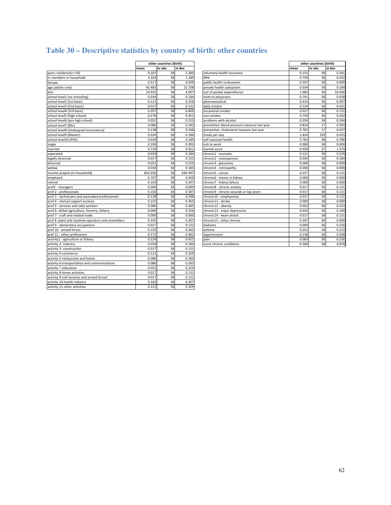# **Table 30 – Descriptive statistics by country of birth: other countries**

|                                                    |         | other countries (birth) |         |                                              |          | other countries (birth) |        |
|----------------------------------------------------|---------|-------------------------|---------|----------------------------------------------|----------|-------------------------|--------|
|                                                    | mean    | nr obs                  | st dev  |                                              | mean     | nr obs                  | st dev |
| years residence(<=10)                              | 9.207   | 58                      | 2.300   | voluntary health insurance                   | 0.155    | 58                      | 0.365  |
| nr members in household                            | 3.103   | 58                      | 1.180   | <b>NHS</b>                                   | 0.759    | 58                      | 0.432  |
| female                                             | 0.517   | 58                      | 0.504   | public health susbsystem                     | 0.207    | 58                      | 0.409  |
| age (adults only)                                  | 45.483  | 58                      | 15.708  | private health subsystem                     | 0.034    | 58                      | 0.184  |
| bmi                                                | 24.931  | 58                      | 4.097   | out of pocket expenditures                   | 1.983    | 58                      | 10.440 |
| school level1 (no schooling)                       | 0.034   | 58                      | 0.184   | visits to physicians                         | 0.741    | 58                      | 0.928  |
| school level2 (1st basic)                          | 0.121   | 58                      | 0.329   | pharmaceutical                               | 0.414    | 58                      | 0.497  |
| school level3 (2nd basic)                          | 0.017   | 58                      | 0.131   | daily smoker                                 | 0.224    | 58                      | 0.421  |
| school level4 (3rd basic)                          | 0.207   | 58                      | 0.409   | occasional smoker                            | 0.017    | 58                      | 0.131  |
| school level5 (high school)                        | 0.276   | 58                      | 0.451   | non smoker                                   | 0.759    | 58                      | 0.432  |
| school level6 (pos high school)                    | 0.052   | 58                      | 0.223   | problems with alcohol                        | 0.034    | 58                      | 0.184  |
| school level7 (BSc)                                | 0.086   | 58                      | 0.283   | preventive: blood pressure measure last year | 0.824    | 17                      | 0.393  |
| school level8 (Undergrad-Licenciatura)             | 0.138   | 58                      | 0.348   | preventive: cholesteral measure last year    | 0.765    | 17                      | 0.437  |
| school level9 (Master)                             | 0.034   | 58                      | 0.184   | meals per day                                | 2.824    | 329                     | 0.455  |
| school level10 (PhD)                               | 0.034   | 58                      | 0.184   | self assessed health                         | 3.763    | 38                      | 0.786  |
| single                                             | 0.190   | 58                      | 0.395   | sick to work                                 | 0.000    | 58                      | 0.000  |
| married                                            | 0.724   | 58                      | 0.451   | mental score                                 | 0.930    | 37                      | 1.379  |
| separated                                          | 0.034   | 58                      | 0.184   | chronic1 - reumatic                          | 0.121    | 58                      | 0.329  |
| legally divorced                                   | 0.017   | 58                      | 0.131   | chronic2 - osteoporosis                      | 0.034    | 58                      | 0.184  |
| divorced                                           | 0.052   | 58                      | 0.223   | chronic3 - glaucoma                          | 0.000    | 58                      | 0.000  |
| widow                                              | 0.034   | 58                      | 0.184   | chronic4 - retinopathy                       | 0.000    | 58                      | 0.000  |
| income pcapita (in household)                      | 832.030 | 58                      | 640.497 | chronic5 - cancer                            | 0.017    | 58                      | 0.131  |
| employed                                           | 0.707   | 58                      | 0.459   | chronic6 - stones in kidney                  | 0.000    | 58                      | 0.000  |
| retired                                            | 0.103   | 58                      | 0.307   | chronic7 - kidney failure                    | 0.000    | 58                      | 0.000  |
| prof1 - managers                                   | 0.000   | 58                      | 0.000   | chronic8 - chronic anxiety                   | 0.017    | 58                      | 0.131  |
| prof 2 - professionals                             | 0.103   | 58                      | 0.307   | chronic9 - chronic wounds or leg ulcers      | 0.017    | 58                      | 0.131  |
| prof 3 - technicians and associated professionals  | 0.138   | 58                      | 0.348   | chronic10 - emphysema                        | 0.017    | 58                      | 0.131  |
| prof 4 - clerical support services                 | 0.155   | 58                      | 0.365   | chronic11 - stroke                           | 0.000    | 58                      | 0.000  |
| prof 5 - services and sales workers                | 0.086   | 58                      | 0.283   | chronic12 - obesity                          | 0.052    | 58                      | 0.223  |
| prof 6- skilled agriculture, forestry, fishery     | 0.069   | 58                      | 0.256   | chronic13 - major depression                 | 0.034    | 58                      | 0.184  |
| prof 7 - craft and related trade                   | 0.000   | 58                      | 0.000   | chronic14 - heart attack                     | 0.017    | 58                      | 0.131  |
| prof 8 -plant and machine operators and assemblers | 0.103   | 58                      | 0.307   | chronic15 - other chronic                    | 0.207    | 58                      | 0.409  |
| prof 9 - elementary occupations                    | 0.017   | 58                      | 0.131   | diabetes                                     | 0.069    | 58                      | 0.256  |
| prof 10 - armed forces                             | 0.155   | 58                      | 0.365   | ashtma                                       | 0.052    | 58                      | 0.223  |
| prof 11 - other professions                        | 0.172   | 58                      | 0.381   | hypertension                                 | 0.138    | 58                      | 0.348  |
| activity1 - agriculture or fishery                 | 0.224   | 58                      | 0.421   | pain                                         | 0.069    | 58                      | 0.256  |
| activity 2- industry                               | 0.034   | 58                      | 0.184   | score chronic conditions                     | $-0.584$ | 58                      | 0.876  |
| activity 3- construction                           | 0.017   | 58                      | 0.131   |                                              |          |                         |        |
| activity 4-commerce                                | 0.121   | 58                      | 0.329   |                                              |          |                         |        |
| activity 5-restaurants and hotels                  | 0.086   | 58                      | 0.283   |                                              |          |                         |        |
| activity 6-transportation and communications       | 0.086   | 58                      | 0.283   |                                              |          |                         |        |
| activity 7-education                               | 0.052   | 58                      | 0.223   |                                              |          |                         |        |
| activity 8-home activities                         | 0.017   | 58                      | 0.131   |                                              |          |                         |        |
| activity 9-civil services and armed forced         | 0.017   | 58                      | 0.131   |                                              |          |                         |        |
| activity 10-health industry                        | 0.103   | 58                      | 0.307   |                                              |          |                         |        |
| activity 11-other activities                       | 0.121   | 58                      | 0.329   |                                              |          |                         |        |
|                                                    |         |                         |         |                                              |          |                         |        |

|         | other countries (birth) |         |                                              |          | other countries (birth) |        |
|---------|-------------------------|---------|----------------------------------------------|----------|-------------------------|--------|
| mean    | nr obs                  | st dev  |                                              | mean     | nr obs                  | st dev |
| 9.207   | 58                      | 2.300   | voluntary health insurance                   | 0.155    | 58                      | 0.365  |
| 3.103   | 58                      | 1.180   | <b>NHS</b>                                   | 0.759    | 58                      | 0.432  |
| 0.517   | 58                      | 0.504   | public health susbsystem                     | 0.207    | 58                      | 0.409  |
| 45.483  | 58                      | 15.708  | private health subsystem                     | 0.034    | 58                      | 0.184  |
| 24.931  | 58                      | 4.097   | out of pocket expenditures                   | 1.983    | 58                      | 10.440 |
| 0.034   | 58                      | 0.184   | visits to physicians                         | 0.741    | 58                      | 0.928  |
| 0.121   | 58                      | 0.329   | pharmaceutical                               | 0.414    | 58                      | 0.497  |
| 0.017   | 58                      | 0.131   | daily smoker                                 | 0.224    | 58                      | 0.421  |
| 0.207   | 58                      | 0.409   | occasional smoker                            | 0.017    | 58                      | 0.131  |
| 0.276   | 58                      | 0.451   | non smoker                                   | 0.759    | 58                      | 0.432  |
| 0.052   | 58                      | 0.223   | problems with alcohol                        | 0.034    | 58                      | 0.184  |
| 0.086   | 58                      | 0.283   | preventive: blood pressure measure last year | 0.824    | 17                      | 0.393  |
| 0.138   | 58                      | 0.348   | preventive: cholesteral measure last year    | 0.765    | 17                      | 0.437  |
| 0.034   | 58                      | 0.184   | meals per day                                | 2.824    | 329                     | 0.455  |
| 0.034   | 58                      | 0.184   | self assessed health                         | 3.763    | 38                      | 0.786  |
| 0.190   | 58                      | 0.395   | sick to work                                 | 0.000    | 58                      | 0.000  |
| 0.724   | 58                      | 0.451   | mental score                                 | 0.930    | 37                      | 1.379  |
| 0.034   | 58                      | 0.184   | chronic1 - reumatic                          | 0.121    | 58                      | 0.329  |
| 0.017   | 58                      | 0.131   | chronic2 - osteoporosis                      | 0.034    | 58                      | 0.184  |
| 0.052   | 58                      | 0.223   | chronic3 - glaucoma                          | 0.000    | 58                      | 0.000  |
| 0.034   | 58                      | 0.184   | chronic4 - retinopathy                       | 0.000    | 58                      | 0.000  |
| 832.030 | 58                      | 640.497 | chronic5 - cancer                            | 0.017    | 58                      | 0.131  |
| 0.707   | 58                      | 0.459   | chronic6 - stones in kidney                  | 0.000    | 58                      | 0.000  |
| 0.103   | 58                      | 0.307   | chronic7 - kidney failure                    | 0.000    | 58                      | 0.000  |
| 0.000   | 58                      | 0.000   | chronic8 - chronic anxiety                   | 0.017    | 58                      | 0.131  |
| 0.103   | 58                      | 0.307   | chronic9 - chronic wounds or leg ulcers      | 0.017    | 58                      | 0.131  |
| 0.138   | 58                      | 0.348   | chronic10 - emphysema                        | 0.017    | 58                      | 0.131  |
| 0.155   | 58                      | 0.365   | chronic11 - stroke                           | 0.000    | 58                      | 0.000  |
| 0.086   | 58                      | 0.283   | chronic12 - obesity                          | 0.052    | 58                      | 0.223  |
| 0.069   | 58                      | 0.256   | chronic13 - major depression                 | 0.034    | 58                      | 0.184  |
| 0.000   | 58                      | 0.000   | chronic14 - heart attack                     | 0.017    | 58                      | 0.131  |
| 0.103   | 58                      | 0.307   | chronic15 - other chronic                    | 0.207    | 58                      | 0.409  |
| 0.017   | 58                      | 0.131   | diabetes                                     | 0.069    | 58                      | 0.256  |
| 0.155   | 58                      | 0.365   | ashtma                                       | 0.052    | 58                      | 0.223  |
| 0.172   | 58                      | 0.381   | hypertension                                 | 0.138    | 58                      | 0.348  |
| 0.224   | 58                      | 0.421   | pain                                         | 0.069    | 58                      | 0.256  |
| 0.034   | 58                      | 0.184   | score chronic conditions                     | $-0.584$ | 58                      | 0.876  |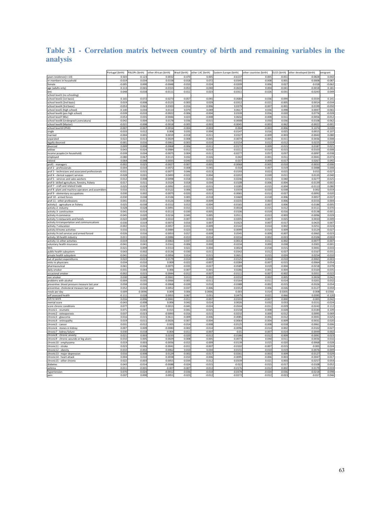|                                                                  | Portugal (birth)     | PALOPs (birth)       | other African (birth)  | Brazil (birth)                | other LAC (birth)    | Eastern Europe (birth) | other countries (birth) | EU15 (birth)         | other developed (birth) | emigrant              |
|------------------------------------------------------------------|----------------------|----------------------|------------------------|-------------------------------|----------------------|------------------------|-------------------------|----------------------|-------------------------|-----------------------|
| years residence(<=10)                                            | 0.503                | $-0.123$             | 0.003                  | $-0.47$                       | 0.005                | $-0.613$               | 0.005                   | $-0.051$             | $-0.082$                | 0.042                 |
| nr members in household                                          | $-0.019$             | 0.034                | 0.015                  | $-0.01$                       | 0.072                | $-0.034$               | 0.00                    | 0.001                | 0.000                   | $-0.087$              |
| female                                                           | $-0.005$             | 0.000                | $-0.0048$              | $-0.010$                      | 0.024                | $-0.0209$              | 0.006                   | 0.027                | $-0.018$                | $-0.062$              |
| age (adults only)<br>hmi                                         | 0.113<br>0.048       | $-0.065$<br>$-0.018$ | $-0.0155$<br>$-0.0111$ | $-0.053$<br>$-0.011$          | $-0.040$<br>0.023    | $-0.063$<br>$-0.031$   | 0.004<br>$-0.026$       | $-0.041$<br>$-0.031$ | $-0.0018$<br>$-0.0242$  | 0.181<br>0.049        |
| school level1 (no schooling)                                     |                      |                      |                        |                               |                      |                        |                         |                      |                         |                       |
| school level2 (1st basic                                         | 0.165                | $-0.07$              | $-0.027$               | $-0.05$                       | $-0.045$             | $-0.068$               | $-0.036$                | $-0.094$             | $-0.033$                | 0.141                 |
| school level3 (2nd basic)                                        | 0.019                | $-0.008$             | $-0.012$               | $-0.00$                       | 0.029                | $-0.031$               | $-0.02$                 | $-0.005$             | 0.001                   | $-0.034$              |
| school level4 (3rd basic)                                        | $-0.05$              | 0.06                 | 0.0303                 | $-0.01$                       | 0.006                | 0.037                  | $-0.00$                 | $-0.001$             | 0.019                   | $-0.050$              |
| school level5 (high school)                                      | $-0.140$             | 0.034                | 0.011                  | 0.07                          | 0.049                | 0.061                  | 0.031                   | 0.098                | 0.004                   | $-0.065$              |
| school level6 (pos high school)                                  | $-0.039$             | $-0.010$             | $-0.0022$              | $-0.00$                       | $-0.004$             | 0.033                  | 0.05                    | 0.020                | 0.077                   | $-0.028$              |
| school level7 (BSc)                                              | $-0.053$             | 0.03                 | $-0.004$               | 0.02                          | $-0.008$             | 0.065                  | $-0.00$                 | 0.011                | $-0.005$                | $-0.01$               |
| school level8 (Undergrad-Licenciatura)<br>school level9 (Master) | $-0.042$<br>$-0.021$ | 0.004<br>$-0.008$    | 0.0178<br>$-0.001$     | 0.031<br>$-0.00$              | $-0.015$<br>$-0.003$ | $-0.0008$<br>$-0.004$  | 0.050<br>$-0.00$        | 0.036<br>0.062       | $-0.0108$<br>$-0.002$   | $-0.062$<br>$-0.001$  |
| school level10 (PhD)                                             | $-0.007$             | $-0.007$             | $-0.0016$              | $-0.00$                       | $-0.003$             | $-0.00$                | $-0.003$                | $-0.006$             | 0.107                   | 0.039                 |
| single                                                           | $-0.033$             | 0.012                | 0.008                  | 0.03                          | 0.004                | $-0.014$               | 0.016                   | 0.025                | 0.001                   | $-0.10$               |
| married                                                          | $-0.004$             | 0.001                | 0.0019                 | $-0.01$                       | 0.011                | 0.032                  | $-0.005$                | $-0.003$             | $-0.004$                | 0.080                 |
| separated                                                        | 0.022                | $-0.013$             | $-0.0025$              | $-0.005$                      | $-0.005$             | $-0.007$               | $-0.005$                | $-0.011$             | $-0.0036$               | 0.005                 |
| legally divorced                                                 | $-0.001$             | 0.01                 | $-0.0062$              | $-0.00$                       | $-0.010$             | $-0.015$               | 0.01                    | $-0.012$             | 0.022                   | 0.019                 |
| divorced                                                         | 0.009                | 0.008                | $-0.006$               | $-0.00$                       | $-0.011$             | $-0.017$               | 0.00                    | $-0.015$             | 0.018                   | 0.02                  |
| widow                                                            | 0.043                | $-0.024$             | $-0.0084$              | $-0.01$                       | $-0.014$             | $-0.021$               | $-0.014$                | $-0.015$             | $-0.010$                | $-0.008$              |
| income pcapita (in household)                                    | $-0.039$             | 0.034                | $-0.0075$              | 0.004                         | $-0.011$             | $-0.027$               | 0.05                    | 0.037                | $-0.009$                | $-0.038$              |
| employed<br>retired                                              | $-0.080$<br>0.06     | 0.067<br>$-0.048$    | 0.011<br>0.003         | 0.03<br>$-0.04$               | 0.026<br>$-0.025$    | 0.04<br>$-0.03$        | $-0.00$<br>0.005        | 0.011<br>$-0.01$     | $-0.004$<br>0.026       | $-0.07$<br>0.09       |
| prof1 - managers                                                 | $-0.002$             | 0.025                | $-0.0027$              | $-0.007$                      | $-0.00$ <sup>t</sup> | $-0.006$               | $-0.00$                 | $-0.010$             | $-0.003$                | $-0.001$              |
| prof 2 - professionals                                           | $-0.004$             | $-0.010$             | $-0.0072$              | $-0.008$                      | 0.045                | $-0.018$               | 0.007                   | 0.019                | $-0.0088$               | 0.008                 |
| prof 3 - technicians and associated professionals                | $-0.031$             | 0.015                | $-0.007$               | 0.046                         | $-0.013$             | $-0.0193$              | 0.023                   | 0.015                | 0.015                   | $-0.027$              |
| prof 4 - clerical support services                               | $-0.028$             | 0.031                | 0.049                  | $-0.022$                      | 0.004                | $-0.020$               | 0.039                   | 0.011                | 0.0135                  | $-0.040$              |
| prof 5 - services and sales workers                              | $-0.012$             | 0.008                | $-0.0098$              | $-0.018$                      | $-0.016$             | $-0.0246$              | 0.013                   | 0.040                | 0.0277                  | $-0.025$              |
| prof 6- skilled agriculture, forestry, fishery                   | $-0.017$             | 0.011                | 0.0324                 | 0.018                         | 0.034                | $-0.0108$              | $-0.006$                | $-0.004$             | 0.0139                  | $-0.002$              |
| prof 7 - craft and related trade                                 | 0.025                | $-0.029$             | $-0.009$               | $-0.01$                       | $-0.015$             | 0.028                  | $-0.015$                | $-0.004$             | $-0.011$                | 0.080                 |
| prof 8 -plant and machine operators and assembler                | 0.01<br>0.030        | $-0.011$<br>0.00     | $-0.012$               | 0.00                          | 0.005                | 0.035                  | $-0.02$                 | $-0.038$<br>$-0.027$ | 0.00                    | 0.019                 |
| prof 9 - elementary occupations<br>prof 10 - armed forces        | $-0.030$             | 0.038                | $-0.007$<br>$-0.0106$  | $-0.02$<br>0.00               | $-0.013$<br>$-0.018$ | $-0.006$<br>0.046      | $-0.01$<br>$-0.018$     | $-0.006$             | $-0.009$<br>0.005       | 0.02<br>$-0.03$       |
| prof 11 - other professions                                      | 0.041                | $-0.051$             | $-0.0126$              | 0.004                         | $-0.009$             | $-0.023$               | 0.00                    | 0.006                | $-0.015$                | 0.004                 |
| activity1 - agriculture or fishery                               | 0.025                | $-0.038$             | $-0.015$               | 0.01                          | $-0.004$             | $-0.016$               | 0.00                    | 0.006                | $-0.018$                | $-0.00$               |
| activity 2- industry                                             | 0.028                | $-0.028$             | $-0.0091$              | $-0.01$                       | $-0.015$             | $-0.001$               | $-0.01$                 | 0.012                | $-0.011$                | 0.07                  |
| activity 3- construction                                         | 0.041                | $-0.014$             | $-0.0113$              | $-0.03$                       | $-0.005$             | $-0.010$               | $-0.019$                | $-0.016$             | $-0.0138$               | $-0.001$              |
| activity 4-commerce                                              | $-0.045$             | 0.020                | 0.0216                 | 0.045                         | 0.005                | 0.051                  | $-0.013$                | $-0.003$             | $-0.0096$               | 0.029                 |
| activity 5-restaurants and hotels                                | $-0.022$             | 0.009                | 0.0313                 | $-0.007$                      | 0.033                | $-0.0205$              | 0.007                   | 0.025                | 0.0033                  | $-0.009$              |
| activity 6-transportation and communications                     | $-0.030$<br>$-0.002$ | 0.019<br>0.011       | $-0.0073$<br>$-0.005$  | 0.016<br>$-0.01$ <sup>t</sup> | 0.007<br>$-0.009$    | 0.032<br>$-0.014$      | 0.007<br>0.014          | $-0.017$<br>0.002    | 0.0425<br>0.0251        | 0.007<br>$-0.024$     |
| activity 7-education<br>activity 8-home activities               | 0.016                | $-0.011$             | $-0.0084$              | $-0.023$                      | 0.003                | $-0.009$               | $-0.014$                | 0.009                | 0.012                   | $-0.02$               |
| activity 9-civil services and armed forced                       | $-0.026$             | 0.016                | $-0.005$               | 0.017                         | $-0.009$             | 0.054                  | $-0.009$                | $-0.007$             | $-0.006$                | $-0.02$               |
| activity 10-health industry                                      | 0.011                | 0.031                | $-0.0086$              | $-0.01$                       | $-0.014$             | $-0.021$               | 0.00                    | $-0.023$             | $-0.010$                | $-0.00$               |
| activity 11-other activities                                     | $-0.019$             | 0.014                | $-0.006$               | 0.03                          | $-0.010$             | $-0.001$               | 0.01                    | $-0.002$             | $-0.007$                | $-0.00$               |
| voluntary health insurance                                       | $-0.041$             | 0.041                | 0.0162                 | $-0.00$                       | 0.000                | $-0.023$               | 0.000                   | 0.038                | 0.030                   | $-0.00$               |
| <b>NHS</b>                                                       | $-0.021$             | 0.005                | 0.0153                 | 0.021                         | 0.004                | 0.002                  | $-0.018$                | 0.015                | 0.004                   | 0.031                 |
| public health subsystem                                          | 0.043                | $-0.002$             | $-0.0136$              | $-0.030$                      | 0.011                | $-0.034$               | 0.012                   | $-0.027$             | $-0.0167$               | $-0.031$              |
| private health subsystem                                         | $-0.041$<br>0.022    | $-0.016$<br>$-0.013$ | $-0.0056$<br>0.0179    | 0.014<br>$-0.01$              | 0.015<br>$-0.008$    | 0.0651<br>$-0.012$     | 0.015<br>0.004          | 0.024<br>$-0.010$    | 0.025<br>$-0.006$       | $-0.010$<br>$-0.00$   |
| out of pocket expenditures<br>visits to physicians               | 0.034                | $-0.010$             | 0.009                  | $-0.022$                      | $-0.007$             | $-0.028$               | $-0.007$                | $-0.015$             | $-0.0064$               | 0.05                  |
| pharmaceutical                                                   | 0.061                | $-0.034$             | 0.0075                 | $-0.03$                       | $-0.027$             | $-0.058$               | 0.019                   | $-0.004$             | $-0.0218$               | 0.078                 |
| daily smoker                                                     | $-0.031$             | 0.044                | 0.006                  | $-0.00$                       | 0.001                | 0.028                  | 0.001                   | $-0.004$             | $-0.0164$               | $-0.035$              |
| occasional smoker                                                | $-0.002$             | 0.015                | $-0.0044$              | $-0.012$                      | $-0.007$             | $-0.011$               | $-0.007$                | $-0.002$             | 0.035                   | $-0.022$              |
| non smoker                                                       | 0.030                | $-0.048$             | $-0.0041$              | 0.01                          | 0.002                | $-0.023$               | 0.002                   | 0.005                | 0.002                   | 0.042                 |
| problems with alcohol                                            | $-0.00$              | 0.035                | $-0.006$               | $-0.00$                       | $-0.011$             | $-0.016$               | $-0.01$                 | $-0.014$             | 0.020                   | 0.032                 |
| preventive: blood pressure measure last year                     | 0.058                | $-0.030$             | $-0.0068$              | $-0.039$                      | 0.010                | $-0.0388$              | $-0.00$                 | $-0.015$             | 0.032                   | 0.054                 |
| preventive: cholesteral measure last yea                         | 0.052                | $-0.024$             | 0.005                  | $-0.03$                       | 0.006                | $-0.035$               | 0.00                    | $-0.026$             | $-0.012$                | 0.059                 |
| meals per day<br>self assessed health                            | 0.009<br>$-0.111$    | $-0.0096$<br>0.028   | 0.009<br>0.0055        | 0.006<br>0.067                | 0.0006<br>0.031      | 0.00<br>0.047          | 0.014<br>0.021          | 0.0205<br>0.066      | $-0.008$<br>0.0395      | $-0.0366$<br>$-0.120$ |
| sick to work                                                     | 0.016                | $-0.00f$             | $-0.0041$              | $-0.011$                      | $-0.007$             | $-0.010$               | $-0.007$                | 0.000                | $-0.005$                | 0.042                 |
| mental score                                                     | $-0.043$             | $-0.008$             | 0.006                  | 0.042                         | 0.014                | 0.002                  | 0.032                   | 0.033                | 0.0151                  | $-0.024$              |
| score chronic conditions                                         | 0.077                | $-0.027$             | 0.0015                 | $-0.045$                      | $-0.024$             | $-0.050$               | $-0.011$                | $-0.029$             | $-0.0243$               | 0.112                 |
| chronic1 - reumatic                                              | 0.071                | $-0.045$             | $-0.015$               | $-0.041$                      | $-0.025$             | $-0.015$               | 0.008                   | $-0.028$             | $-0.0184$               | 0.109                 |
| chronic2 - osteoporosis                                          | 0.037                | $-0.023$             | $-0.0092$              | $-0.016$                      | $-0.015$             | $-0.023$               | 0.000                   | $-0.012$             | 0.009                   | 0.069                 |
| chronic3 - glaucoma                                              | 0.016                | $-0.015$             | 0.0613                 | $-0.00$                       | $-0.006$             | $-0.008$               | $-0.006$                | $-0.012$             | $-0.0041$               | 0.025                 |
| chronic4 - retinopathy                                           | 0.019                | $-0.011$             | $-0.0026$              | $-0.00$                       | $-0.004$             | $-0.006$               | $-0.004$                | $-0.009$             | $-0.003$                | 0.020                 |
| chronic5 - cancer<br>chronic6 - stones in kidney                 | 0.031<br>0.007       | $-0.012$<br>0.005    | $-0.005$<br>$-0.0082$  | $-0.01$<br>$-0.00$            | $-0.008$<br>$-0.014$ | $-0.012$<br>$-0.009$   | $-0.00$<br>$-0.014$     | $-0.018$<br>0.002    | $-0.006$<br>$-0.010$    | 0.006<br>0.02         |
| chronic7 - kidney failure                                        | 0.030                | $-0.018$             | $-0.004$               | $-0.011$                      | $-0.007$             | $-0.0$                 | $-0.007$                | $-0.014$             | $-0.004$                | 0.002                 |
| chronic8 - chronic anxiety                                       | 0.021                | 0.003                | 0.023                  | $-0.02$                       | $-0.012$             | $-0.0186$              | $-0.01$                 | $-0.009$             | $-0.009$                | 0.021                 |
| chronic9 - chronic wounds or leg ulcers                          | $-0.010$             | 0.001                | $-0.0029$              | $-0.008$                      | $-0.005$             | $-0.007$               | 0.040                   | 0.011                | $-0.003$                | 0.016                 |
| chronic10 - emphysema                                            | 0.019                | 0.003                | $-0.0056$              | $-0.015$                      | $-0.009$             | $-0.0139$              | 0.015                   | $-0.020$             | $-0.0068$               | 0.028                 |
| chronic11 - stroke                                               | 0.023                | $-0.00$              | $-0.004$               | $-0.01$                       | $-0.007$             | $-0.010$               | $-0.00$                 | $-0.015$             | $-0.00$                 | 0.024                 |
| chronic12 - obesity                                              | $-0.010$             | $-0.00$              | $-0.006$               | 0.01                          | 0.034                | $-0.015$               | $-0.01$                 | 0.019                | $-0.007$                | $-0.009$              |
| chronic13 - major depression                                     | 0.016                | $-0.005$             | 0.0129                 | $-0.002$                      | $-0.017$             | $-0.026$               | $-0.003$                | 0.009                | $-0.012$                | 0.029                 |
| chronic14 - heart attack                                         | 0.004<br>0.022       | 0.010<br>$-0.003$    | $-0.0038$<br>$-0.005$  | $-0.010$<br>$-0.034$          | $-0.006$<br>0.012    | $-0.009$<br>$-0.033$   | $-0.006$<br>0.02        | 0.003<br>0.003       | $-0.0047$<br>$-0.025$   | 0.017<br>0.054        |
| chronic15 - other chronic<br>diabetes                            | 0.043                | $-0.014$             | 0.008                  | $-0.02$                       | $-0.015$             | $-0.02$                | $-0.01$                 | $-0.017$             | 0.010                   | 0.052                 |
| ashtma                                                           | 0.01                 | $-0.00$              | $-0.00$                | $-0.00$                       | $-0.012$             | $-0.017$               | $-0.01$                 | 0.002                | 0.0175                  | 0.019                 |
| hypertension                                                     | 0.070                | $-0.024$             | $-0.001$               | $-0.03$                       | $-0.010$             | $-0.037$               | $-0.020$                | $-0.036$             | $-0.0218$               | 0.098                 |
| pain                                                             | 0.037                | 0.000                | 0.0051                 | $-0.023$                      | $-0.012$             | $-0.0272$              | $-0.012$                | $-0.023$             | $-0.017$                | 0.046                 |

# **Table 31 - Correlation matrix between country of birth and remaining variables in the analysis**